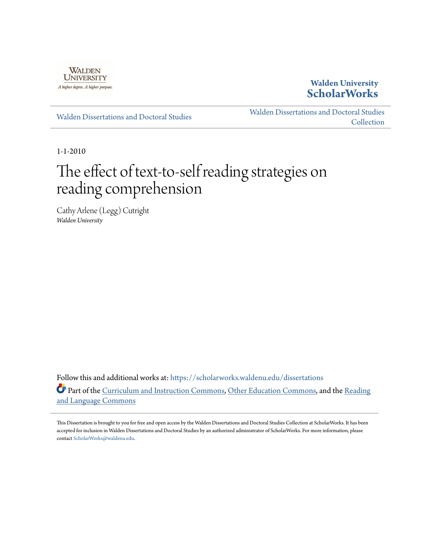

## **Walden University [ScholarWorks](https://scholarworks.waldenu.edu?utm_source=scholarworks.waldenu.edu%2Fdissertations%2F786&utm_medium=PDF&utm_campaign=PDFCoverPages)**

[Walden Dissertations and Doctoral Studies](https://scholarworks.waldenu.edu/dissertations?utm_source=scholarworks.waldenu.edu%2Fdissertations%2F786&utm_medium=PDF&utm_campaign=PDFCoverPages)

[Walden Dissertations and Doctoral Studies](https://scholarworks.waldenu.edu/dissanddoc?utm_source=scholarworks.waldenu.edu%2Fdissertations%2F786&utm_medium=PDF&utm_campaign=PDFCoverPages) **[Collection](https://scholarworks.waldenu.edu/dissanddoc?utm_source=scholarworks.waldenu.edu%2Fdissertations%2F786&utm_medium=PDF&utm_campaign=PDFCoverPages)** 

1-1-2010

# The effect of text-to-self reading strategies on reading comprehension

Cathy Arlene (Legg) Cutright *Walden University*

Follow this and additional works at: [https://scholarworks.waldenu.edu/dissertations](https://scholarworks.waldenu.edu/dissertations?utm_source=scholarworks.waldenu.edu%2Fdissertations%2F786&utm_medium=PDF&utm_campaign=PDFCoverPages) Part of the [Curriculum and Instruction Commons](http://network.bepress.com/hgg/discipline/786?utm_source=scholarworks.waldenu.edu%2Fdissertations%2F786&utm_medium=PDF&utm_campaign=PDFCoverPages), [Other Education Commons](http://network.bepress.com/hgg/discipline/811?utm_source=scholarworks.waldenu.edu%2Fdissertations%2F786&utm_medium=PDF&utm_campaign=PDFCoverPages), and the [Reading](http://network.bepress.com/hgg/discipline/1037?utm_source=scholarworks.waldenu.edu%2Fdissertations%2F786&utm_medium=PDF&utm_campaign=PDFCoverPages) [and Language Commons](http://network.bepress.com/hgg/discipline/1037?utm_source=scholarworks.waldenu.edu%2Fdissertations%2F786&utm_medium=PDF&utm_campaign=PDFCoverPages)

This Dissertation is brought to you for free and open access by the Walden Dissertations and Doctoral Studies Collection at ScholarWorks. It has been accepted for inclusion in Walden Dissertations and Doctoral Studies by an authorized administrator of ScholarWorks. For more information, please contact [ScholarWorks@waldenu.edu](mailto:ScholarWorks@waldenu.edu).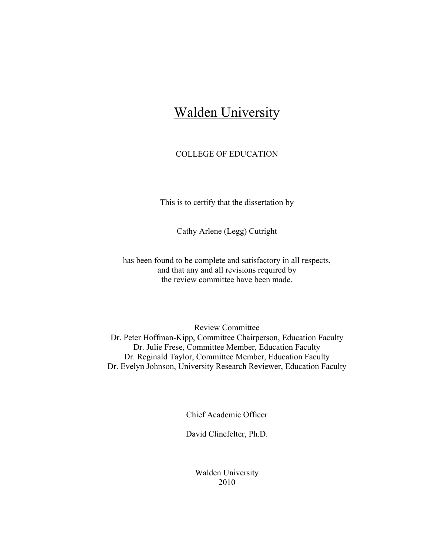## Walden University

## COLLEGE OF EDUCATION

This is to certify that the dissertation by

Cathy Arlene (Legg) Cutright

has been found to be complete and satisfactory in all respects, and that any and all revisions required by the review committee have been made.

Review Committee Dr. Peter Hoffman-Kipp, Committee Chairperson, Education Faculty Dr. Julie Frese, Committee Member, Education Faculty Dr. Reginald Taylor, Committee Member, Education Faculty Dr. Evelyn Johnson, University Research Reviewer, Education Faculty

Chief Academic Officer

David Clinefelter, Ph.D.

Walden University 2010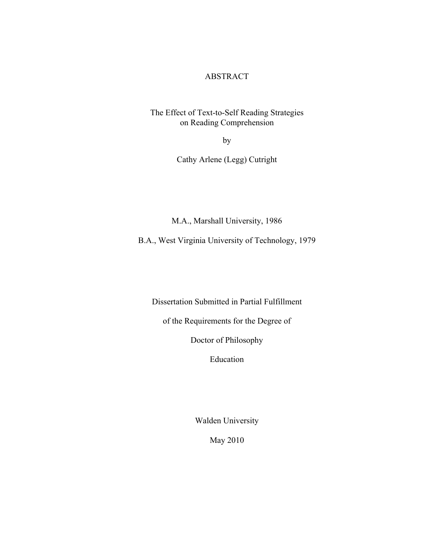### ABSTRACT

The Effect of Text-to-Self Reading Strategies on Reading Comprehension

by

Cathy Arlene (Legg) Cutright

M.A., Marshall University, 1986

B.A., West Virginia University of Technology, 1979

Dissertation Submitted in Partial Fulfillment

of the Requirements for the Degree of

Doctor of Philosophy

Education

Walden University

May 2010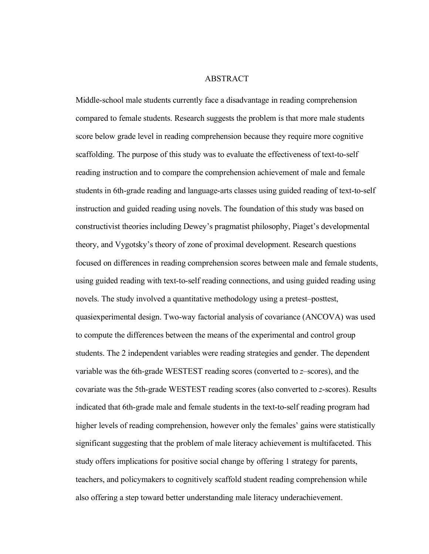#### ABSTRACT

Middle-school male students currently face a disadvantage in reading comprehension compared to female students. Research suggests the problem is that more male students score below grade level in reading comprehension because they require more cognitive scaffolding. The purpose of this study was to evaluate the effectiveness of text-to-self reading instruction and to compare the comprehension achievement of male and female students in 6th-grade reading and language-arts classes using guided reading of text-to-self instruction and guided reading using novels. The foundation of this study was based on constructivist theories including Dewey's pragmatist philosophy, Piaget's developmental theory, and Vygotsky's theory of zone of proximal development. Research questions focused on differences in reading comprehension scores between male and female students, using guided reading with text-to-self reading connections, and using guided reading using novels. The study involved a quantitative methodology using a pretest–posttest, quasiexperimental design. Two-way factorial analysis of covariance (ANCOVA) was used to compute the differences between the means of the experimental and control group students. The 2 independent variables were reading strategies and gender. The dependent variable was the 6th-grade WESTEST reading scores (converted to *z*–scores), and the covariate was the 5th-grade WESTEST reading scores (also converted to *z*-scores). Results indicated that 6th-grade male and female students in the text-to-self reading program had higher levels of reading comprehension, however only the females' gains were statistically significant suggesting that the problem of male literacy achievement is multifaceted. This study offers implications for positive social change by offering 1 strategy for parents, teachers, and policymakers to cognitively scaffold student reading comprehension while also offering a step toward better understanding male literacy underachievement.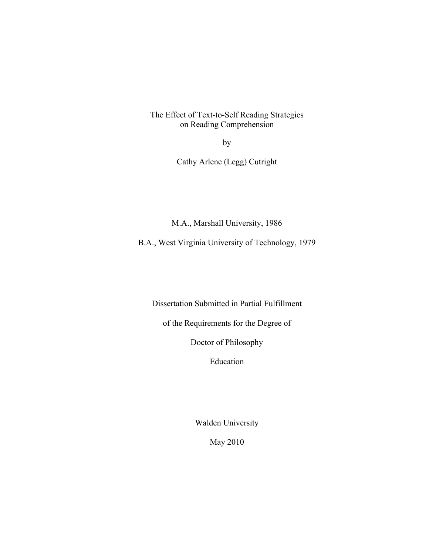The Effect of Text-to-Self Reading Strategies on Reading Comprehension

by

Cathy Arlene (Legg) Cutright

M.A., Marshall University, 1986

B.A., West Virginia University of Technology, 1979

Dissertation Submitted in Partial Fulfillment

of the Requirements for the Degree of

Doctor of Philosophy

Education

Walden University

May 2010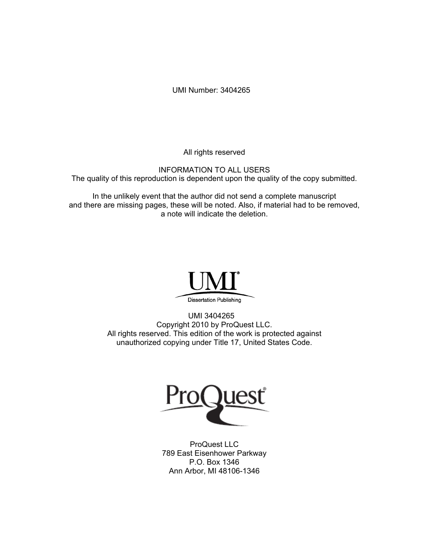UMI Number: 3404265

All rights reserved

INFORMATION TO ALL USERS The quality of this reproduction is dependent upon the quality of the copy submitted.

In the unlikely event that the author did not send a complete manuscript and there are missing pages, these will be noted. Also, if material had to be removed, a note will indicate the deletion.



UMI 3404265 Copyright 2010 by ProQuest LLC. All rights reserved. This edition of the work is protected against unauthorized copying under Title 17, United States Code.



ProQuest LLC 789 East Eisenhower Parkway P.O. Box 1346 Ann Arbor, MI 48106-1346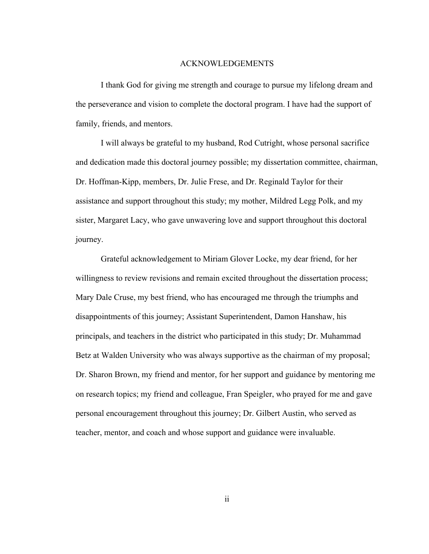#### ACKNOWLEDGEMENTS

I thank God for giving me strength and courage to pursue my lifelong dream and the perseverance and vision to complete the doctoral program. I have had the support of family, friends, and mentors.

I will always be grateful to my husband, Rod Cutright, whose personal sacrifice and dedication made this doctoral journey possible; my dissertation committee, chairman, Dr. Hoffman-Kipp, members, Dr. Julie Frese, and Dr. Reginald Taylor for their assistance and support throughout this study; my mother, Mildred Legg Polk, and my sister, Margaret Lacy, who gave unwavering love and support throughout this doctoral journey.

Grateful acknowledgement to Miriam Glover Locke, my dear friend, for her willingness to review revisions and remain excited throughout the dissertation process; Mary Dale Cruse, my best friend, who has encouraged me through the triumphs and disappointments of this journey; Assistant Superintendent, Damon Hanshaw, his principals, and teachers in the district who participated in this study; Dr. Muhammad Betz at Walden University who was always supportive as the chairman of my proposal; Dr. Sharon Brown, my friend and mentor, for her support and guidance by mentoring me on research topics; my friend and colleague, Fran Speigler, who prayed for me and gave personal encouragement throughout this journey; Dr. Gilbert Austin, who served as teacher, mentor, and coach and whose support and guidance were invaluable.

ii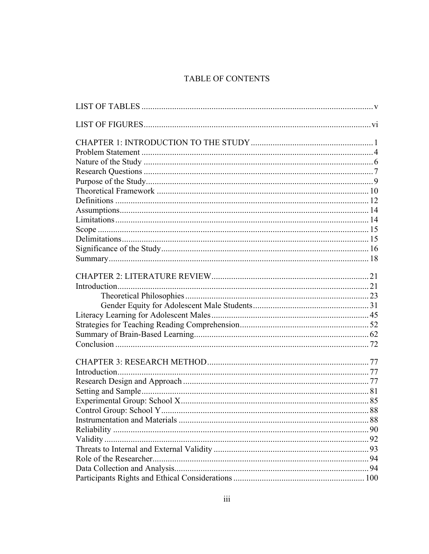## TABLE OF CONTENTS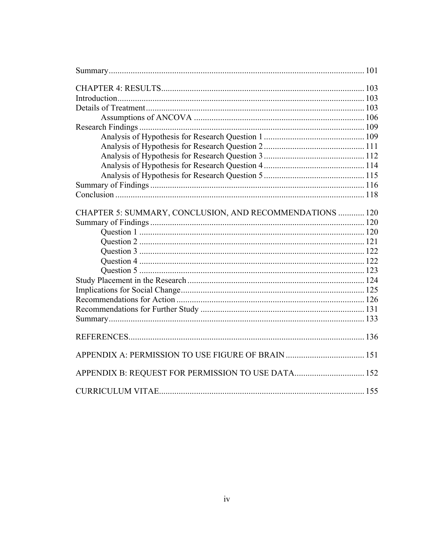| CHAPTER 5: SUMMARY, CONCLUSION, AND RECOMMENDATIONS  120 |  |
|----------------------------------------------------------|--|
|                                                          |  |
|                                                          |  |
|                                                          |  |
|                                                          |  |
|                                                          |  |
|                                                          |  |
|                                                          |  |
|                                                          |  |
|                                                          |  |
|                                                          |  |
|                                                          |  |
|                                                          |  |
|                                                          |  |
| APPENDIX B: REQUEST FOR PERMISSION TO USE DATA 152       |  |
|                                                          |  |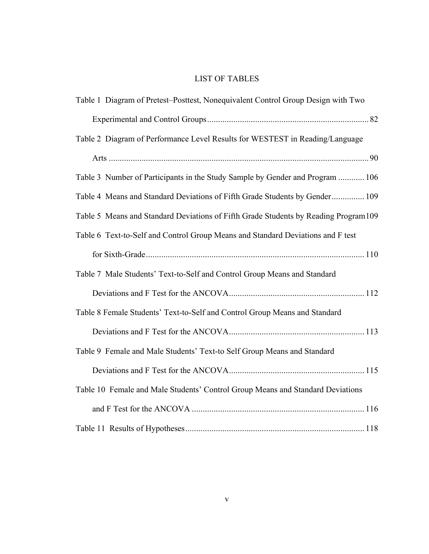## LIST OF TABLES

| Table 1 Diagram of Pretest-Posttest, Nonequivalent Control Group Design with Two    |
|-------------------------------------------------------------------------------------|
|                                                                                     |
| Table 2 Diagram of Performance Level Results for WESTEST in Reading/Language        |
|                                                                                     |
| Table 3 Number of Participants in the Study Sample by Gender and Program  106       |
| Table 4 Means and Standard Deviations of Fifth Grade Students by Gender 109         |
| Table 5 Means and Standard Deviations of Fifth Grade Students by Reading Program109 |
| Table 6 Text-to-Self and Control Group Means and Standard Deviations and F test     |
|                                                                                     |
| Table 7 Male Students' Text-to-Self and Control Group Means and Standard            |
|                                                                                     |
| Table 8 Female Students' Text-to-Self and Control Group Means and Standard          |
|                                                                                     |
| Table 9 Female and Male Students' Text-to Self Group Means and Standard             |
|                                                                                     |
| Table 10 Female and Male Students' Control Group Means and Standard Deviations      |
|                                                                                     |
|                                                                                     |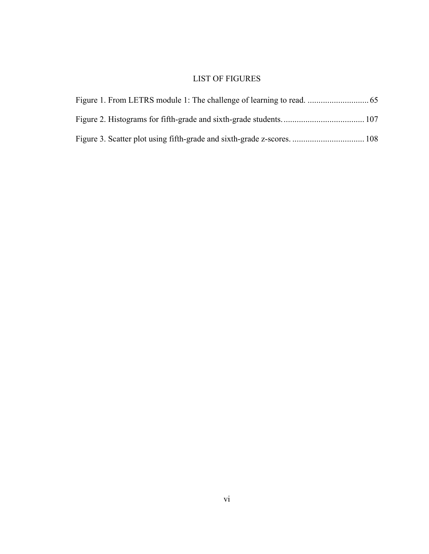## LIST OF FIGURES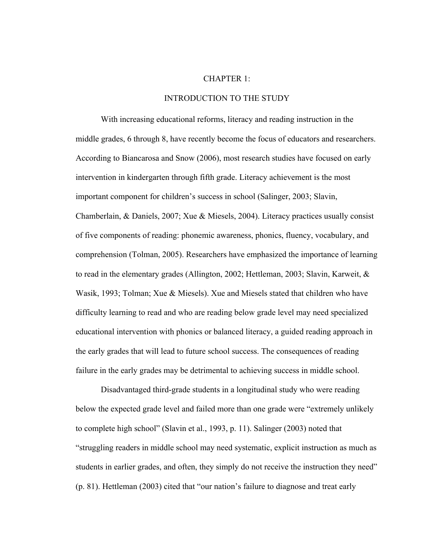#### CHAPTER 1:

#### INTRODUCTION TO THE STUDY

With increasing educational reforms, literacy and reading instruction in the middle grades, 6 through 8, have recently become the focus of educators and researchers. According to Biancarosa and Snow (2006), most research studies have focused on early intervention in kindergarten through fifth grade. Literacy achievement is the most important component for children's success in school (Salinger, 2003; Slavin, Chamberlain, & Daniels, 2007; Xue & Miesels, 2004). Literacy practices usually consist of five components of reading: phonemic awareness, phonics, fluency, vocabulary, and comprehension (Tolman, 2005). Researchers have emphasized the importance of learning to read in the elementary grades (Allington, 2002; Hettleman, 2003; Slavin, Karweit, & Wasik, 1993; Tolman; Xue & Miesels). Xue and Miesels stated that children who have difficulty learning to read and who are reading below grade level may need specialized educational intervention with phonics or balanced literacy, a guided reading approach in the early grades that will lead to future school success. The consequences of reading failure in the early grades may be detrimental to achieving success in middle school.

Disadvantaged third-grade students in a longitudinal study who were reading below the expected grade level and failed more than one grade were "extremely unlikely to complete high school" (Slavin et al., 1993, p. 11). Salinger (2003) noted that "struggling readers in middle school may need systematic, explicit instruction as much as students in earlier grades, and often, they simply do not receive the instruction they need" (p. 81). Hettleman (2003) cited that "our nation's failure to diagnose and treat early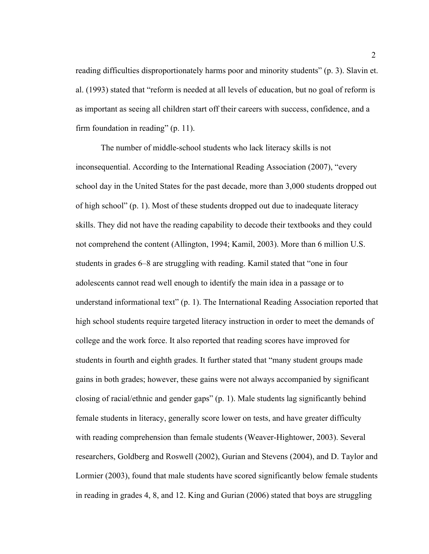reading difficulties disproportionately harms poor and minority students" (p. 3). Slavin et. al. (1993) stated that "reform is needed at all levels of education, but no goal of reform is as important as seeing all children start off their careers with success, confidence, and a firm foundation in reading" (p. 11).

The number of middle-school students who lack literacy skills is not inconsequential. According to the International Reading Association (2007), "every school day in the United States for the past decade, more than 3,000 students dropped out of high school" (p. 1). Most of these students dropped out due to inadequate literacy skills. They did not have the reading capability to decode their textbooks and they could not comprehend the content (Allington, 1994; Kamil, 2003). More than 6 million U.S. students in grades 6–8 are struggling with reading. Kamil stated that "one in four adolescents cannot read well enough to identify the main idea in a passage or to understand informational text" (p. 1). The International Reading Association reported that high school students require targeted literacy instruction in order to meet the demands of college and the work force. It also reported that reading scores have improved for students in fourth and eighth grades. It further stated that "many student groups made gains in both grades; however, these gains were not always accompanied by significant closing of racial/ethnic and gender gaps" (p. 1). Male students lag significantly behind female students in literacy, generally score lower on tests, and have greater difficulty with reading comprehension than female students (Weaver-Hightower, 2003). Several researchers, Goldberg and Roswell (2002), Gurian and Stevens (2004), and D. Taylor and Lormier (2003), found that male students have scored significantly below female students in reading in grades 4, 8, and 12. King and Gurian (2006) stated that boys are struggling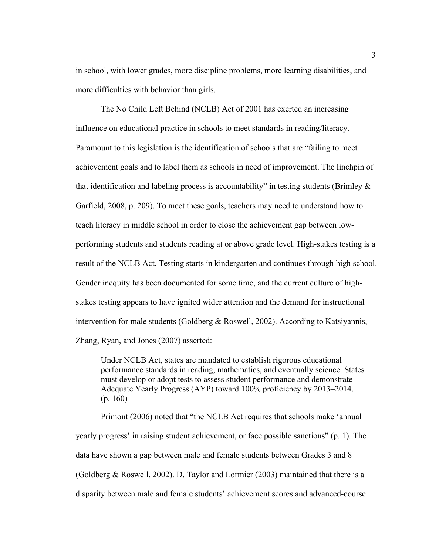in school, with lower grades, more discipline problems, more learning disabilities, and more difficulties with behavior than girls.

The No Child Left Behind (NCLB) Act of 2001 has exerted an increasing influence on educational practice in schools to meet standards in reading/literacy. Paramount to this legislation is the identification of schools that are "failing to meet achievement goals and to label them as schools in need of improvement. The linchpin of that identification and labeling process is accountability" in testing students (Brimley  $\&$ Garfield, 2008, p. 209). To meet these goals, teachers may need to understand how to teach literacy in middle school in order to close the achievement gap between lowperforming students and students reading at or above grade level. High-stakes testing is a result of the NCLB Act. Testing starts in kindergarten and continues through high school. Gender inequity has been documented for some time, and the current culture of highstakes testing appears to have ignited wider attention and the demand for instructional intervention for male students (Goldberg & Roswell, 2002). According to Katsiyannis, Zhang, Ryan, and Jones (2007) asserted:

Under NCLB Act, states are mandated to establish rigorous educational performance standards in reading, mathematics, and eventually science. States must develop or adopt tests to assess student performance and demonstrate Adequate Yearly Progress (AYP) toward 100% proficiency by 2013–2014. (p. 160)

Primont (2006) noted that "the NCLB Act requires that schools make 'annual yearly progress' in raising student achievement, or face possible sanctions" (p. 1). The data have shown a gap between male and female students between Grades 3 and 8 (Goldberg & Roswell, 2002). D. Taylor and Lormier (2003) maintained that there is a disparity between male and female students' achievement scores and advanced-course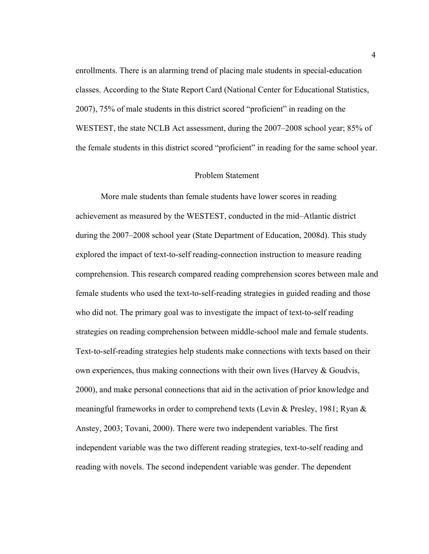enrollments. There is an alarming trend of placing male students in special-education classes. According to the State Report Card (National Center for Educational Statistics, 2007), 75% of male students in this district scored "proficient" in reading on the WESTEST, the state NCLB Act assessment, during the 2007–2008 school year; 85% of the female students in this district scored "proficient" in reading for the same school year.

#### Problem Statement

More male students than female students have lower scores in reading achievement as measured by the WESTEST, conducted in the mid–Atlantic district during the 2007–2008 school year (State Department of Education, 2008d). This study explored the impact of text-to-self reading-connection instruction to measure reading comprehension. This research compared reading comprehension scores between male and female students who used the text-to-self-reading strategies in guided reading and those who did not. The primary goal was to investigate the impact of text-to-self reading strategies on reading comprehension between middle-school male and female students. Text-to-self-reading strategies help students make connections with texts based on their own experiences, thus making connections with their own lives (Harvey  $&$  Goudvis, 2000), and make personal connections that aid in the activation of prior knowledge and meaningful frameworks in order to comprehend texts (Levin & Presley, 1981; Ryan  $\&$ Anstey, 2003; Tovani, 2000). There were two independent variables. The first independent variable was the two different reading strategies, text-to-self reading and reading with novels. The second independent variable was gender. The dependent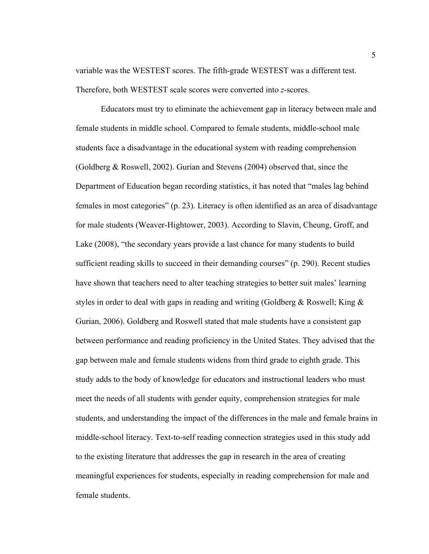variable was the WESTEST scores. The fifth-grade WESTEST was a different test. Therefore, both WESTEST scale scores were converted into *z*-scores.

Educators must try to eliminate the achievement gap in literacy between male and female students in middle school. Compared to female students, middle-school male students face a disadvantage in the educational system with reading comprehension (Goldberg & Roswell, 2002). Gurian and Stevens (2004) observed that, since the Department of Education began recording statistics, it has noted that "males lag behind females in most categories" (p. 23). Literacy is often identified as an area of disadvantage for male students (Weaver-Hightower, 2003). According to Slavin, Cheung, Groff, and Lake (2008), "the secondary years provide a last chance for many students to build sufficient reading skills to succeed in their demanding courses" (p. 290). Recent studies have shown that teachers need to alter teaching strategies to better suit males' learning styles in order to deal with gaps in reading and writing (Goldberg & Roswell; King & Gurian, 2006). Goldberg and Roswell stated that male students have a consistent gap between performance and reading proficiency in the United States. They advised that the gap between male and female students widens from third grade to eighth grade. This study adds to the body of knowledge for educators and instructional leaders who must meet the needs of all students with gender equity, comprehension strategies for male students, and understanding the impact of the differences in the male and female brains in middle-school literacy. Text-to-self reading connection strategies used in this study add to the existing literature that addresses the gap in research in the area of creating meaningful experiences for students, especially in reading comprehension for male and female students.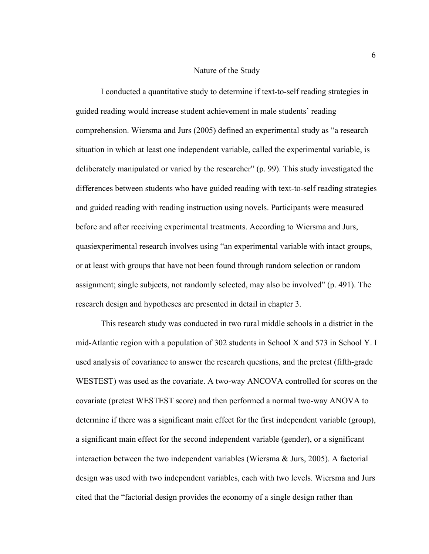#### Nature of the Study

I conducted a quantitative study to determine if text-to-self reading strategies in guided reading would increase student achievement in male students' reading comprehension. Wiersma and Jurs (2005) defined an experimental study as "a research situation in which at least one independent variable, called the experimental variable, is deliberately manipulated or varied by the researcher" (p. 99). This study investigated the differences between students who have guided reading with text-to-self reading strategies and guided reading with reading instruction using novels. Participants were measured before and after receiving experimental treatments. According to Wiersma and Jurs, quasiexperimental research involves using "an experimental variable with intact groups, or at least with groups that have not been found through random selection or random assignment; single subjects, not randomly selected, may also be involved" (p. 491). The research design and hypotheses are presented in detail in chapter 3.

This research study was conducted in two rural middle schools in a district in the mid-Atlantic region with a population of 302 students in School X and 573 in School Y. I used analysis of covariance to answer the research questions, and the pretest (fifth-grade WESTEST) was used as the covariate. A two-way ANCOVA controlled for scores on the covariate (pretest WESTEST score) and then performed a normal two-way ANOVA to determine if there was a significant main effect for the first independent variable (group), a significant main effect for the second independent variable (gender), or a significant interaction between the two independent variables (Wiersma & Jurs, 2005). A factorial design was used with two independent variables, each with two levels. Wiersma and Jurs cited that the "factorial design provides the economy of a single design rather than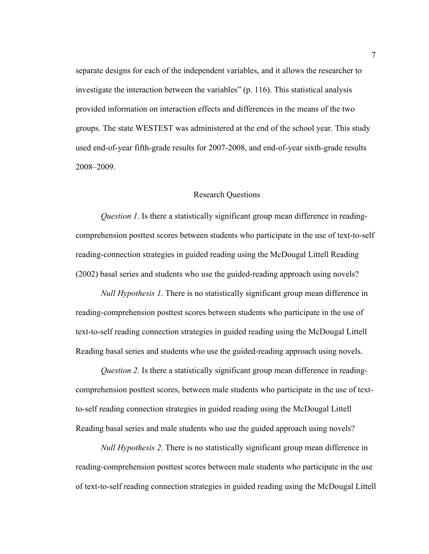separate designs for each of the independent variables, and it allows the researcher to investigate the interaction between the variables" (p. 116). This statistical analysis provided information on interaction effects and differences in the means of the two groups. The state WESTEST was administered at the end of the school year. This study used end-of-year fifth-grade results for 2007-2008, and end-of-year sixth-grade results 2008–2009.

#### Research Questions

*Question 1*. Is there a statistically significant group mean difference in readingcomprehension posttest scores between students who participate in the use of text-to-self reading-connection strategies in guided reading using the McDougal Littell Reading (2002) basal series and students who use the guided-reading approach using novels?

*Null Hypothesis 1*. There is no statistically significant group mean difference in reading-comprehension posttest scores between students who participate in the use of text-to-self reading connection strategies in guided reading using the McDougal Littell Reading basal series and students who use the guided-reading approach using novels.

*Question 2.* Is there a statistically significant group mean difference in readingcomprehension posttest scores, between male students who participate in the use of textto-self reading connection strategies in guided reading using the McDougal Littell Reading basal series and male students who use the guided approach using novels?

*Null Hypothesis 2*. There is no statistically significant group mean difference in reading-comprehension posttest scores between male students who participate in the use of text-to-self reading connection strategies in guided reading using the McDougal Littell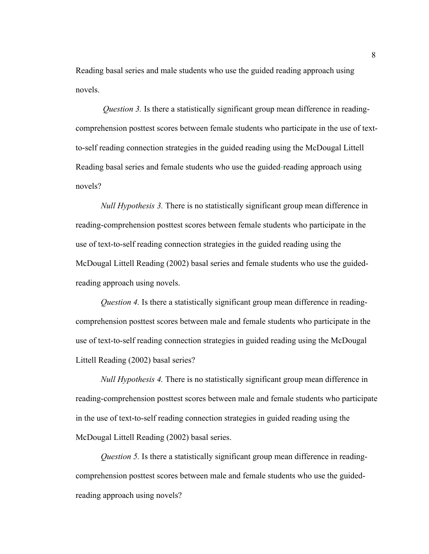Reading basal series and male students who use the guided reading approach using novels.

*Question 3.* Is there a statistically significant group mean difference in readingcomprehension posttest scores between female students who participate in the use of textto-self reading connection strategies in the guided reading using the McDougal Littell Reading basal series and female students who use the guided-reading approach using novels?

*Null Hypothesis 3.* There is no statistically significant group mean difference in reading-comprehension posttest scores between female students who participate in the use of text-to-self reading connection strategies in the guided reading using the McDougal Littell Reading (2002) basal series and female students who use the guidedreading approach using novels.

*Question 4.* Is there a statistically significant group mean difference in readingcomprehension posttest scores between male and female students who participate in the use of text-to-self reading connection strategies in guided reading using the McDougal Littell Reading (2002) basal series?

*Null Hypothesis 4.* There is no statistically significant group mean difference in reading-comprehension posttest scores between male and female students who participate in the use of text-to-self reading connection strategies in guided reading using the McDougal Littell Reading (2002) basal series.

*Question 5.* Is there a statistically significant group mean difference in readingcomprehension posttest scores between male and female students who use the guidedreading approach using novels?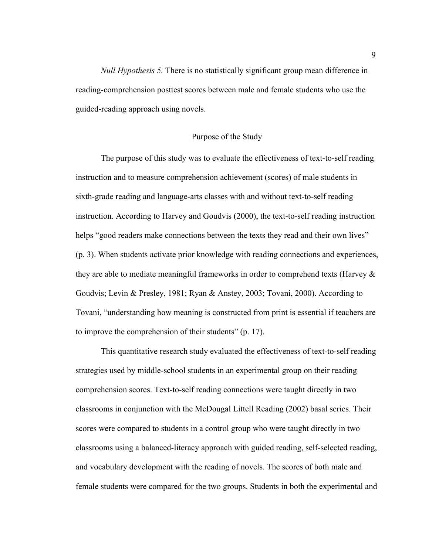*Null Hypothesis 5.* There is no statistically significant group mean difference in reading-comprehension posttest scores between male and female students who use the guided-reading approach using novels.

#### Purpose of the Study

The purpose of this study was to evaluate the effectiveness of text-to-self reading instruction and to measure comprehension achievement (scores) of male students in sixth-grade reading and language-arts classes with and without text-to-self reading instruction. According to Harvey and Goudvis (2000), the text-to-self reading instruction helps "good readers make connections between the texts they read and their own lives" (p. 3). When students activate prior knowledge with reading connections and experiences, they are able to mediate meaningful frameworks in order to comprehend texts (Harvey & Goudvis; Levin & Presley, 1981; Ryan & Anstey, 2003; Tovani, 2000). According to Tovani, "understanding how meaning is constructed from print is essential if teachers are to improve the comprehension of their students" (p. 17).

This quantitative research study evaluated the effectiveness of text-to-self reading strategies used by middle-school students in an experimental group on their reading comprehension scores. Text-to-self reading connections were taught directly in two classrooms in conjunction with the McDougal Littell Reading (2002) basal series. Their scores were compared to students in a control group who were taught directly in two classrooms using a balanced-literacy approach with guided reading, self-selected reading, and vocabulary development with the reading of novels. The scores of both male and female students were compared for the two groups. Students in both the experimental and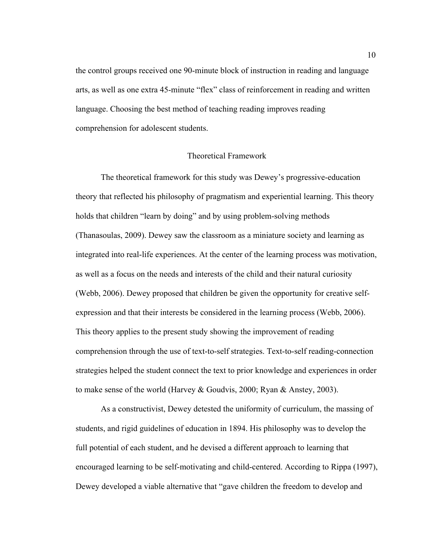the control groups received one 90-minute block of instruction in reading and language arts, as well as one extra 45-minute "flex" class of reinforcement in reading and written language. Choosing the best method of teaching reading improves reading comprehension for adolescent students.

#### Theoretical Framework

The theoretical framework for this study was Dewey's progressive-education theory that reflected his philosophy of pragmatism and experiential learning. This theory holds that children "learn by doing" and by using problem-solving methods (Thanasoulas, 2009). Dewey saw the classroom as a miniature society and learning as integrated into real-life experiences. At the center of the learning process was motivation, as well as a focus on the needs and interests of the child and their natural curiosity (Webb, 2006). Dewey proposed that children be given the opportunity for creative selfexpression and that their interests be considered in the learning process (Webb, 2006). This theory applies to the present study showing the improvement of reading comprehension through the use of text-to-self strategies. Text-to-self reading-connection strategies helped the student connect the text to prior knowledge and experiences in order to make sense of the world (Harvey & Goudvis, 2000; Ryan & Anstey, 2003).

As a constructivist, Dewey detested the uniformity of curriculum, the massing of students, and rigid guidelines of education in 1894. His philosophy was to develop the full potential of each student, and he devised a different approach to learning that encouraged learning to be self-motivating and child-centered. According to Rippa (1997), Dewey developed a viable alternative that "gave children the freedom to develop and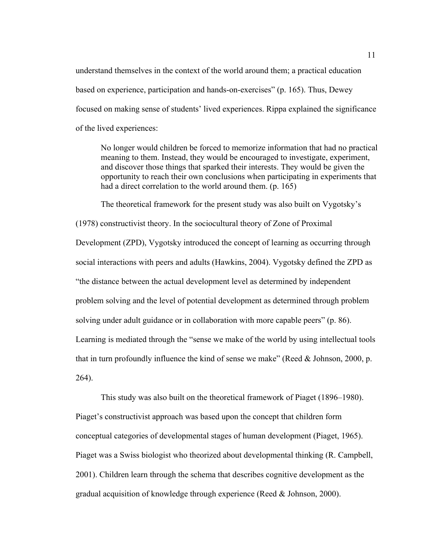understand themselves in the context of the world around them; a practical education based on experience, participation and hands-on-exercises" (p. 165). Thus, Dewey focused on making sense of students' lived experiences. Rippa explained the significance of the lived experiences:

No longer would children be forced to memorize information that had no practical meaning to them. Instead, they would be encouraged to investigate, experiment, and discover those things that sparked their interests. They would be given the opportunity to reach their own conclusions when participating in experiments that had a direct correlation to the world around them. (p. 165)

The theoretical framework for the present study was also built on Vygotsky's (1978) constructivist theory. In the sociocultural theory of Zone of Proximal Development (ZPD), Vygotsky introduced the concept of learning as occurring through social interactions with peers and adults (Hawkins, 2004). Vygotsky defined the ZPD as "the distance between the actual development level as determined by independent problem solving and the level of potential development as determined through problem solving under adult guidance or in collaboration with more capable peers" (p. 86). Learning is mediated through the "sense we make of the world by using intellectual tools that in turn profoundly influence the kind of sense we make" (Reed & Johnson, 2000, p. 264).

This study was also built on the theoretical framework of Piaget (1896–1980). Piaget's constructivist approach was based upon the concept that children form conceptual categories of developmental stages of human development (Piaget, 1965). Piaget was a Swiss biologist who theorized about developmental thinking (R. Campbell, 2001). Children learn through the schema that describes cognitive development as the gradual acquisition of knowledge through experience (Reed  $&$  Johnson, 2000).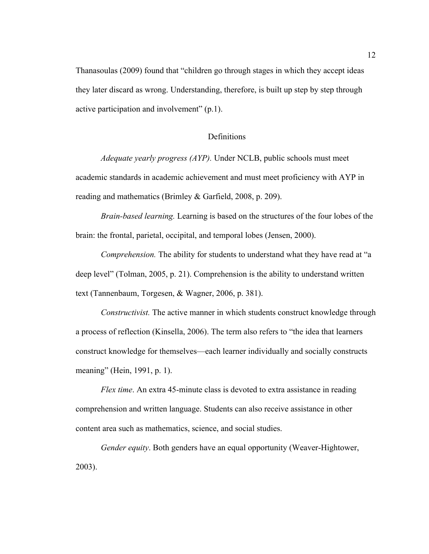Thanasoulas (2009) found that "children go through stages in which they accept ideas they later discard as wrong. Understanding, therefore, is built up step by step through active participation and involvement" (p.1).

#### **Definitions**

*Adequate yearly progress (AYP).* Under NCLB, public schools must meet academic standards in academic achievement and must meet proficiency with AYP in reading and mathematics (Brimley & Garfield, 2008, p. 209).

*Brain-based learning.* Learning is based on the structures of the four lobes of the brain: the frontal, parietal, occipital, and temporal lobes (Jensen, 2000).

*Comprehension.* The ability for students to understand what they have read at "a deep level" (Tolman, 2005, p. 21). Comprehension is the ability to understand written text (Tannenbaum, Torgesen, & Wagner, 2006, p. 381).

*Constructivist.* The active manner in which students construct knowledge through a process of reflection (Kinsella, 2006). The term also refers to "the idea that learners construct knowledge for themselves—each learner individually and socially constructs meaning" (Hein, 1991, p. 1).

*Flex time*. An extra 45-minute class is devoted to extra assistance in reading comprehension and written language. Students can also receive assistance in other content area such as mathematics, science, and social studies.

*Gender equity*. Both genders have an equal opportunity (Weaver-Hightower, 2003).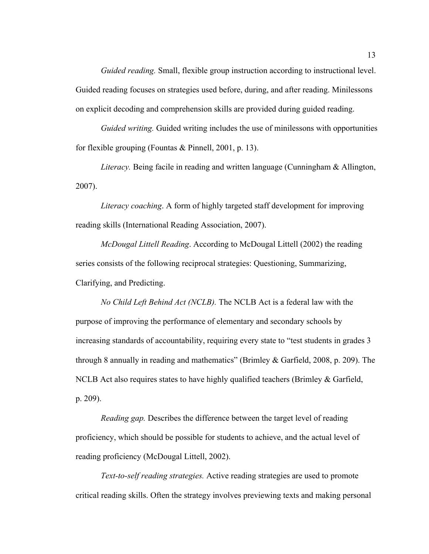*Guided reading.* Small, flexible group instruction according to instructional level. Guided reading focuses on strategies used before, during, and after reading. Minilessons on explicit decoding and comprehension skills are provided during guided reading.

*Guided writing.* Guided writing includes the use of minilessons with opportunities for flexible grouping (Fountas & Pinnell, 2001, p. 13).

*Literacy.* Being facile in reading and written language (Cunningham & Allington, 2007).

*Literacy coaching*. A form of highly targeted staff development for improving reading skills (International Reading Association, 2007).

*McDougal Littell Reading*. According to McDougal Littell (2002) the reading series consists of the following reciprocal strategies: Questioning, Summarizing, Clarifying, and Predicting.

*No Child Left Behind Act (NCLB).* The NCLB Act is a federal law with the purpose of improving the performance of elementary and secondary schools by increasing standards of accountability, requiring every state to "test students in grades 3 through 8 annually in reading and mathematics" (Brimley & Garfield, 2008, p. 209). The NCLB Act also requires states to have highly qualified teachers (Brimley & Garfield, p. 209).

*Reading gap.* Describes the difference between the target level of reading proficiency, which should be possible for students to achieve, and the actual level of reading proficiency (McDougal Littell, 2002).

*Text-to-self reading strategies.* Active reading strategies are used to promote critical reading skills. Often the strategy involves previewing texts and making personal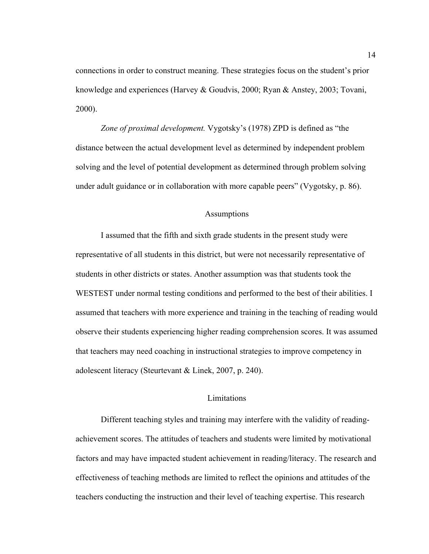connections in order to construct meaning. These strategies focus on the student's prior knowledge and experiences (Harvey & Goudvis, 2000; Ryan & Anstey, 2003; Tovani, 2000).

*Zone of proximal development.* Vygotsky's (1978) ZPD is defined as "the distance between the actual development level as determined by independent problem solving and the level of potential development as determined through problem solving under adult guidance or in collaboration with more capable peers" (Vygotsky, p. 86).

#### Assumptions

I assumed that the fifth and sixth grade students in the present study were representative of all students in this district, but were not necessarily representative of students in other districts or states. Another assumption was that students took the WESTEST under normal testing conditions and performed to the best of their abilities. I assumed that teachers with more experience and training in the teaching of reading would observe their students experiencing higher reading comprehension scores. It was assumed that teachers may need coaching in instructional strategies to improve competency in adolescent literacy (Steurtevant & Linek, 2007, p. 240).

#### Limitations

Different teaching styles and training may interfere with the validity of readingachievement scores. The attitudes of teachers and students were limited by motivational factors and may have impacted student achievement in reading/literacy. The research and effectiveness of teaching methods are limited to reflect the opinions and attitudes of the teachers conducting the instruction and their level of teaching expertise. This research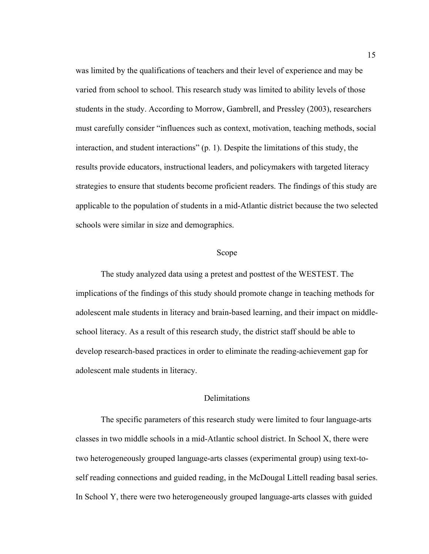was limited by the qualifications of teachers and their level of experience and may be varied from school to school. This research study was limited to ability levels of those students in the study. According to Morrow, Gambrell, and Pressley (2003), researchers must carefully consider "influences such as context, motivation, teaching methods, social interaction, and student interactions" (p. 1). Despite the limitations of this study, the results provide educators, instructional leaders, and policymakers with targeted literacy strategies to ensure that students become proficient readers. The findings of this study are applicable to the population of students in a mid-Atlantic district because the two selected schools were similar in size and demographics.

#### Scope

The study analyzed data using a pretest and posttest of the WESTEST. The implications of the findings of this study should promote change in teaching methods for adolescent male students in literacy and brain-based learning, and their impact on middleschool literacy. As a result of this research study, the district staff should be able to develop research-based practices in order to eliminate the reading-achievement gap for adolescent male students in literacy.

#### **Delimitations**

The specific parameters of this research study were limited to four language-arts classes in two middle schools in a mid-Atlantic school district. In School X, there were two heterogeneously grouped language-arts classes (experimental group) using text-toself reading connections and guided reading, in the McDougal Littell reading basal series. In School Y, there were two heterogeneously grouped language-arts classes with guided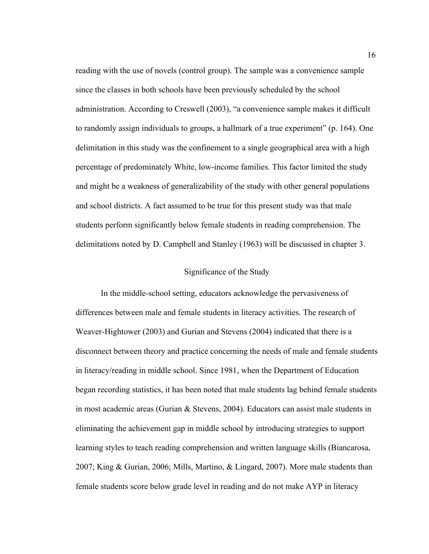reading with the use of novels (control group). The sample was a convenience sample since the classes in both schools have been previously scheduled by the school administration. According to Creswell (2003), "a convenience sample makes it difficult to randomly assign individuals to groups, a hallmark of a true experiment" (p. 164). One delimitation in this study was the confinement to a single geographical area with a high percentage of predominately White, low-income families. This factor limited the study and might be a weakness of generalizability of the study with other general populations and school districts. A fact assumed to be true for this present study was that male students perform significantly below female students in reading comprehension. The delimitations noted by D. Campbell and Stanley (1963) will be discussed in chapter 3.

#### Significance of the Study

In the middle-school setting, educators acknowledge the pervasiveness of differences between male and female students in literacy activities. The research of Weaver-Hightower (2003) and Gurian and Stevens (2004) indicated that there is a disconnect between theory and practice concerning the needs of male and female students in literacy/reading in middle school. Since 1981, when the Department of Education began recording statistics, it has been noted that male students lag behind female students in most academic areas (Gurian & Stevens, 2004). Educators can assist male students in eliminating the achievement gap in middle school by introducing strategies to support learning styles to teach reading comprehension and written language skills (Biancarosa, 2007; King & Gurian, 2006; Mills, Martino, & Lingard, 2007). More male students than female students score below grade level in reading and do not make AYP in literacy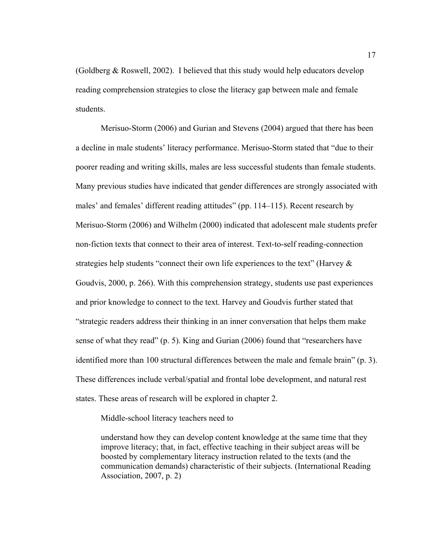(Goldberg & Roswell, 2002). I believed that this study would help educators develop reading comprehension strategies to close the literacy gap between male and female students.

Merisuo-Storm (2006) and Gurian and Stevens (2004) argued that there has been a decline in male students' literacy performance. Merisuo-Storm stated that "due to their poorer reading and writing skills, males are less successful students than female students. Many previous studies have indicated that gender differences are strongly associated with males' and females' different reading attitudes" (pp. 114–115). Recent research by Merisuo-Storm (2006) and Wilhelm (2000) indicated that adolescent male students prefer non-fiction texts that connect to their area of interest. Text-to-self reading-connection strategies help students "connect their own life experiences to the text" (Harvey  $\&$ Goudvis, 2000, p. 266). With this comprehension strategy, students use past experiences and prior knowledge to connect to the text. Harvey and Goudvis further stated that "strategic readers address their thinking in an inner conversation that helps them make sense of what they read" (p. 5). King and Gurian (2006) found that "researchers have identified more than 100 structural differences between the male and female brain" (p. 3). These differences include verbal/spatial and frontal lobe development, and natural rest states. These areas of research will be explored in chapter 2.

Middle-school literacy teachers need to

understand how they can develop content knowledge at the same time that they improve literacy; that, in fact, effective teaching in their subject areas will be boosted by complementary literacy instruction related to the texts (and the communication demands) characteristic of their subjects. (International Reading Association, 2007, p. 2)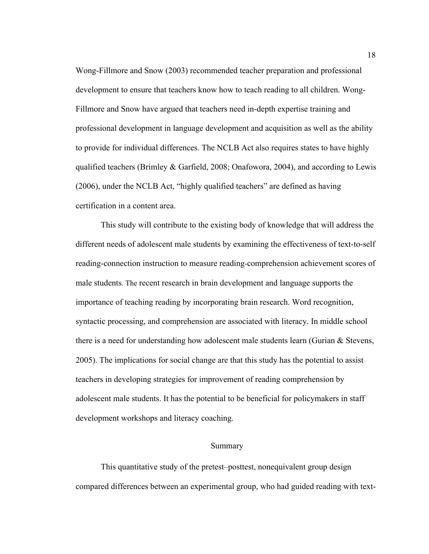Wong-Fillmore and Snow (2003) recommended teacher preparation and professional development to ensure that teachers know how to teach reading to all children. Wong-Fillmore and Snow have argued that teachers need in-depth expertise training and professional development in language development and acquisition as well as the ability to provide for individual differences. The NCLB Act also requires states to have highly qualified teachers (Brimley & Garfield, 2008; Onafowora, 2004), and according to Lewis (2006), under the NCLB Act, "highly qualified teachers" are defined as having certification in a content area.

This study will contribute to the existing body of knowledge that will address the different needs of adolescent male students by examining the effectiveness of text-to-self reading-connection instruction to measure reading-comprehension achievement scores of male students. The recent research in brain development and language supports the importance of teaching reading by incorporating brain research. Word recognition, syntactic processing, and comprehension are associated with literacy. In middle school there is a need for understanding how adolescent male students learn (Gurian & Stevens, 2005). The implications for social change are that this study has the potential to assist teachers in developing strategies for improvement of reading comprehension by adolescent male students. It has the potential to be beneficial for policymakers in staff development workshops and literacy coaching.

#### Summary

This quantitative study of the pretest–posttest, nonequivalent group design compared differences between an experimental group, who had guided reading with text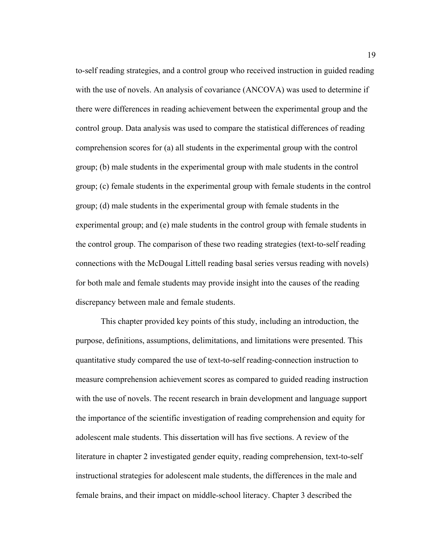to-self reading strategies, and a control group who received instruction in guided reading with the use of novels. An analysis of covariance (ANCOVA) was used to determine if there were differences in reading achievement between the experimental group and the control group. Data analysis was used to compare the statistical differences of reading comprehension scores for (a) all students in the experimental group with the control group; (b) male students in the experimental group with male students in the control group; (c) female students in the experimental group with female students in the control group; (d) male students in the experimental group with female students in the experimental group; and (e) male students in the control group with female students in the control group. The comparison of these two reading strategies (text-to-self reading connections with the McDougal Littell reading basal series versus reading with novels) for both male and female students may provide insight into the causes of the reading discrepancy between male and female students.

This chapter provided key points of this study, including an introduction, the purpose, definitions, assumptions, delimitations, and limitations were presented. This quantitative study compared the use of text-to-self reading-connection instruction to measure comprehension achievement scores as compared to guided reading instruction with the use of novels. The recent research in brain development and language support the importance of the scientific investigation of reading comprehension and equity for adolescent male students. This dissertation will has five sections. A review of the literature in chapter 2 investigated gender equity, reading comprehension, text-to-self instructional strategies for adolescent male students, the differences in the male and female brains, and their impact on middle-school literacy. Chapter 3 described the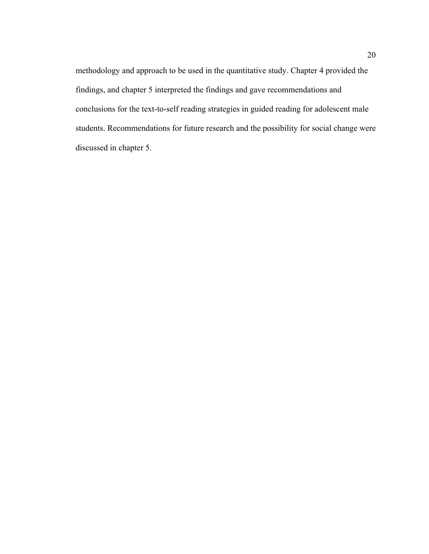methodology and approach to be used in the quantitative study. Chapter 4 provided the findings, and chapter 5 interpreted the findings and gave recommendations and conclusions for the text-to-self reading strategies in guided reading for adolescent male students. Recommendations for future research and the possibility for social change were discussed in chapter 5.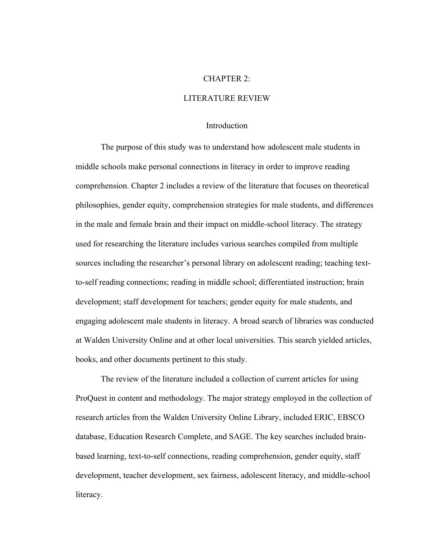#### CHAPTER 2:

#### LITERATURE REVIEW

#### **Introduction**

The purpose of this study was to understand how adolescent male students in middle schools make personal connections in literacy in order to improve reading comprehension. Chapter 2 includes a review of the literature that focuses on theoretical philosophies, gender equity, comprehension strategies for male students, and differences in the male and female brain and their impact on middle-school literacy. The strategy used for researching the literature includes various searches compiled from multiple sources including the researcher's personal library on adolescent reading; teaching textto-self reading connections; reading in middle school; differentiated instruction; brain development; staff development for teachers; gender equity for male students, and engaging adolescent male students in literacy. A broad search of libraries was conducted at Walden University Online and at other local universities. This search yielded articles, books, and other documents pertinent to this study.

The review of the literature included a collection of current articles for using ProQuest in content and methodology. The major strategy employed in the collection of research articles from the Walden University Online Library, included ERIC, EBSCO database, Education Research Complete, and SAGE. The key searches included brainbased learning, text-to-self connections, reading comprehension, gender equity, staff development, teacher development, sex fairness, adolescent literacy, and middle-school literacy.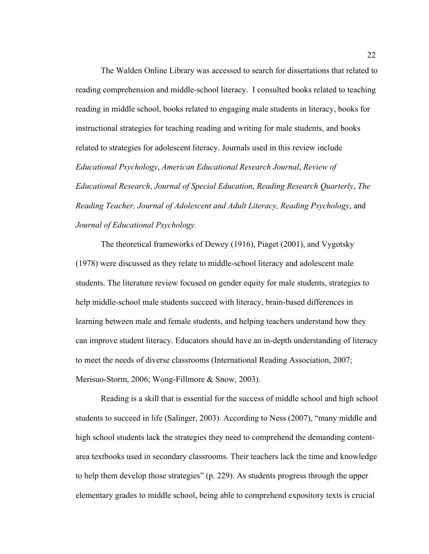The Walden Online Library was accessed to search for dissertations that related to reading comprehension and middle-school literacy. I consulted books related to teaching reading in middle school, books related to engaging male students in literacy, books for instructional strategies for teaching reading and writing for male students, and books related to strategies for adolescent literacy. Journals used in this review include *Educational Psychology*, *American Educational Research Journal*, *Review of Educational Research*, *Journal of Special Education*, *Reading Research Quarterly*, *The Reading Teacher, Journal of Adolescent and Adult Literacy, Reading Psychology*, and *Journal of Educational Psychology.*

The theoretical frameworks of Dewey (1916), Piaget (2001), and Vygotsky (1978) were discussed as they relate to middle-school literacy and adolescent male students. The literature review focused on gender equity for male students, strategies to help middle-school male students succeed with literacy, brain-based differences in learning between male and female students, and helping teachers understand how they can improve student literacy. Educators should have an in-depth understanding of literacy to meet the needs of diverse classrooms (International Reading Association, 2007; Merisuo-Storm, 2006; Wong-Fillmore & Snow, 2003).

Reading is a skill that is essential for the success of middle school and high school students to succeed in life (Salinger, 2003). According to Ness (2007), "many middle and high school students lack the strategies they need to comprehend the demanding contentarea textbooks used in secondary classrooms. Their teachers lack the time and knowledge to help them develop those strategies" (p. 229). As students progress through the upper elementary grades to middle school, being able to comprehend expository texts is crucial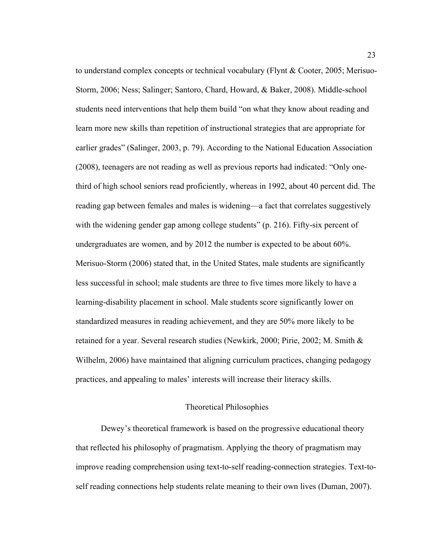to understand complex concepts or technical vocabulary (Flynt & Cooter, 2005; Merisuo-Storm, 2006; Ness; Salinger; Santoro, Chard, Howard, & Baker, 2008). Middle-school students need interventions that help them build "on what they know about reading and learn more new skills than repetition of instructional strategies that are appropriate for earlier grades" (Salinger, 2003, p. 79). According to the National Education Association (2008), teenagers are not reading as well as previous reports had indicated: "Only onethird of high school seniors read proficiently, whereas in 1992, about 40 percent did. The reading gap between females and males is widening—a fact that correlates suggestively with the widening gender gap among college students" (p. 216). Fifty-six percent of undergraduates are women, and by 2012 the number is expected to be about 60%. Merisuo-Storm (2006) stated that, in the United States, male students are significantly less successful in school; male students are three to five times more likely to have a learning-disability placement in school. Male students score significantly lower on standardized measures in reading achievement, and they are 50% more likely to be retained for a year. Several research studies (Newkirk, 2000; Pirie, 2002; M. Smith & Wilhelm, 2006) have maintained that aligning curriculum practices, changing pedagogy practices, and appealing to males' interests will increase their literacy skills.

#### Theoretical Philosophies

Dewey's theoretical framework is based on the progressive educational theory that reflected his philosophy of pragmatism. Applying the theory of pragmatism may improve reading comprehension using text-to-self reading-connection strategies. Text-toself reading connections help students relate meaning to their own lives (Duman, 2007).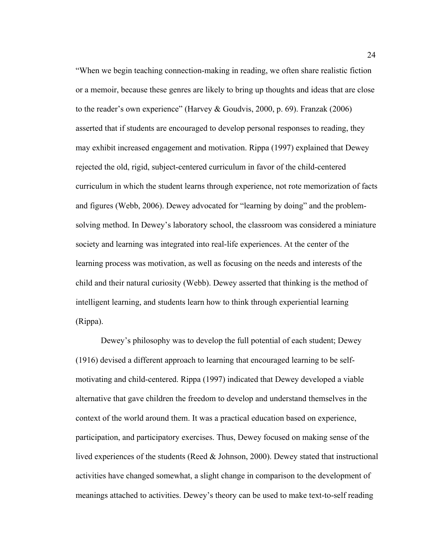"When we begin teaching connection-making in reading, we often share realistic fiction or a memoir, because these genres are likely to bring up thoughts and ideas that are close to the reader's own experience" (Harvey & Goudvis, 2000, p. 69). Franzak (2006) asserted that if students are encouraged to develop personal responses to reading, they may exhibit increased engagement and motivation. Rippa (1997) explained that Dewey rejected the old, rigid, subject-centered curriculum in favor of the child-centered curriculum in which the student learns through experience, not rote memorization of facts and figures (Webb, 2006). Dewey advocated for "learning by doing" and the problemsolving method. In Dewey's laboratory school, the classroom was considered a miniature society and learning was integrated into real-life experiences. At the center of the learning process was motivation, as well as focusing on the needs and interests of the child and their natural curiosity (Webb). Dewey asserted that thinking is the method of intelligent learning, and students learn how to think through experiential learning (Rippa).

Dewey's philosophy was to develop the full potential of each student; Dewey (1916) devised a different approach to learning that encouraged learning to be selfmotivating and child-centered. Rippa (1997) indicated that Dewey developed a viable alternative that gave children the freedom to develop and understand themselves in the context of the world around them. It was a practical education based on experience, participation, and participatory exercises. Thus, Dewey focused on making sense of the lived experiences of the students (Reed & Johnson, 2000). Dewey stated that instructional activities have changed somewhat, a slight change in comparison to the development of meanings attached to activities. Dewey's theory can be used to make text-to-self reading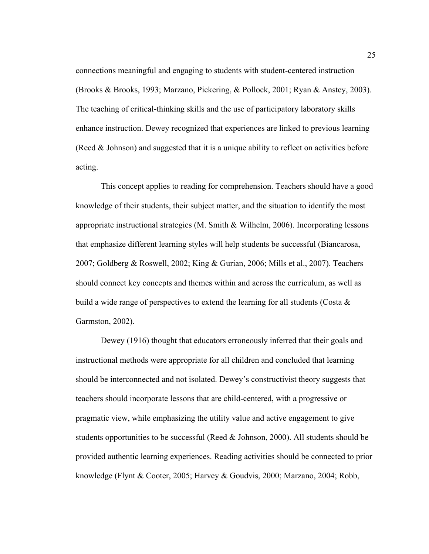connections meaningful and engaging to students with student-centered instruction (Brooks & Brooks, 1993; Marzano, Pickering, & Pollock, 2001; Ryan & Anstey, 2003). The teaching of critical-thinking skills and the use of participatory laboratory skills enhance instruction. Dewey recognized that experiences are linked to previous learning (Reed & Johnson) and suggested that it is a unique ability to reflect on activities before acting.

This concept applies to reading for comprehension. Teachers should have a good knowledge of their students, their subject matter, and the situation to identify the most appropriate instructional strategies (M. Smith & Wilhelm, 2006). Incorporating lessons that emphasize different learning styles will help students be successful (Biancarosa, 2007; Goldberg & Roswell, 2002; King & Gurian, 2006; Mills et al., 2007). Teachers should connect key concepts and themes within and across the curriculum, as well as build a wide range of perspectives to extend the learning for all students (Costa  $\&$ Garmston, 2002).

Dewey (1916) thought that educators erroneously inferred that their goals and instructional methods were appropriate for all children and concluded that learning should be interconnected and not isolated. Dewey's constructivist theory suggests that teachers should incorporate lessons that are child-centered, with a progressive or pragmatic view, while emphasizing the utility value and active engagement to give students opportunities to be successful (Reed  $&$  Johnson, 2000). All students should be provided authentic learning experiences. Reading activities should be connected to prior knowledge (Flynt & Cooter, 2005; Harvey & Goudvis, 2000; Marzano, 2004; Robb,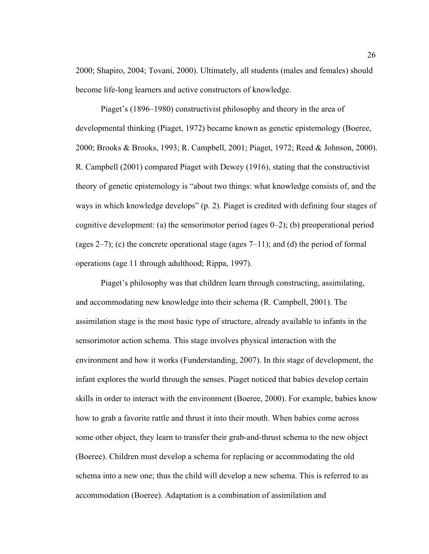2000; Shapiro, 2004; Tovani, 2000). Ultimately, all students (males and females) should become life-long learners and active constructors of knowledge.

Piaget's (1896–1980) constructivist philosophy and theory in the area of developmental thinking (Piaget, 1972) became known as genetic epistemology (Boeree, 2000; Brooks & Brooks, 1993; R. Campbell, 2001; Piaget, 1972; Reed & Johnson, 2000). R. Campbell (2001) compared Piaget with Dewey (1916), stating that the constructivist theory of genetic epistemology is "about two things: what knowledge consists of, and the ways in which knowledge develops" (p. 2). Piaget is credited with defining four stages of cognitive development: (a) the sensorimotor period (ages 0–2); (b) preoperational period (ages 2–7); (c) the concrete operational stage (ages 7–11); and (d) the period of formal operations (age 11 through adulthood; Rippa, 1997).

Piaget's philosophy was that children learn through constructing, assimilating, and accommodating new knowledge into their schema (R. Campbell, 2001). The assimilation stage is the most basic type of structure, already available to infants in the sensorimotor action schema. This stage involves physical interaction with the environment and how it works (Funderstanding, 2007). In this stage of development, the infant explores the world through the senses. Piaget noticed that babies develop certain skills in order to interact with the environment (Boeree, 2000). For example, babies know how to grab a favorite rattle and thrust it into their mouth. When babies come across some other object, they learn to transfer their grab-and-thrust schema to the new object (Boeree). Children must develop a schema for replacing or accommodating the old schema into a new one; thus the child will develop a new schema. This is referred to as accommodation (Boeree). Adaptation is a combination of assimilation and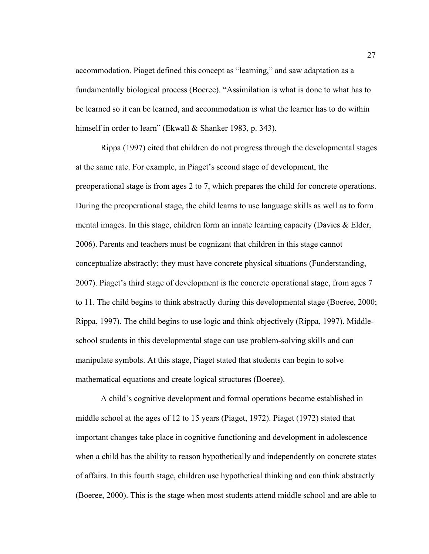accommodation. Piaget defined this concept as "learning," and saw adaptation as a fundamentally biological process (Boeree). "Assimilation is what is done to what has to be learned so it can be learned, and accommodation is what the learner has to do within himself in order to learn" (Ekwall & Shanker 1983, p. 343).

Rippa (1997) cited that children do not progress through the developmental stages at the same rate. For example, in Piaget's second stage of development, the preoperational stage is from ages 2 to 7, which prepares the child for concrete operations. During the preoperational stage, the child learns to use language skills as well as to form mental images. In this stage, children form an innate learning capacity (Davies  $\&$  Elder, 2006). Parents and teachers must be cognizant that children in this stage cannot conceptualize abstractly; they must have concrete physical situations (Funderstanding, 2007). Piaget's third stage of development is the concrete operational stage, from ages 7 to 11. The child begins to think abstractly during this developmental stage (Boeree, 2000; Rippa, 1997). The child begins to use logic and think objectively (Rippa, 1997). Middleschool students in this developmental stage can use problem-solving skills and can manipulate symbols. At this stage, Piaget stated that students can begin to solve mathematical equations and create logical structures (Boeree).

A child's cognitive development and formal operations become established in middle school at the ages of 12 to 15 years (Piaget, 1972). Piaget (1972) stated that important changes take place in cognitive functioning and development in adolescence when a child has the ability to reason hypothetically and independently on concrete states of affairs. In this fourth stage, children use hypothetical thinking and can think abstractly (Boeree, 2000). This is the stage when most students attend middle school and are able to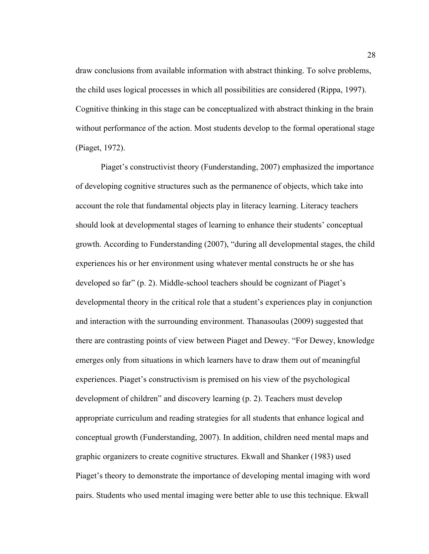draw conclusions from available information with abstract thinking. To solve problems, the child uses logical processes in which all possibilities are considered (Rippa, 1997). Cognitive thinking in this stage can be conceptualized with abstract thinking in the brain without performance of the action. Most students develop to the formal operational stage (Piaget, 1972).

Piaget's constructivist theory (Funderstanding, 2007) emphasized the importance of developing cognitive structures such as the permanence of objects, which take into account the role that fundamental objects play in literacy learning. Literacy teachers should look at developmental stages of learning to enhance their students' conceptual growth. According to Funderstanding (2007), "during all developmental stages, the child experiences his or her environment using whatever mental constructs he or she has developed so far" (p. 2). Middle-school teachers should be cognizant of Piaget's developmental theory in the critical role that a student's experiences play in conjunction and interaction with the surrounding environment. Thanasoulas (2009) suggested that there are contrasting points of view between Piaget and Dewey. "For Dewey, knowledge emerges only from situations in which learners have to draw them out of meaningful experiences. Piaget's constructivism is premised on his view of the psychological development of children" and discovery learning (p. 2). Teachers must develop appropriate curriculum and reading strategies for all students that enhance logical and conceptual growth (Funderstanding, 2007). In addition, children need mental maps and graphic organizers to create cognitive structures. Ekwall and Shanker (1983) used Piaget's theory to demonstrate the importance of developing mental imaging with word pairs. Students who used mental imaging were better able to use this technique. Ekwall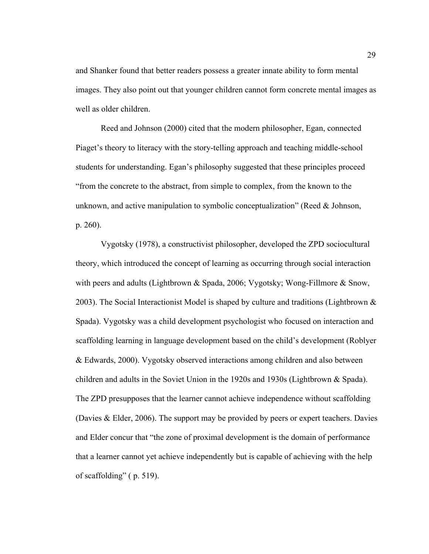and Shanker found that better readers possess a greater innate ability to form mental images. They also point out that younger children cannot form concrete mental images as well as older children.

Reed and Johnson (2000) cited that the modern philosopher, Egan, connected Piaget's theory to literacy with the story-telling approach and teaching middle-school students for understanding. Egan's philosophy suggested that these principles proceed "from the concrete to the abstract, from simple to complex, from the known to the unknown, and active manipulation to symbolic conceptualization" (Reed & Johnson, p. 260).

Vygotsky (1978), a constructivist philosopher, developed the ZPD sociocultural theory, which introduced the concept of learning as occurring through social interaction with peers and adults (Lightbrown & Spada, 2006; Vygotsky; Wong-Fillmore  $\&$  Snow, 2003). The Social Interactionist Model is shaped by culture and traditions (Lightbrown  $\&$ Spada). Vygotsky was a child development psychologist who focused on interaction and scaffolding learning in language development based on the child's development (Roblyer & Edwards, 2000). Vygotsky observed interactions among children and also between children and adults in the Soviet Union in the 1920s and 1930s (Lightbrown & Spada). The ZPD presupposes that the learner cannot achieve independence without scaffolding (Davies & Elder, 2006). The support may be provided by peers or expert teachers. Davies and Elder concur that "the zone of proximal development is the domain of performance that a learner cannot yet achieve independently but is capable of achieving with the help of scaffolding" ( p. 519).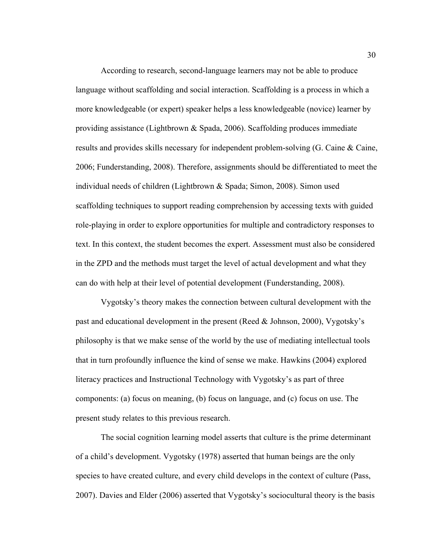According to research, second-language learners may not be able to produce language without scaffolding and social interaction. Scaffolding is a process in which a more knowledgeable (or expert) speaker helps a less knowledgeable (novice) learner by providing assistance (Lightbrown & Spada, 2006). Scaffolding produces immediate results and provides skills necessary for independent problem-solving (G. Caine & Caine, 2006; Funderstanding, 2008). Therefore, assignments should be differentiated to meet the individual needs of children (Lightbrown & Spada; Simon, 2008). Simon used scaffolding techniques to support reading comprehension by accessing texts with guided role-playing in order to explore opportunities for multiple and contradictory responses to text. In this context, the student becomes the expert. Assessment must also be considered in the ZPD and the methods must target the level of actual development and what they can do with help at their level of potential development (Funderstanding, 2008).

Vygotsky's theory makes the connection between cultural development with the past and educational development in the present (Reed & Johnson, 2000), Vygotsky's philosophy is that we make sense of the world by the use of mediating intellectual tools that in turn profoundly influence the kind of sense we make. Hawkins (2004) explored literacy practices and Instructional Technology with Vygotsky's as part of three components: (a) focus on meaning, (b) focus on language, and (c) focus on use. The present study relates to this previous research.

The social cognition learning model asserts that culture is the prime determinant of a child's development. Vygotsky (1978) asserted that human beings are the only species to have created culture, and every child develops in the context of culture (Pass, 2007). Davies and Elder (2006) asserted that Vygotsky's sociocultural theory is the basis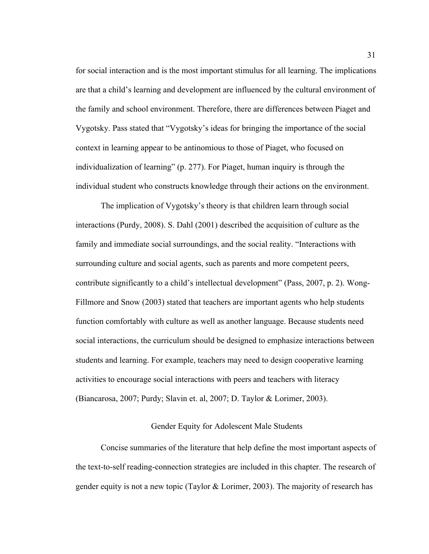for social interaction and is the most important stimulus for all learning. The implications are that a child's learning and development are influenced by the cultural environment of the family and school environment. Therefore, there are differences between Piaget and Vygotsky. Pass stated that "Vygotsky's ideas for bringing the importance of the social context in learning appear to be antinomious to those of Piaget, who focused on individualization of learning" (p. 277). For Piaget, human inquiry is through the individual student who constructs knowledge through their actions on the environment.

The implication of Vygotsky's theory is that children learn through social interactions (Purdy, 2008). S. Dahl (2001) described the acquisition of culture as the family and immediate social surroundings, and the social reality. "Interactions with surrounding culture and social agents, such as parents and more competent peers, contribute significantly to a child's intellectual development" (Pass, 2007, p. 2). Wong-Fillmore and Snow (2003) stated that teachers are important agents who help students function comfortably with culture as well as another language. Because students need social interactions, the curriculum should be designed to emphasize interactions between students and learning. For example, teachers may need to design cooperative learning activities to encourage social interactions with peers and teachers with literacy (Biancarosa, 2007; Purdy; Slavin et. al, 2007; D. Taylor & Lorimer, 2003).

## Gender Equity for Adolescent Male Students

Concise summaries of the literature that help define the most important aspects of the text-to-self reading-connection strategies are included in this chapter. The research of gender equity is not a new topic (Taylor & Lorimer, 2003). The majority of research has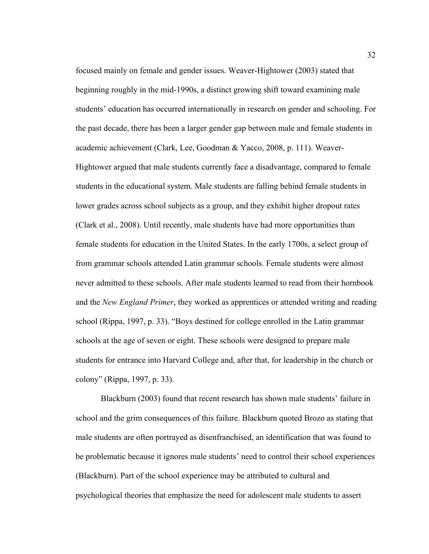focused mainly on female and gender issues. Weaver-Hightower (2003) stated that beginning roughly in the mid-1990s, a distinct growing shift toward examining male students' education has occurred internationally in research on gender and schooling. For the past decade, there has been a larger gender gap between male and female students in academic achievement (Clark, Lee, Goodman & Yacco, 2008, p. 111). Weaver-Hightower argued that male students currently face a disadvantage, compared to female students in the educational system. Male students are falling behind female students in lower grades across school subjects as a group, and they exhibit higher dropout rates (Clark et al., 2008). Until recently, male students have had more opportunities than female students for education in the United States. In the early 1700s, a select group of from grammar schools attended Latin grammar schools. Female students were almost never admitted to these schools. After male students learned to read from their hornbook and the *New England Primer*, they worked as apprentices or attended writing and reading school (Rippa, 1997, p. 33). "Boys destined for college enrolled in the Latin grammar schools at the age of seven or eight. These schools were designed to prepare male students for entrance into Harvard College and, after that, for leadership in the church or colony" (Rippa, 1997, p. 33).

Blackburn (2003) found that recent research has shown male students' failure in school and the grim consequences of this failure. Blackburn quoted Brozo as stating that male students are often portrayed as disenfranchised, an identification that was found to be problematic because it ignores male students' need to control their school experiences (Blackburn). Part of the school experience may be attributed to cultural and psychological theories that emphasize the need for adolescent male students to assert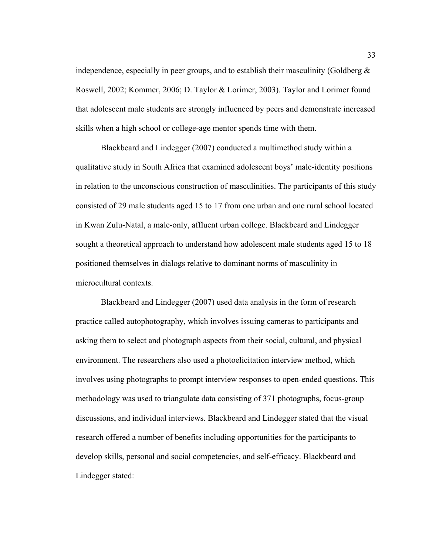independence, especially in peer groups, and to establish their masculinity (Goldberg  $\&$ Roswell, 2002; Kommer, 2006; D. Taylor & Lorimer, 2003). Taylor and Lorimer found that adolescent male students are strongly influenced by peers and demonstrate increased skills when a high school or college-age mentor spends time with them.

Blackbeard and Lindegger (2007) conducted a multimethod study within a qualitative study in South Africa that examined adolescent boys' male-identity positions in relation to the unconscious construction of masculinities. The participants of this study consisted of 29 male students aged 15 to 17 from one urban and one rural school located in Kwan Zulu-Natal, a male-only, affluent urban college. Blackbeard and Lindegger sought a theoretical approach to understand how adolescent male students aged 15 to 18 positioned themselves in dialogs relative to dominant norms of masculinity in microcultural contexts.

Blackbeard and Lindegger (2007) used data analysis in the form of research practice called autophotography, which involves issuing cameras to participants and asking them to select and photograph aspects from their social, cultural, and physical environment. The researchers also used a photoelicitation interview method, which involves using photographs to prompt interview responses to open-ended questions. This methodology was used to triangulate data consisting of 371 photographs, focus-group discussions, and individual interviews. Blackbeard and Lindegger stated that the visual research offered a number of benefits including opportunities for the participants to develop skills, personal and social competencies, and self-efficacy. Blackbeard and Lindegger stated: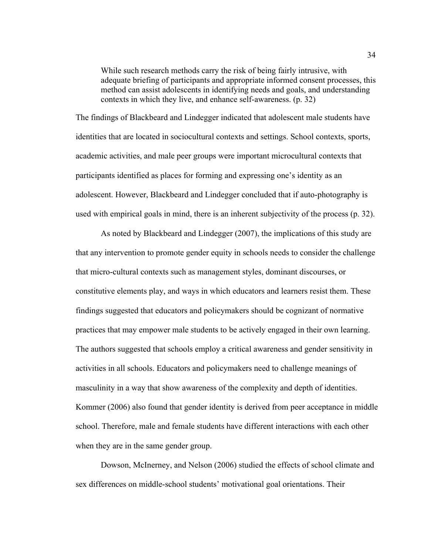While such research methods carry the risk of being fairly intrusive, with adequate briefing of participants and appropriate informed consent processes, this method can assist adolescents in identifying needs and goals, and understanding contexts in which they live, and enhance self-awareness. (p. 32)

The findings of Blackbeard and Lindegger indicated that adolescent male students have identities that are located in sociocultural contexts and settings. School contexts, sports, academic activities, and male peer groups were important microcultural contexts that participants identified as places for forming and expressing one's identity as an adolescent. However, Blackbeard and Lindegger concluded that if auto-photography is used with empirical goals in mind, there is an inherent subjectivity of the process (p. 32).

As noted by Blackbeard and Lindegger (2007), the implications of this study are that any intervention to promote gender equity in schools needs to consider the challenge that micro-cultural contexts such as management styles, dominant discourses, or constitutive elements play, and ways in which educators and learners resist them. These findings suggested that educators and policymakers should be cognizant of normative practices that may empower male students to be actively engaged in their own learning. The authors suggested that schools employ a critical awareness and gender sensitivity in activities in all schools. Educators and policymakers need to challenge meanings of masculinity in a way that show awareness of the complexity and depth of identities. Kommer (2006) also found that gender identity is derived from peer acceptance in middle school. Therefore, male and female students have different interactions with each other when they are in the same gender group.

Dowson, McInerney, and Nelson (2006) studied the effects of school climate and sex differences on middle-school students' motivational goal orientations. Their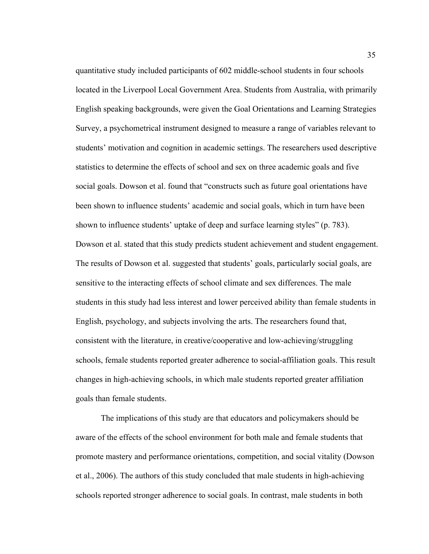quantitative study included participants of 602 middle-school students in four schools located in the Liverpool Local Government Area. Students from Australia, with primarily English speaking backgrounds, were given the Goal Orientations and Learning Strategies Survey, a psychometrical instrument designed to measure a range of variables relevant to students' motivation and cognition in academic settings. The researchers used descriptive statistics to determine the effects of school and sex on three academic goals and five social goals. Dowson et al. found that "constructs such as future goal orientations have been shown to influence students' academic and social goals, which in turn have been shown to influence students' uptake of deep and surface learning styles" (p. 783). Dowson et al. stated that this study predicts student achievement and student engagement. The results of Dowson et al. suggested that students' goals, particularly social goals, are sensitive to the interacting effects of school climate and sex differences. The male students in this study had less interest and lower perceived ability than female students in English, psychology, and subjects involving the arts. The researchers found that, consistent with the literature, in creative/cooperative and low-achieving/struggling schools, female students reported greater adherence to social-affiliation goals. This result changes in high-achieving schools, in which male students reported greater affiliation goals than female students.

The implications of this study are that educators and policymakers should be aware of the effects of the school environment for both male and female students that promote mastery and performance orientations, competition, and social vitality (Dowson et al., 2006). The authors of this study concluded that male students in high-achieving schools reported stronger adherence to social goals. In contrast, male students in both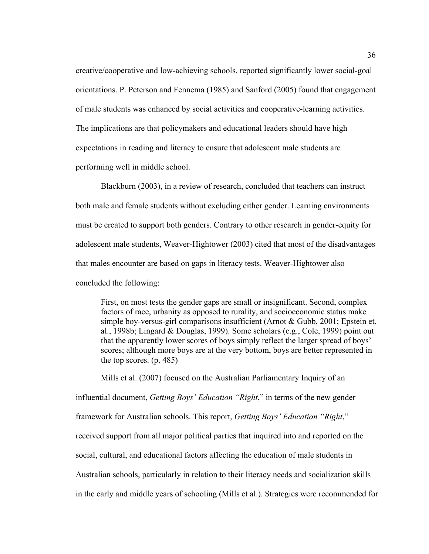creative/cooperative and low-achieving schools, reported significantly lower social-goal orientations. P. Peterson and Fennema (1985) and Sanford (2005) found that engagement of male students was enhanced by social activities and cooperative-learning activities. The implications are that policymakers and educational leaders should have high expectations in reading and literacy to ensure that adolescent male students are performing well in middle school.

Blackburn (2003), in a review of research, concluded that teachers can instruct both male and female students without excluding either gender. Learning environments must be created to support both genders. Contrary to other research in gender-equity for adolescent male students, Weaver-Hightower (2003) cited that most of the disadvantages that males encounter are based on gaps in literacy tests. Weaver-Hightower also concluded the following:

First, on most tests the gender gaps are small or insignificant. Second, complex factors of race, urbanity as opposed to rurality, and socioeconomic status make simple boy-versus-girl comparisons insufficient (Arnot & Gubb, 2001; Epstein et. al., 1998b; Lingard & Douglas, 1999). Some scholars (e.g., Cole, 1999) point out that the apparently lower scores of boys simply reflect the larger spread of boys' scores; although more boys are at the very bottom, boys are better represented in the top scores. (p. 485)

Mills et al. (2007) focused on the Australian Parliamentary Inquiry of an influential document, *Getting Boys' Education "Right*," in terms of the new gender framework for Australian schools. This report, *Getting Boys' Education "Right*," received support from all major political parties that inquired into and reported on the social, cultural, and educational factors affecting the education of male students in Australian schools, particularly in relation to their literacy needs and socialization skills in the early and middle years of schooling (Mills et al.). Strategies were recommended for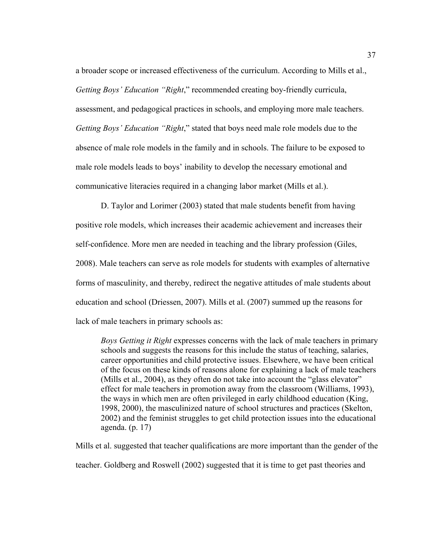a broader scope or increased effectiveness of the curriculum. According to Mills et al., *Getting Boys' Education "Right*," recommended creating boy-friendly curricula, assessment, and pedagogical practices in schools, and employing more male teachers. *Getting Boys' Education "Right*," stated that boys need male role models due to the absence of male role models in the family and in schools. The failure to be exposed to male role models leads to boys' inability to develop the necessary emotional and communicative literacies required in a changing labor market (Mills et al.).

D. Taylor and Lorimer (2003) stated that male students benefit from having positive role models, which increases their academic achievement and increases their self-confidence. More men are needed in teaching and the library profession (Giles, 2008). Male teachers can serve as role models for students with examples of alternative forms of masculinity, and thereby, redirect the negative attitudes of male students about education and school (Driessen, 2007). Mills et al. (2007) summed up the reasons for lack of male teachers in primary schools as:

*Boys Getting it Right* expresses concerns with the lack of male teachers in primary schools and suggests the reasons for this include the status of teaching, salaries, career opportunities and child protective issues. Elsewhere, we have been critical of the focus on these kinds of reasons alone for explaining a lack of male teachers (Mills et al., 2004), as they often do not take into account the "glass elevator" effect for male teachers in promotion away from the classroom (Williams, 1993), the ways in which men are often privileged in early childhood education (King, 1998, 2000), the masculinized nature of school structures and practices (Skelton, 2002) and the feminist struggles to get child protection issues into the educational agenda. (p. 17)

Mills et al. suggested that teacher qualifications are more important than the gender of the teacher. Goldberg and Roswell (2002) suggested that it is time to get past theories and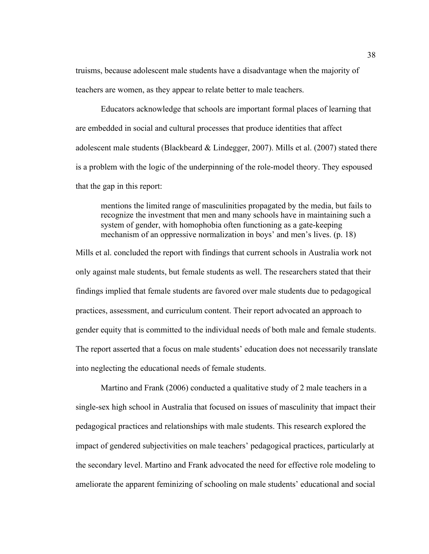truisms, because adolescent male students have a disadvantage when the majority of teachers are women, as they appear to relate better to male teachers.

Educators acknowledge that schools are important formal places of learning that are embedded in social and cultural processes that produce identities that affect adolescent male students (Blackbeard & Lindegger, 2007). Mills et al. (2007) stated there is a problem with the logic of the underpinning of the role-model theory. They espoused that the gap in this report:

mentions the limited range of masculinities propagated by the media, but fails to recognize the investment that men and many schools have in maintaining such a system of gender, with homophobia often functioning as a gate-keeping mechanism of an oppressive normalization in boys' and men's lives. (p. 18)

Mills et al. concluded the report with findings that current schools in Australia work not only against male students, but female students as well. The researchers stated that their findings implied that female students are favored over male students due to pedagogical practices, assessment, and curriculum content. Their report advocated an approach to gender equity that is committed to the individual needs of both male and female students. The report asserted that a focus on male students' education does not necessarily translate into neglecting the educational needs of female students.

Martino and Frank (2006) conducted a qualitative study of 2 male teachers in a single-sex high school in Australia that focused on issues of masculinity that impact their pedagogical practices and relationships with male students. This research explored the impact of gendered subjectivities on male teachers' pedagogical practices, particularly at the secondary level. Martino and Frank advocated the need for effective role modeling to ameliorate the apparent feminizing of schooling on male students' educational and social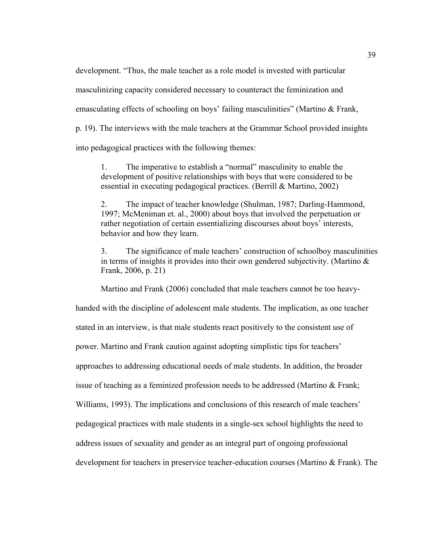development. "Thus, the male teacher as a role model is invested with particular masculinizing capacity considered necessary to counteract the feminization and emasculating effects of schooling on boys' failing masculinities" (Martino & Frank, p. 19). The interviews with the male teachers at the Grammar School provided insights into pedagogical practices with the following themes:

1. The imperative to establish a "normal" masculinity to enable the development of positive relationships with boys that were considered to be essential in executing pedagogical practices. (Berrill & Martino, 2002)

2. The impact of teacher knowledge (Shulman, 1987; Darling-Hammond, 1997; McMeniman et. al., 2000) about boys that involved the perpetuation or rather negotiation of certain essentializing discourses about boys' interests, behavior and how they learn.

3. The significance of male teachers' construction of schoolboy masculinities in terms of insights it provides into their own gendered subjectivity. (Martino & Frank, 2006, p. 21)

Martino and Frank (2006) concluded that male teachers cannot be too heavy-

handed with the discipline of adolescent male students. The implication, as one teacher stated in an interview, is that male students react positively to the consistent use of power. Martino and Frank caution against adopting simplistic tips for teachers' approaches to addressing educational needs of male students. In addition, the broader issue of teaching as a feminized profession needs to be addressed (Martino & Frank; Williams, 1993). The implications and conclusions of this research of male teachers' pedagogical practices with male students in a single-sex school highlights the need to address issues of sexuality and gender as an integral part of ongoing professional development for teachers in preservice teacher-education courses (Martino & Frank). The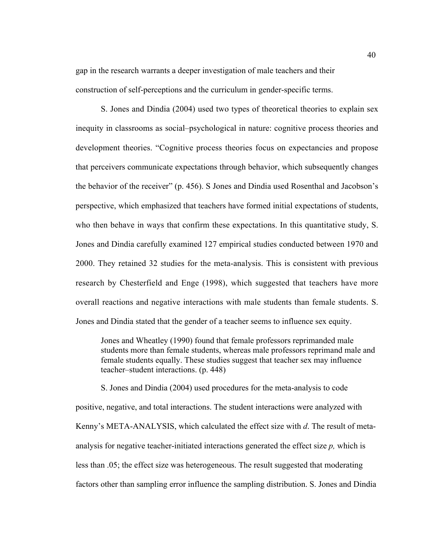gap in the research warrants a deeper investigation of male teachers and their construction of self-perceptions and the curriculum in gender-specific terms.

S. Jones and Dindia (2004) used two types of theoretical theories to explain sex inequity in classrooms as social–psychological in nature: cognitive process theories and development theories. "Cognitive process theories focus on expectancies and propose that perceivers communicate expectations through behavior, which subsequently changes the behavior of the receiver" (p. 456). S Jones and Dindia used Rosenthal and Jacobson's perspective, which emphasized that teachers have formed initial expectations of students, who then behave in ways that confirm these expectations. In this quantitative study, S. Jones and Dindia carefully examined 127 empirical studies conducted between 1970 and 2000. They retained 32 studies for the meta-analysis. This is consistent with previous research by Chesterfield and Enge (1998), which suggested that teachers have more overall reactions and negative interactions with male students than female students. S. Jones and Dindia stated that the gender of a teacher seems to influence sex equity.

Jones and Wheatley (1990) found that female professors reprimanded male students more than female students, whereas male professors reprimand male and female students equally. These studies suggest that teacher sex may influence teacher–student interactions. (p. 448)

S. Jones and Dindia (2004) used procedures for the meta-analysis to code positive, negative, and total interactions. The student interactions were analyzed with Kenny's META-ANALYSIS, which calculated the effect size with *d*. The result of metaanalysis for negative teacher-initiated interactions generated the effect size *p,* which is less than .05; the effect size was heterogeneous. The result suggested that moderating factors other than sampling error influence the sampling distribution. S. Jones and Dindia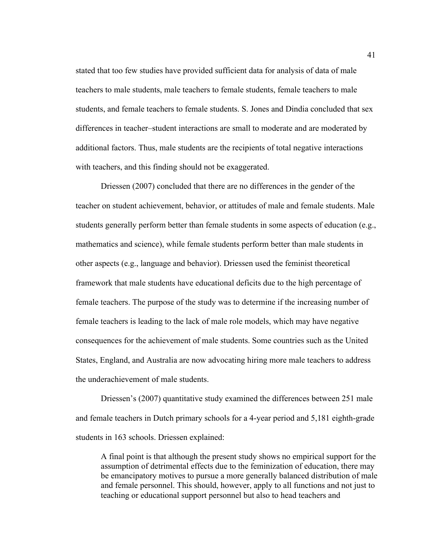stated that too few studies have provided sufficient data for analysis of data of male teachers to male students, male teachers to female students, female teachers to male students, and female teachers to female students. S. Jones and Dindia concluded that sex differences in teacher–student interactions are small to moderate and are moderated by additional factors. Thus, male students are the recipients of total negative interactions with teachers, and this finding should not be exaggerated.

Driessen (2007) concluded that there are no differences in the gender of the teacher on student achievement, behavior, or attitudes of male and female students. Male students generally perform better than female students in some aspects of education (e.g., mathematics and science), while female students perform better than male students in other aspects (e.g., language and behavior). Driessen used the feminist theoretical framework that male students have educational deficits due to the high percentage of female teachers. The purpose of the study was to determine if the increasing number of female teachers is leading to the lack of male role models, which may have negative consequences for the achievement of male students. Some countries such as the United States, England, and Australia are now advocating hiring more male teachers to address the underachievement of male students.

Driessen's (2007) quantitative study examined the differences between 251 male and female teachers in Dutch primary schools for a 4-year period and 5,181 eighth-grade students in 163 schools. Driessen explained:

A final point is that although the present study shows no empirical support for the assumption of detrimental effects due to the feminization of education, there may be emancipatory motives to pursue a more generally balanced distribution of male and female personnel. This should, however, apply to all functions and not just to teaching or educational support personnel but also to head teachers and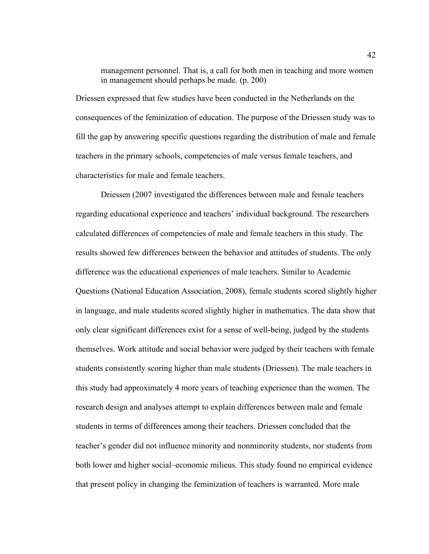management personnel. That is, a call for both men in teaching and more women in management should perhaps be made. (p. 200)

Driessen expressed that few studies have been conducted in the Netherlands on the consequences of the feminization of education. The purpose of the Driessen study was to fill the gap by answering specific questions regarding the distribution of male and female teachers in the primary schools, competencies of male versus female teachers, and characteristics for male and female teachers.

Driessen (2007 investigated the differences between male and female teachers regarding educational experience and teachers' individual background. The researchers calculated differences of competencies of male and female teachers in this study. The results showed few differences between the behavior and attitudes of students. The only difference was the educational experiences of male teachers. Similar to Academic Questions (National Education Association, 2008), female students scored slightly higher in language, and male students scored slightly higher in mathematics. The data show that only clear significant differences exist for a sense of well-being, judged by the students themselves. Work attitude and social behavior were judged by their teachers with female students consistently scoring higher than male students (Driessen). The male teachers in this study had approximately 4 more years of teaching experience than the women. The research design and analyses attempt to explain differences between male and female students in terms of differences among their teachers. Driessen concluded that the teacher's gender did not influence minority and nonminority students, nor students from both lower and higher social–economic milieus. This study found no empirical evidence that present policy in changing the feminization of teachers is warranted. More male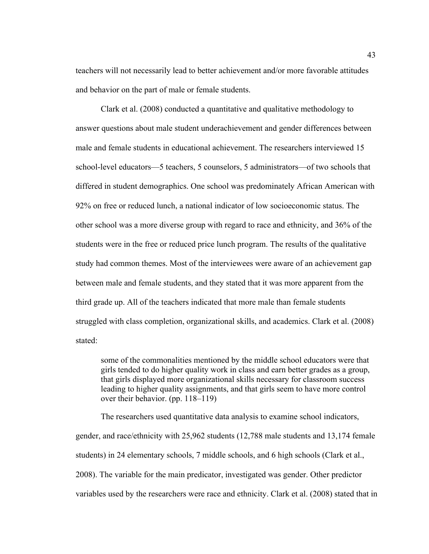teachers will not necessarily lead to better achievement and/or more favorable attitudes and behavior on the part of male or female students.

Clark et al. (2008) conducted a quantitative and qualitative methodology to answer questions about male student underachievement and gender differences between male and female students in educational achievement. The researchers interviewed 15 school-level educators—5 teachers, 5 counselors, 5 administrators—of two schools that differed in student demographics. One school was predominately African American with 92% on free or reduced lunch, a national indicator of low socioeconomic status. The other school was a more diverse group with regard to race and ethnicity, and 36% of the students were in the free or reduced price lunch program. The results of the qualitative study had common themes. Most of the interviewees were aware of an achievement gap between male and female students, and they stated that it was more apparent from the third grade up. All of the teachers indicated that more male than female students struggled with class completion, organizational skills, and academics. Clark et al. (2008) stated:

some of the commonalities mentioned by the middle school educators were that girls tended to do higher quality work in class and earn better grades as a group, that girls displayed more organizational skills necessary for classroom success leading to higher quality assignments, and that girls seem to have more control over their behavior. (pp. 118–119)

The researchers used quantitative data analysis to examine school indicators, gender, and race/ethnicity with 25,962 students (12,788 male students and 13,174 female students) in 24 elementary schools, 7 middle schools, and 6 high schools (Clark et al., 2008). The variable for the main predicator, investigated was gender. Other predictor variables used by the researchers were race and ethnicity. Clark et al. (2008) stated that in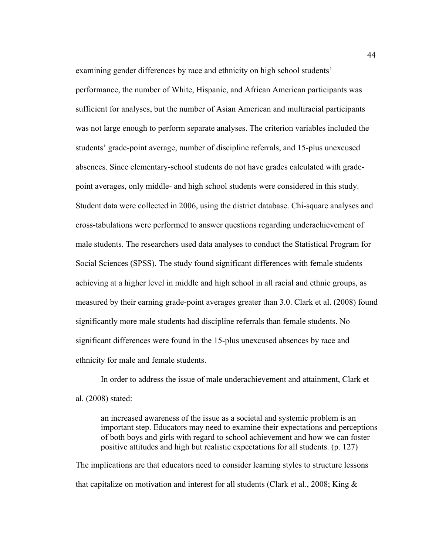examining gender differences by race and ethnicity on high school students' performance, the number of White, Hispanic, and African American participants was sufficient for analyses, but the number of Asian American and multiracial participants was not large enough to perform separate analyses. The criterion variables included the students' grade-point average, number of discipline referrals, and 15-plus unexcused absences. Since elementary-school students do not have grades calculated with gradepoint averages, only middle- and high school students were considered in this study. Student data were collected in 2006, using the district database. Chi-square analyses and cross-tabulations were performed to answer questions regarding underachievement of male students. The researchers used data analyses to conduct the Statistical Program for Social Sciences (SPSS). The study found significant differences with female students achieving at a higher level in middle and high school in all racial and ethnic groups, as measured by their earning grade-point averages greater than 3.0. Clark et al. (2008) found significantly more male students had discipline referrals than female students. No significant differences were found in the 15-plus unexcused absences by race and ethnicity for male and female students.

In order to address the issue of male underachievement and attainment, Clark et al. (2008) stated:

an increased awareness of the issue as a societal and systemic problem is an important step. Educators may need to examine their expectations and perceptions of both boys and girls with regard to school achievement and how we can foster positive attitudes and high but realistic expectations for all students. (p. 127)

The implications are that educators need to consider learning styles to structure lessons that capitalize on motivation and interest for all students (Clark et al., 2008; King &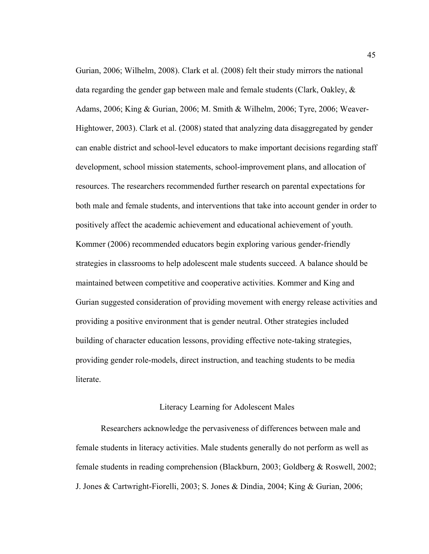Gurian, 2006; Wilhelm, 2008). Clark et al. (2008) felt their study mirrors the national data regarding the gender gap between male and female students (Clark, Oakley, & Adams, 2006; King & Gurian, 2006; M. Smith & Wilhelm, 2006; Tyre, 2006; Weaver-Hightower, 2003). Clark et al. (2008) stated that analyzing data disaggregated by gender can enable district and school-level educators to make important decisions regarding staff development, school mission statements, school-improvement plans, and allocation of resources. The researchers recommended further research on parental expectations for both male and female students, and interventions that take into account gender in order to positively affect the academic achievement and educational achievement of youth. Kommer (2006) recommended educators begin exploring various gender-friendly strategies in classrooms to help adolescent male students succeed. A balance should be maintained between competitive and cooperative activities. Kommer and King and Gurian suggested consideration of providing movement with energy release activities and providing a positive environment that is gender neutral. Other strategies included building of character education lessons, providing effective note-taking strategies, providing gender role-models, direct instruction, and teaching students to be media literate.

## Literacy Learning for Adolescent Males

Researchers acknowledge the pervasiveness of differences between male and female students in literacy activities. Male students generally do not perform as well as female students in reading comprehension (Blackburn, 2003; Goldberg & Roswell, 2002; J. Jones & Cartwright-Fiorelli, 2003; S. Jones & Dindia, 2004; King & Gurian, 2006;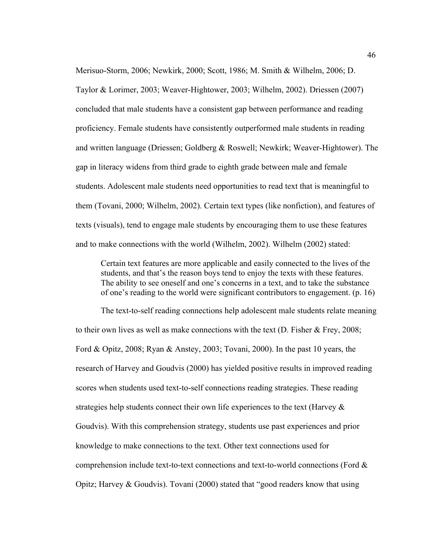Merisuo-Storm, 2006; Newkirk, 2000; Scott, 1986; M. Smith & Wilhelm, 2006; D. Taylor & Lorimer, 2003; Weaver-Hightower, 2003; Wilhelm, 2002). Driessen (2007) concluded that male students have a consistent gap between performance and reading proficiency. Female students have consistently outperformed male students in reading and written language (Driessen; Goldberg & Roswell; Newkirk; Weaver-Hightower). The gap in literacy widens from third grade to eighth grade between male and female students. Adolescent male students need opportunities to read text that is meaningful to them (Tovani, 2000; Wilhelm, 2002). Certain text types (like nonfiction), and features of texts (visuals), tend to engage male students by encouraging them to use these features and to make connections with the world (Wilhelm, 2002). Wilhelm (2002) stated:

Certain text features are more applicable and easily connected to the lives of the students, and that's the reason boys tend to enjoy the texts with these features. The ability to see oneself and one's concerns in a text, and to take the substance of one's reading to the world were significant contributors to engagement. (p. 16)

The text-to-self reading connections help adolescent male students relate meaning to their own lives as well as make connections with the text (D. Fisher & Frey, 2008; Ford & Opitz, 2008; Ryan & Anstey, 2003; Tovani, 2000). In the past 10 years, the research of Harvey and Goudvis (2000) has yielded positive results in improved reading scores when students used text-to-self connections reading strategies. These reading strategies help students connect their own life experiences to the text (Harvey  $\&$ Goudvis). With this comprehension strategy, students use past experiences and prior knowledge to make connections to the text. Other text connections used for comprehension include text-to-text connections and text-to-world connections (Ford & Opitz; Harvey & Goudvis). Tovani (2000) stated that "good readers know that using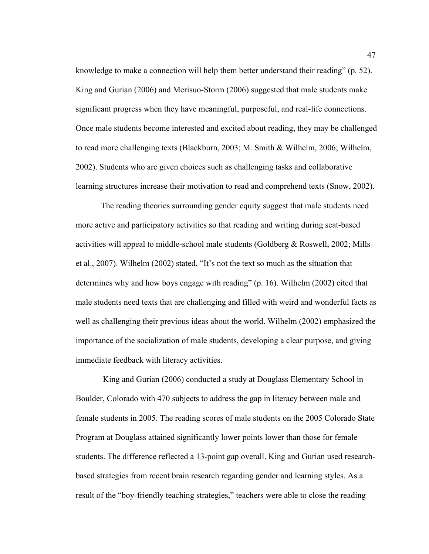knowledge to make a connection will help them better understand their reading" (p. 52). King and Gurian (2006) and Merisuo-Storm (2006) suggested that male students make significant progress when they have meaningful, purposeful, and real-life connections. Once male students become interested and excited about reading, they may be challenged to read more challenging texts (Blackburn, 2003; M. Smith & Wilhelm, 2006; Wilhelm, 2002). Students who are given choices such as challenging tasks and collaborative learning structures increase their motivation to read and comprehend texts (Snow, 2002).

The reading theories surrounding gender equity suggest that male students need more active and participatory activities so that reading and writing during seat-based activities will appeal to middle-school male students (Goldberg & Roswell, 2002; Mills et al., 2007). Wilhelm (2002) stated, "It's not the text so much as the situation that determines why and how boys engage with reading" (p. 16). Wilhelm (2002) cited that male students need texts that are challenging and filled with weird and wonderful facts as well as challenging their previous ideas about the world. Wilhelm (2002) emphasized the importance of the socialization of male students, developing a clear purpose, and giving immediate feedback with literacy activities.

 King and Gurian (2006) conducted a study at Douglass Elementary School in Boulder, Colorado with 470 subjects to address the gap in literacy between male and female students in 2005. The reading scores of male students on the 2005 Colorado State Program at Douglass attained significantly lower points lower than those for female students. The difference reflected a 13-point gap overall. King and Gurian used researchbased strategies from recent brain research regarding gender and learning styles. As a result of the "boy-friendly teaching strategies," teachers were able to close the reading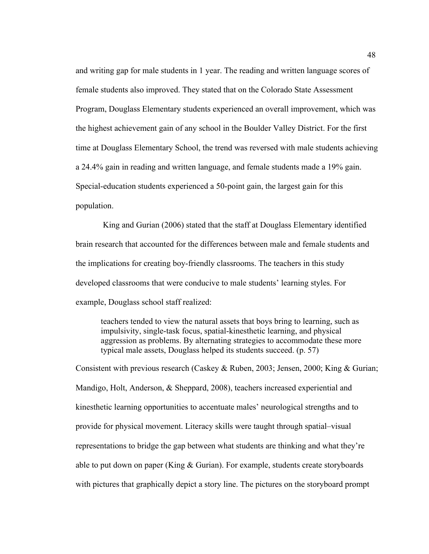and writing gap for male students in 1 year. The reading and written language scores of female students also improved. They stated that on the Colorado State Assessment Program, Douglass Elementary students experienced an overall improvement, which was the highest achievement gain of any school in the Boulder Valley District. For the first time at Douglass Elementary School, the trend was reversed with male students achieving a 24.4% gain in reading and written language, and female students made a 19% gain. Special-education students experienced a 50-point gain, the largest gain for this population.

 King and Gurian (2006) stated that the staff at Douglass Elementary identified brain research that accounted for the differences between male and female students and the implications for creating boy-friendly classrooms. The teachers in this study developed classrooms that were conducive to male students' learning styles. For example, Douglass school staff realized:

teachers tended to view the natural assets that boys bring to learning, such as impulsivity, single-task focus, spatial-kinesthetic learning, and physical aggression as problems. By alternating strategies to accommodate these more typical male assets, Douglass helped its students succeed. (p. 57)

Consistent with previous research (Caskey & Ruben, 2003; Jensen, 2000; King & Gurian; Mandigo, Holt, Anderson, & Sheppard, 2008), teachers increased experiential and kinesthetic learning opportunities to accentuate males' neurological strengths and to provide for physical movement. Literacy skills were taught through spatial–visual representations to bridge the gap between what students are thinking and what they're able to put down on paper (King & Gurian). For example, students create storyboards with pictures that graphically depict a story line. The pictures on the storyboard prompt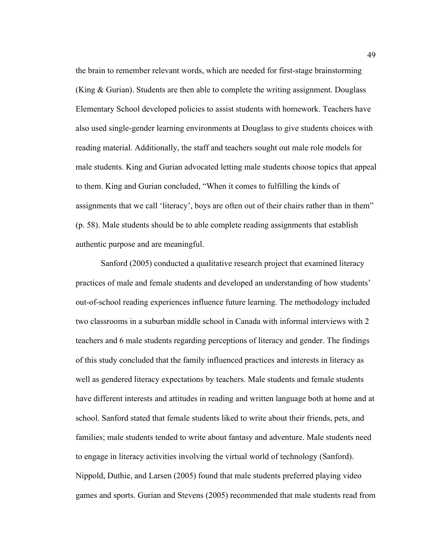the brain to remember relevant words, which are needed for first-stage brainstorming (King & Gurian). Students are then able to complete the writing assignment. Douglass Elementary School developed policies to assist students with homework. Teachers have also used single-gender learning environments at Douglass to give students choices with reading material. Additionally, the staff and teachers sought out male role models for male students. King and Gurian advocated letting male students choose topics that appeal to them. King and Gurian concluded, "When it comes to fulfilling the kinds of assignments that we call 'literacy', boys are often out of their chairs rather than in them" (p. 58). Male students should be to able complete reading assignments that establish authentic purpose and are meaningful.

Sanford (2005) conducted a qualitative research project that examined literacy practices of male and female students and developed an understanding of how students' out-of-school reading experiences influence future learning. The methodology included two classrooms in a suburban middle school in Canada with informal interviews with 2 teachers and 6 male students regarding perceptions of literacy and gender. The findings of this study concluded that the family influenced practices and interests in literacy as well as gendered literacy expectations by teachers. Male students and female students have different interests and attitudes in reading and written language both at home and at school. Sanford stated that female students liked to write about their friends, pets, and families; male students tended to write about fantasy and adventure. Male students need to engage in literacy activities involving the virtual world of technology (Sanford). Nippold, Duthie, and Larsen (2005) found that male students preferred playing video games and sports. Gurian and Stevens (2005) recommended that male students read from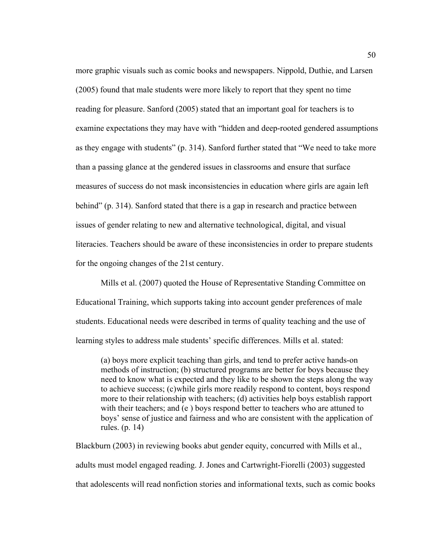more graphic visuals such as comic books and newspapers. Nippold, Duthie, and Larsen (2005) found that male students were more likely to report that they spent no time reading for pleasure. Sanford (2005) stated that an important goal for teachers is to examine expectations they may have with "hidden and deep-rooted gendered assumptions as they engage with students" (p. 314). Sanford further stated that "We need to take more than a passing glance at the gendered issues in classrooms and ensure that surface measures of success do not mask inconsistencies in education where girls are again left behind" (p. 314). Sanford stated that there is a gap in research and practice between issues of gender relating to new and alternative technological, digital, and visual literacies. Teachers should be aware of these inconsistencies in order to prepare students for the ongoing changes of the 21st century.

Mills et al. (2007) quoted the House of Representative Standing Committee on Educational Training, which supports taking into account gender preferences of male students. Educational needs were described in terms of quality teaching and the use of learning styles to address male students' specific differences. Mills et al. stated:

(a) boys more explicit teaching than girls, and tend to prefer active hands-on methods of instruction; (b) structured programs are better for boys because they need to know what is expected and they like to be shown the steps along the way to achieve success; (c)while girls more readily respond to content, boys respond more to their relationship with teachers; (d) activities help boys establish rapport with their teachers; and (e) boys respond better to teachers who are attuned to boys' sense of justice and fairness and who are consistent with the application of rules. (p. 14)

Blackburn (2003) in reviewing books abut gender equity, concurred with Mills et al., adults must model engaged reading. J. Jones and Cartwright-Fiorelli (2003) suggested that adolescents will read nonfiction stories and informational texts, such as comic books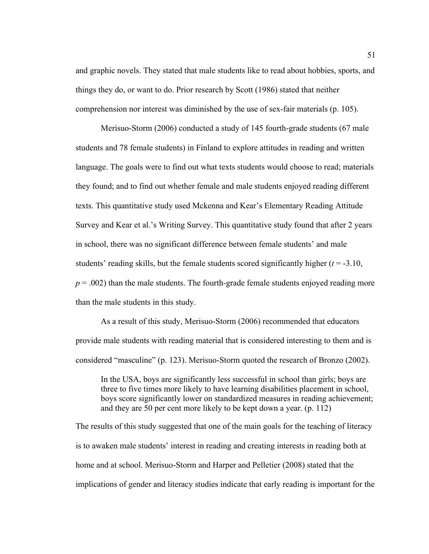and graphic novels. They stated that male students like to read about hobbies, sports, and things they do, or want to do. Prior research by Scott (1986) stated that neither comprehension nor interest was diminished by the use of sex-fair materials (p. 105).

Merisuo-Storm (2006) conducted a study of 145 fourth-grade students (67 male students and 78 female students) in Finland to explore attitudes in reading and written language. The goals were to find out what texts students would choose to read; materials they found; and to find out whether female and male students enjoyed reading different texts. This quantitative study used Mckenna and Kear's Elementary Reading Attitude Survey and Kear et al.'s Writing Survey. This quantitative study found that after 2 years in school, there was no significant difference between female students' and male students' reading skills, but the female students scored significantly higher  $(t = -3.10$ ,  $p = .002$ ) than the male students. The fourth-grade female students enjoyed reading more than the male students in this study.

As a result of this study, Merisuo-Storm (2006) recommended that educators provide male students with reading material that is considered interesting to them and is considered "masculine" (p. 123). Merisuo-Storm quoted the research of Bronzo (2002).

In the USA, boys are significantly less successful in school than girls; boys are three to five times more likely to have learning disabilities placement in school, boys score significantly lower on standardized measures in reading achievement; and they are 50 per cent more likely to be kept down a year. (p. 112)

The results of this study suggested that one of the main goals for the teaching of literacy is to awaken male students' interest in reading and creating interests in reading both at home and at school. Merisuo-Storm and Harper and Pelletier (2008) stated that the implications of gender and literacy studies indicate that early reading is important for the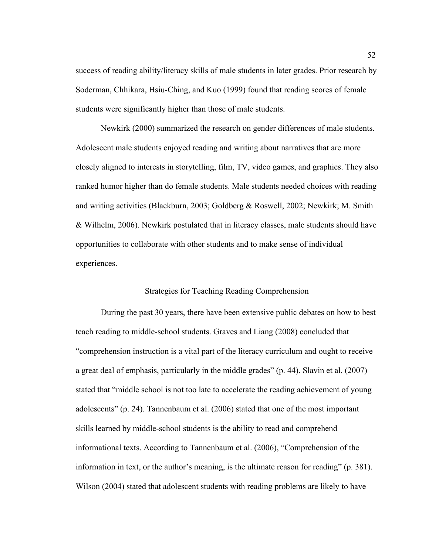success of reading ability/literacy skills of male students in later grades. Prior research by Soderman, Chhikara, Hsiu-Ching, and Kuo (1999) found that reading scores of female students were significantly higher than those of male students.

Newkirk (2000) summarized the research on gender differences of male students. Adolescent male students enjoyed reading and writing about narratives that are more closely aligned to interests in storytelling, film, TV, video games, and graphics. They also ranked humor higher than do female students. Male students needed choices with reading and writing activities (Blackburn, 2003; Goldberg & Roswell, 2002; Newkirk; M. Smith & Wilhelm, 2006). Newkirk postulated that in literacy classes, male students should have opportunities to collaborate with other students and to make sense of individual experiences.

## Strategies for Teaching Reading Comprehension

During the past 30 years, there have been extensive public debates on how to best teach reading to middle-school students. Graves and Liang (2008) concluded that "comprehension instruction is a vital part of the literacy curriculum and ought to receive a great deal of emphasis, particularly in the middle grades" (p. 44). Slavin et al. (2007) stated that "middle school is not too late to accelerate the reading achievement of young adolescents" (p. 24). Tannenbaum et al. (2006) stated that one of the most important skills learned by middle-school students is the ability to read and comprehend informational texts. According to Tannenbaum et al. (2006), "Comprehension of the information in text, or the author's meaning, is the ultimate reason for reading" (p. 381). Wilson (2004) stated that adolescent students with reading problems are likely to have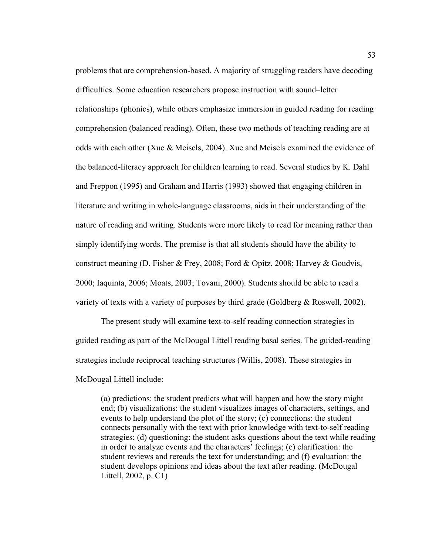problems that are comprehension-based. A majority of struggling readers have decoding difficulties. Some education researchers propose instruction with sound–letter relationships (phonics), while others emphasize immersion in guided reading for reading comprehension (balanced reading). Often, these two methods of teaching reading are at odds with each other (Xue & Meisels, 2004). Xue and Meisels examined the evidence of the balanced-literacy approach for children learning to read. Several studies by K. Dahl and Freppon (1995) and Graham and Harris (1993) showed that engaging children in literature and writing in whole-language classrooms, aids in their understanding of the nature of reading and writing. Students were more likely to read for meaning rather than simply identifying words. The premise is that all students should have the ability to construct meaning (D. Fisher & Frey, 2008; Ford & Opitz, 2008; Harvey & Goudvis, 2000; Iaquinta, 2006; Moats, 2003; Tovani, 2000). Students should be able to read a variety of texts with a variety of purposes by third grade (Goldberg & Roswell, 2002).

The present study will examine text-to-self reading connection strategies in guided reading as part of the McDougal Littell reading basal series. The guided-reading strategies include reciprocal teaching structures (Willis, 2008). These strategies in McDougal Littell include:

(a) predictions: the student predicts what will happen and how the story might end; (b) visualizations: the student visualizes images of characters, settings, and events to help understand the plot of the story; (c) connections: the student connects personally with the text with prior knowledge with text-to-self reading strategies; (d) questioning: the student asks questions about the text while reading in order to analyze events and the characters' feelings; (e) clarification: the student reviews and rereads the text for understanding; and (f) evaluation: the student develops opinions and ideas about the text after reading. (McDougal Littell, 2002, p. C1)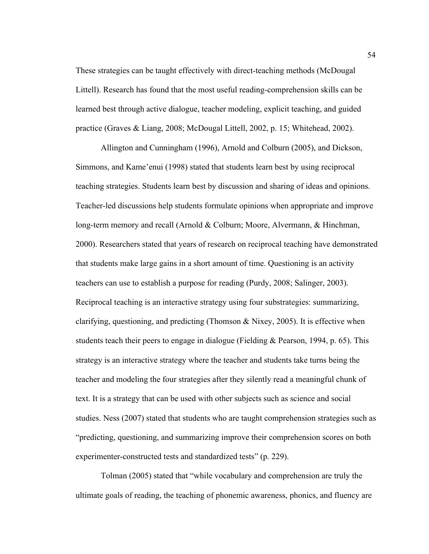These strategies can be taught effectively with direct-teaching methods (McDougal Littell). Research has found that the most useful reading-comprehension skills can be learned best through active dialogue, teacher modeling, explicit teaching, and guided practice (Graves & Liang, 2008; McDougal Littell, 2002, p. 15; Whitehead, 2002).

Allington and Cunningham (1996), Arnold and Colburn (2005), and Dickson, Simmons, and Kame'enui (1998) stated that students learn best by using reciprocal teaching strategies. Students learn best by discussion and sharing of ideas and opinions. Teacher-led discussions help students formulate opinions when appropriate and improve long-term memory and recall (Arnold & Colburn; Moore, Alvermann, & Hinchman, 2000). Researchers stated that years of research on reciprocal teaching have demonstrated that students make large gains in a short amount of time. Questioning is an activity teachers can use to establish a purpose for reading (Purdy, 2008; Salinger, 2003). Reciprocal teaching is an interactive strategy using four substrategies: summarizing, clarifying, questioning, and predicting (Thomson & Nixey, 2005). It is effective when students teach their peers to engage in dialogue (Fielding  $&$  Pearson, 1994, p. 65). This strategy is an interactive strategy where the teacher and students take turns being the teacher and modeling the four strategies after they silently read a meaningful chunk of text. It is a strategy that can be used with other subjects such as science and social studies. Ness (2007) stated that students who are taught comprehension strategies such as "predicting, questioning, and summarizing improve their comprehension scores on both experimenter-constructed tests and standardized tests" (p. 229).

Tolman (2005) stated that "while vocabulary and comprehension are truly the ultimate goals of reading, the teaching of phonemic awareness, phonics, and fluency are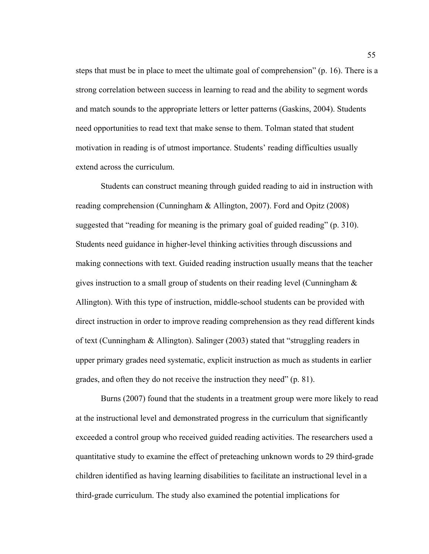steps that must be in place to meet the ultimate goal of comprehension" (p. 16). There is a strong correlation between success in learning to read and the ability to segment words and match sounds to the appropriate letters or letter patterns (Gaskins, 2004). Students need opportunities to read text that make sense to them. Tolman stated that student motivation in reading is of utmost importance. Students' reading difficulties usually extend across the curriculum.

Students can construct meaning through guided reading to aid in instruction with reading comprehension (Cunningham & Allington, 2007). Ford and Opitz (2008) suggested that "reading for meaning is the primary goal of guided reading" (p. 310). Students need guidance in higher-level thinking activities through discussions and making connections with text. Guided reading instruction usually means that the teacher gives instruction to a small group of students on their reading level (Cunningham  $\&$ Allington). With this type of instruction, middle-school students can be provided with direct instruction in order to improve reading comprehension as they read different kinds of text (Cunningham & Allington). Salinger (2003) stated that "struggling readers in upper primary grades need systematic, explicit instruction as much as students in earlier grades, and often they do not receive the instruction they need" (p. 81).

Burns (2007) found that the students in a treatment group were more likely to read at the instructional level and demonstrated progress in the curriculum that significantly exceeded a control group who received guided reading activities. The researchers used a quantitative study to examine the effect of preteaching unknown words to 29 third-grade children identified as having learning disabilities to facilitate an instructional level in a third-grade curriculum. The study also examined the potential implications for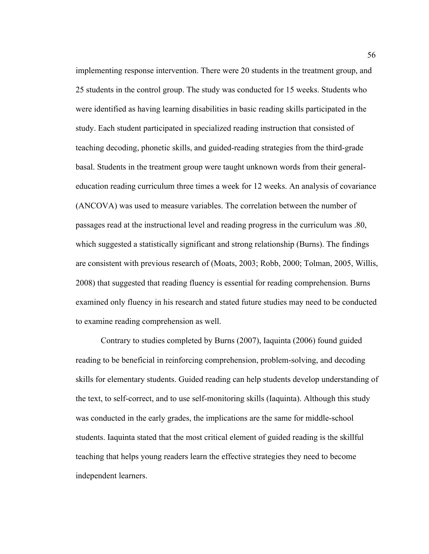implementing response intervention. There were 20 students in the treatment group, and 25 students in the control group. The study was conducted for 15 weeks. Students who were identified as having learning disabilities in basic reading skills participated in the study. Each student participated in specialized reading instruction that consisted of teaching decoding, phonetic skills, and guided-reading strategies from the third-grade basal. Students in the treatment group were taught unknown words from their generaleducation reading curriculum three times a week for 12 weeks. An analysis of covariance (ANCOVA) was used to measure variables. The correlation between the number of passages read at the instructional level and reading progress in the curriculum was .80, which suggested a statistically significant and strong relationship (Burns). The findings are consistent with previous research of (Moats, 2003; Robb, 2000; Tolman, 2005, Willis, 2008) that suggested that reading fluency is essential for reading comprehension. Burns examined only fluency in his research and stated future studies may need to be conducted to examine reading comprehension as well.

Contrary to studies completed by Burns (2007), Iaquinta (2006) found guided reading to be beneficial in reinforcing comprehension, problem-solving, and decoding skills for elementary students. Guided reading can help students develop understanding of the text, to self-correct, and to use self-monitoring skills (Iaquinta). Although this study was conducted in the early grades, the implications are the same for middle-school students. Iaquinta stated that the most critical element of guided reading is the skillful teaching that helps young readers learn the effective strategies they need to become independent learners.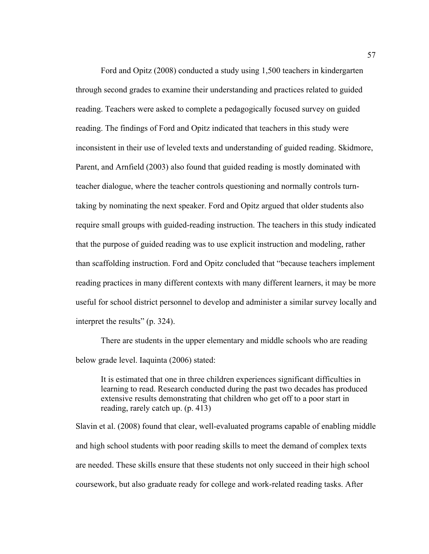Ford and Opitz (2008) conducted a study using 1,500 teachers in kindergarten through second grades to examine their understanding and practices related to guided reading. Teachers were asked to complete a pedagogically focused survey on guided reading. The findings of Ford and Opitz indicated that teachers in this study were inconsistent in their use of leveled texts and understanding of guided reading. Skidmore, Parent, and Arnfield (2003) also found that guided reading is mostly dominated with teacher dialogue, where the teacher controls questioning and normally controls turntaking by nominating the next speaker. Ford and Opitz argued that older students also require small groups with guided-reading instruction. The teachers in this study indicated that the purpose of guided reading was to use explicit instruction and modeling, rather than scaffolding instruction. Ford and Opitz concluded that "because teachers implement reading practices in many different contexts with many different learners, it may be more useful for school district personnel to develop and administer a similar survey locally and interpret the results" (p. 324).

There are students in the upper elementary and middle schools who are reading below grade level. Iaquinta (2006) stated:

It is estimated that one in three children experiences significant difficulties in learning to read. Research conducted during the past two decades has produced extensive results demonstrating that children who get off to a poor start in reading, rarely catch up. (p. 413)

Slavin et al. (2008) found that clear, well-evaluated programs capable of enabling middle and high school students with poor reading skills to meet the demand of complex texts are needed. These skills ensure that these students not only succeed in their high school coursework, but also graduate ready for college and work-related reading tasks. After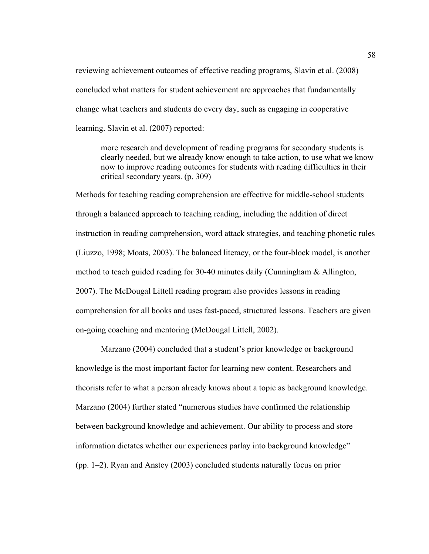reviewing achievement outcomes of effective reading programs, Slavin et al. (2008) concluded what matters for student achievement are approaches that fundamentally change what teachers and students do every day, such as engaging in cooperative learning. Slavin et al. (2007) reported:

more research and development of reading programs for secondary students is clearly needed, but we already know enough to take action, to use what we know now to improve reading outcomes for students with reading difficulties in their critical secondary years. (p. 309)

Methods for teaching reading comprehension are effective for middle-school students through a balanced approach to teaching reading, including the addition of direct instruction in reading comprehension, word attack strategies, and teaching phonetic rules (Liuzzo, 1998; Moats, 2003). The balanced literacy, or the four-block model, is another method to teach guided reading for 30-40 minutes daily (Cunningham & Allington, 2007). The McDougal Littell reading program also provides lessons in reading comprehension for all books and uses fast-paced, structured lessons. Teachers are given on-going coaching and mentoring (McDougal Littell, 2002).

Marzano (2004) concluded that a student's prior knowledge or background knowledge is the most important factor for learning new content. Researchers and theorists refer to what a person already knows about a topic as background knowledge. Marzano (2004) further stated "numerous studies have confirmed the relationship between background knowledge and achievement. Our ability to process and store information dictates whether our experiences parlay into background knowledge" (pp. 1–2). Ryan and Anstey (2003) concluded students naturally focus on prior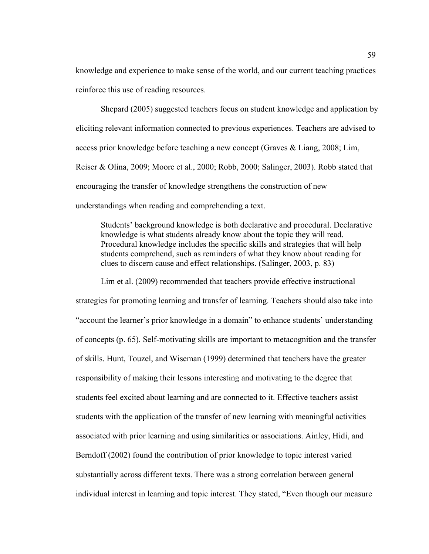knowledge and experience to make sense of the world, and our current teaching practices reinforce this use of reading resources.

Shepard (2005) suggested teachers focus on student knowledge and application by eliciting relevant information connected to previous experiences. Teachers are advised to access prior knowledge before teaching a new concept (Graves & Liang, 2008; Lim, Reiser & Olina, 2009; Moore et al., 2000; Robb, 2000; Salinger, 2003). Robb stated that encouraging the transfer of knowledge strengthens the construction of new understandings when reading and comprehending a text.

Students' background knowledge is both declarative and procedural. Declarative knowledge is what students already know about the topic they will read. Procedural knowledge includes the specific skills and strategies that will help students comprehend, such as reminders of what they know about reading for clues to discern cause and effect relationships. (Salinger, 2003, p. 83)

Lim et al. (2009) recommended that teachers provide effective instructional strategies for promoting learning and transfer of learning. Teachers should also take into "account the learner's prior knowledge in a domain" to enhance students' understanding of concepts (p. 65). Self-motivating skills are important to metacognition and the transfer of skills. Hunt, Touzel, and Wiseman (1999) determined that teachers have the greater responsibility of making their lessons interesting and motivating to the degree that students feel excited about learning and are connected to it. Effective teachers assist students with the application of the transfer of new learning with meaningful activities associated with prior learning and using similarities or associations. Ainley, Hidi, and Berndoff (2002) found the contribution of prior knowledge to topic interest varied substantially across different texts. There was a strong correlation between general individual interest in learning and topic interest. They stated, "Even though our measure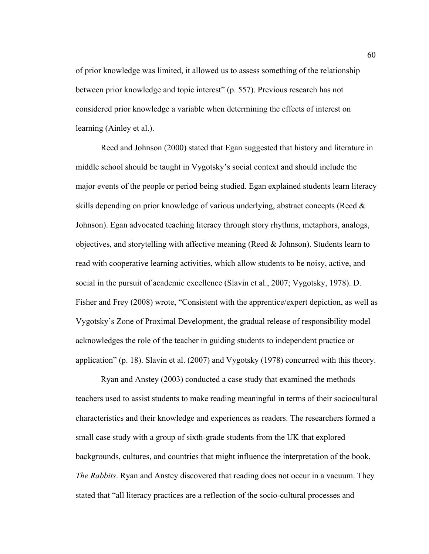of prior knowledge was limited, it allowed us to assess something of the relationship between prior knowledge and topic interest" (p. 557). Previous research has not considered prior knowledge a variable when determining the effects of interest on learning (Ainley et al.).

Reed and Johnson (2000) stated that Egan suggested that history and literature in middle school should be taught in Vygotsky's social context and should include the major events of the people or period being studied. Egan explained students learn literacy skills depending on prior knowledge of various underlying, abstract concepts (Reed & Johnson). Egan advocated teaching literacy through story rhythms, metaphors, analogs, objectives, and storytelling with affective meaning (Reed  $\&$  Johnson). Students learn to read with cooperative learning activities, which allow students to be noisy, active, and social in the pursuit of academic excellence (Slavin et al., 2007; Vygotsky, 1978). D. Fisher and Frey (2008) wrote, "Consistent with the apprentice/expert depiction, as well as Vygotsky's Zone of Proximal Development, the gradual release of responsibility model acknowledges the role of the teacher in guiding students to independent practice or application" (p. 18). Slavin et al. (2007) and Vygotsky (1978) concurred with this theory.

Ryan and Anstey (2003) conducted a case study that examined the methods teachers used to assist students to make reading meaningful in terms of their sociocultural characteristics and their knowledge and experiences as readers. The researchers formed a small case study with a group of sixth-grade students from the UK that explored backgrounds, cultures, and countries that might influence the interpretation of the book, *The Rabbits*. Ryan and Anstey discovered that reading does not occur in a vacuum. They stated that "all literacy practices are a reflection of the socio-cultural processes and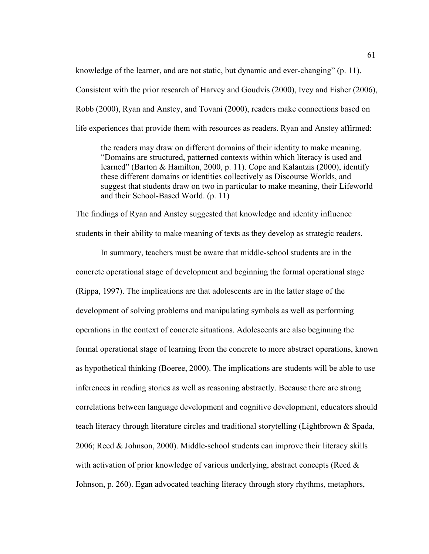knowledge of the learner, and are not static, but dynamic and ever-changing" (p. 11). Consistent with the prior research of Harvey and Goudvis (2000), Ivey and Fisher (2006), Robb (2000), Ryan and Anstey, and Tovani (2000), readers make connections based on life experiences that provide them with resources as readers. Ryan and Anstey affirmed:

the readers may draw on different domains of their identity to make meaning. "Domains are structured, patterned contexts within which literacy is used and learned" (Barton & Hamilton, 2000, p. 11). Cope and Kalantzis (2000), identify these different domains or identities collectively as Discourse Worlds, and suggest that students draw on two in particular to make meaning, their Lifeworld and their School-Based World. (p. 11)

The findings of Ryan and Anstey suggested that knowledge and identity influence students in their ability to make meaning of texts as they develop as strategic readers.

In summary, teachers must be aware that middle-school students are in the concrete operational stage of development and beginning the formal operational stage (Rippa, 1997). The implications are that adolescents are in the latter stage of the development of solving problems and manipulating symbols as well as performing operations in the context of concrete situations. Adolescents are also beginning the formal operational stage of learning from the concrete to more abstract operations, known as hypothetical thinking (Boeree, 2000). The implications are students will be able to use inferences in reading stories as well as reasoning abstractly. Because there are strong correlations between language development and cognitive development, educators should teach literacy through literature circles and traditional storytelling (Lightbrown & Spada, 2006; Reed & Johnson, 2000). Middle-school students can improve their literacy skills with activation of prior knowledge of various underlying, abstract concepts (Reed  $\&$ Johnson, p. 260). Egan advocated teaching literacy through story rhythms, metaphors,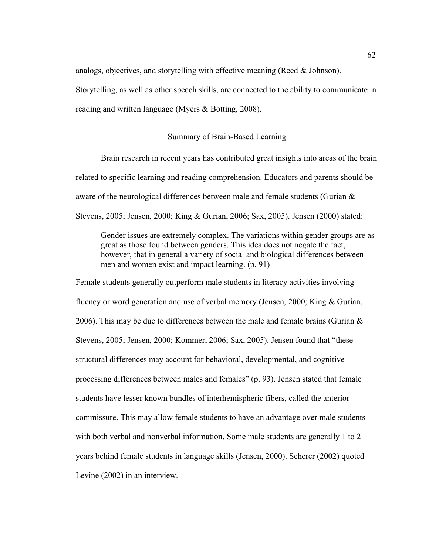analogs, objectives, and storytelling with effective meaning (Reed & Johnson).

Storytelling, as well as other speech skills, are connected to the ability to communicate in reading and written language (Myers & Botting, 2008).

## Summary of Brain-Based Learning

Brain research in recent years has contributed great insights into areas of the brain related to specific learning and reading comprehension. Educators and parents should be aware of the neurological differences between male and female students (Gurian & Stevens, 2005; Jensen, 2000; King & Gurian, 2006; Sax, 2005). Jensen (2000) stated:

Gender issues are extremely complex. The variations within gender groups are as great as those found between genders. This idea does not negate the fact, however, that in general a variety of social and biological differences between men and women exist and impact learning. (p. 91)

Female students generally outperform male students in literacy activities involving fluency or word generation and use of verbal memory (Jensen, 2000; King & Gurian, 2006). This may be due to differences between the male and female brains (Gurian  $\&$ Stevens, 2005; Jensen, 2000; Kommer, 2006; Sax, 2005). Jensen found that "these structural differences may account for behavioral, developmental, and cognitive processing differences between males and females" (p. 93). Jensen stated that female students have lesser known bundles of interhemispheric fibers, called the anterior commissure. This may allow female students to have an advantage over male students with both verbal and nonverbal information. Some male students are generally 1 to 2 years behind female students in language skills (Jensen, 2000). Scherer (2002) quoted Levine (2002) in an interview.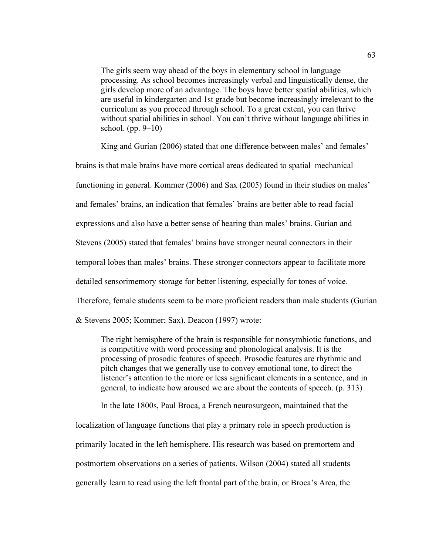The girls seem way ahead of the boys in elementary school in language processing. As school becomes increasingly verbal and linguistically dense, the girls develop more of an advantage. The boys have better spatial abilities, which are useful in kindergarten and 1st grade but become increasingly irrelevant to the curriculum as you proceed through school. To a great extent, you can thrive without spatial abilities in school. You can't thrive without language abilities in school. (pp. 9–10)

King and Gurian (2006) stated that one difference between males' and females'

brains is that male brains have more cortical areas dedicated to spatial–mechanical functioning in general. Kommer (2006) and Sax (2005) found in their studies on males' and females' brains, an indication that females' brains are better able to read facial expressions and also have a better sense of hearing than males' brains. Gurian and Stevens (2005) stated that females' brains have stronger neural connectors in their temporal lobes than males' brains. These stronger connectors appear to facilitate more detailed sensorimemory storage for better listening, especially for tones of voice. Therefore, female students seem to be more proficient readers than male students (Gurian & Stevens 2005; Kommer; Sax). Deacon (1997) wrote:

The right hemisphere of the brain is responsible for nonsymbiotic functions, and is competitive with word processing and phonological analysis. It is the processing of prosodic features of speech. Prosodic features are rhythmic and pitch changes that we generally use to convey emotional tone, to direct the listener's attention to the more or less significant elements in a sentence, and in general, to indicate how aroused we are about the contents of speech. (p. 313)

In the late 1800s, Paul Broca, a French neurosurgeon, maintained that the localization of language functions that play a primary role in speech production is primarily located in the left hemisphere. His research was based on premortem and postmortem observations on a series of patients. Wilson (2004) stated all students generally learn to read using the left frontal part of the brain, or Broca's Area, the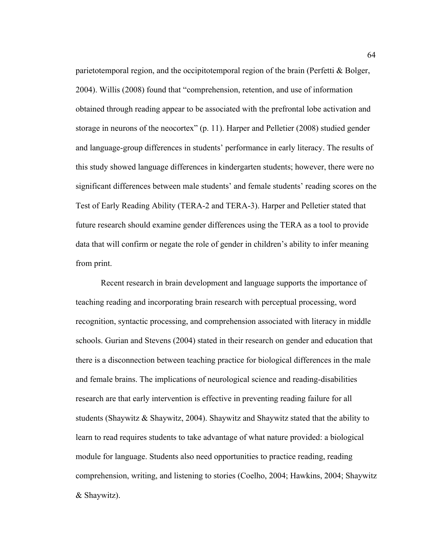parietotemporal region, and the occipitotemporal region of the brain (Perfetti & Bolger, 2004). Willis (2008) found that "comprehension, retention, and use of information obtained through reading appear to be associated with the prefrontal lobe activation and storage in neurons of the neocortex" (p. 11). Harper and Pelletier (2008) studied gender and language-group differences in students' performance in early literacy. The results of this study showed language differences in kindergarten students; however, there were no significant differences between male students' and female students' reading scores on the Test of Early Reading Ability (TERA-2 and TERA-3). Harper and Pelletier stated that future research should examine gender differences using the TERA as a tool to provide data that will confirm or negate the role of gender in children's ability to infer meaning from print.

Recent research in brain development and language supports the importance of teaching reading and incorporating brain research with perceptual processing, word recognition, syntactic processing, and comprehension associated with literacy in middle schools. Gurian and Stevens (2004) stated in their research on gender and education that there is a disconnection between teaching practice for biological differences in the male and female brains. The implications of neurological science and reading-disabilities research are that early intervention is effective in preventing reading failure for all students (Shaywitz & Shaywitz, 2004). Shaywitz and Shaywitz stated that the ability to learn to read requires students to take advantage of what nature provided: a biological module for language. Students also need opportunities to practice reading, reading comprehension, writing, and listening to stories (Coelho, 2004; Hawkins, 2004; Shaywitz & Shaywitz).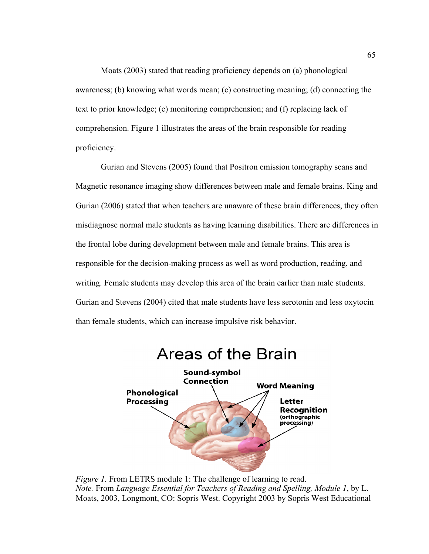Moats (2003) stated that reading proficiency depends on (a) phonological awareness; (b) knowing what words mean; (c) constructing meaning; (d) connecting the text to prior knowledge; (e) monitoring comprehension; and (f) replacing lack of comprehension. Figure 1 illustrates the areas of the brain responsible for reading proficiency.

Gurian and Stevens (2005) found that Positron emission tomography scans and Magnetic resonance imaging show differences between male and female brains. King and Gurian (2006) stated that when teachers are unaware of these brain differences, they often misdiagnose normal male students as having learning disabilities. There are differences in the frontal lobe during development between male and female brains. This area is responsible for the decision-making process as well as word production, reading, and writing. Female students may develop this area of the brain earlier than male students. Gurian and Stevens (2004) cited that male students have less serotonin and less oxytocin than female students, which can increase impulsive risk behavior.



*Figure 1.* From LETRS module 1: The challenge of learning to read. *Note.* From *Language Essential for Teachers of Reading and Spelling, Module 1*, by L. Moats, 2003, Longmont, CO: Sopris West. Copyright 2003 by Sopris West Educational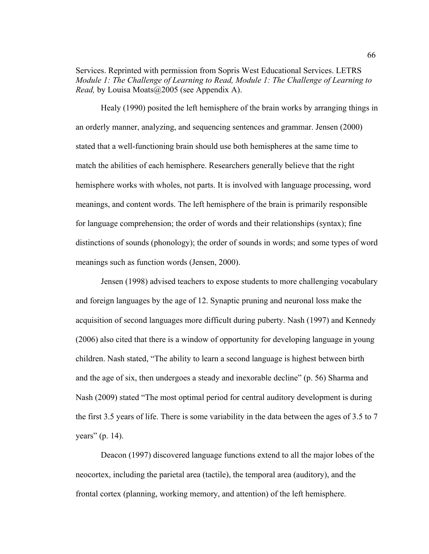Services. Reprinted with permission from Sopris West Educational Services. LETRS *Module 1: The Challenge of Learning to Read, Module 1: The Challenge of Learning to Read,* by Louisa Moats@2005 (see Appendix A).

Healy (1990) posited the left hemisphere of the brain works by arranging things in an orderly manner, analyzing, and sequencing sentences and grammar. Jensen (2000) stated that a well-functioning brain should use both hemispheres at the same time to match the abilities of each hemisphere. Researchers generally believe that the right hemisphere works with wholes, not parts. It is involved with language processing, word meanings, and content words. The left hemisphere of the brain is primarily responsible for language comprehension; the order of words and their relationships (syntax); fine distinctions of sounds (phonology); the order of sounds in words; and some types of word meanings such as function words (Jensen, 2000).

Jensen (1998) advised teachers to expose students to more challenging vocabulary and foreign languages by the age of 12. Synaptic pruning and neuronal loss make the acquisition of second languages more difficult during puberty. Nash (1997) and Kennedy (2006) also cited that there is a window of opportunity for developing language in young children. Nash stated, "The ability to learn a second language is highest between birth and the age of six, then undergoes a steady and inexorable decline" (p. 56) Sharma and Nash (2009) stated "The most optimal period for central auditory development is during the first 3.5 years of life. There is some variability in the data between the ages of 3.5 to 7 years" (p. 14).

Deacon (1997) discovered language functions extend to all the major lobes of the neocortex, including the parietal area (tactile), the temporal area (auditory), and the frontal cortex (planning, working memory, and attention) of the left hemisphere.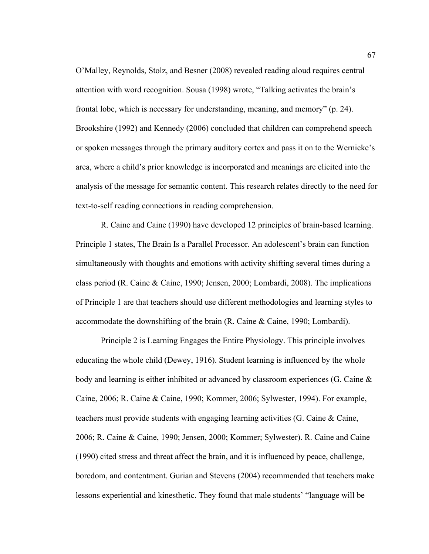O'Malley, Reynolds, Stolz, and Besner (2008) revealed reading aloud requires central attention with word recognition. Sousa (1998) wrote, "Talking activates the brain's frontal lobe, which is necessary for understanding, meaning, and memory" (p. 24). Brookshire (1992) and Kennedy (2006) concluded that children can comprehend speech or spoken messages through the primary auditory cortex and pass it on to the Wernicke's area, where a child's prior knowledge is incorporated and meanings are elicited into the analysis of the message for semantic content. This research relates directly to the need for text-to-self reading connections in reading comprehension.

R. Caine and Caine (1990) have developed 12 principles of brain-based learning. Principle 1 states, The Brain Is a Parallel Processor. An adolescent's brain can function simultaneously with thoughts and emotions with activity shifting several times during a class period (R. Caine & Caine, 1990; Jensen, 2000; Lombardi, 2008). The implications of Principle 1 are that teachers should use different methodologies and learning styles to accommodate the downshifting of the brain (R. Caine & Caine, 1990; Lombardi).

Principle 2 is Learning Engages the Entire Physiology. This principle involves educating the whole child (Dewey, 1916). Student learning is influenced by the whole body and learning is either inhibited or advanced by classroom experiences (G. Caine & Caine, 2006; R. Caine & Caine, 1990; Kommer, 2006; Sylwester, 1994). For example, teachers must provide students with engaging learning activities (G. Caine & Caine, 2006; R. Caine & Caine, 1990; Jensen, 2000; Kommer; Sylwester). R. Caine and Caine (1990) cited stress and threat affect the brain, and it is influenced by peace, challenge, boredom, and contentment. Gurian and Stevens (2004) recommended that teachers make lessons experiential and kinesthetic. They found that male students' "language will be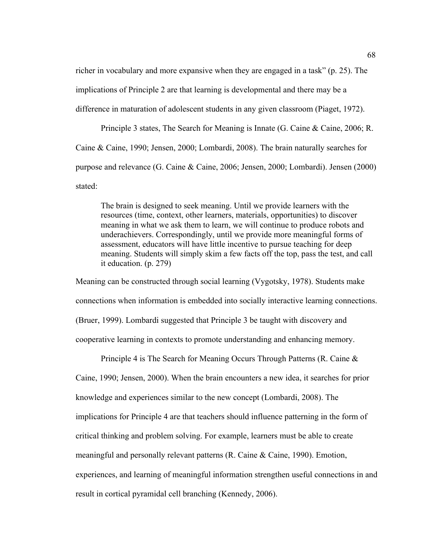richer in vocabulary and more expansive when they are engaged in a task" (p. 25). The implications of Principle 2 are that learning is developmental and there may be a difference in maturation of adolescent students in any given classroom (Piaget, 1972).

Principle 3 states, The Search for Meaning is Innate (G. Caine & Caine, 2006; R. Caine & Caine, 1990; Jensen, 2000; Lombardi, 2008). The brain naturally searches for purpose and relevance (G. Caine & Caine, 2006; Jensen, 2000; Lombardi). Jensen (2000) stated:

The brain is designed to seek meaning. Until we provide learners with the resources (time, context, other learners, materials, opportunities) to discover meaning in what we ask them to learn, we will continue to produce robots and underachievers. Correspondingly, until we provide more meaningful forms of assessment, educators will have little incentive to pursue teaching for deep meaning. Students will simply skim a few facts off the top, pass the test, and call it education. (p. 279)

Meaning can be constructed through social learning (Vygotsky, 1978). Students make connections when information is embedded into socially interactive learning connections. (Bruer, 1999). Lombardi suggested that Principle 3 be taught with discovery and cooperative learning in contexts to promote understanding and enhancing memory.

Principle 4 is The Search for Meaning Occurs Through Patterns (R. Caine & Caine, 1990; Jensen, 2000). When the brain encounters a new idea, it searches for prior knowledge and experiences similar to the new concept (Lombardi, 2008). The implications for Principle 4 are that teachers should influence patterning in the form of critical thinking and problem solving. For example, learners must be able to create meaningful and personally relevant patterns (R. Caine & Caine, 1990). Emotion, experiences, and learning of meaningful information strengthen useful connections in and result in cortical pyramidal cell branching (Kennedy, 2006).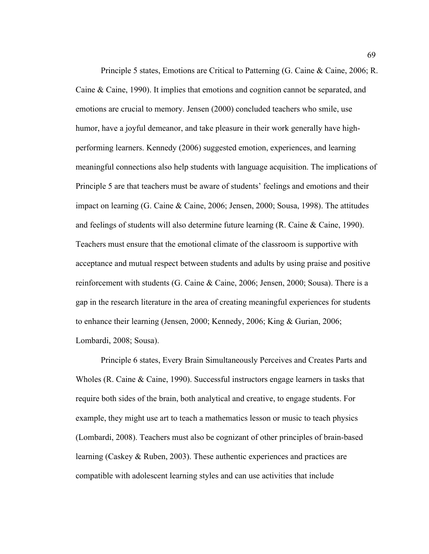Principle 5 states, Emotions are Critical to Patterning (G. Caine & Caine, 2006; R. Caine & Caine, 1990). It implies that emotions and cognition cannot be separated, and emotions are crucial to memory. Jensen (2000) concluded teachers who smile, use humor, have a joyful demeanor, and take pleasure in their work generally have highperforming learners. Kennedy (2006) suggested emotion, experiences, and learning meaningful connections also help students with language acquisition. The implications of Principle 5 are that teachers must be aware of students' feelings and emotions and their impact on learning (G. Caine & Caine, 2006; Jensen, 2000; Sousa, 1998). The attitudes and feelings of students will also determine future learning (R. Caine & Caine, 1990). Teachers must ensure that the emotional climate of the classroom is supportive with acceptance and mutual respect between students and adults by using praise and positive reinforcement with students (G. Caine & Caine, 2006; Jensen, 2000; Sousa). There is a gap in the research literature in the area of creating meaningful experiences for students to enhance their learning (Jensen, 2000; Kennedy, 2006; King & Gurian, 2006; Lombardi, 2008; Sousa).

Principle 6 states, Every Brain Simultaneously Perceives and Creates Parts and Wholes (R. Caine & Caine, 1990). Successful instructors engage learners in tasks that require both sides of the brain, both analytical and creative, to engage students. For example, they might use art to teach a mathematics lesson or music to teach physics (Lombardi, 2008). Teachers must also be cognizant of other principles of brain-based learning (Caskey & Ruben, 2003). These authentic experiences and practices are compatible with adolescent learning styles and can use activities that include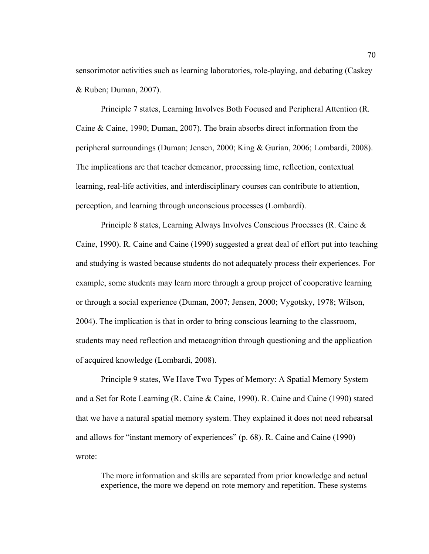sensorimotor activities such as learning laboratories, role-playing, and debating (Caskey & Ruben; Duman, 2007).

Principle 7 states, Learning Involves Both Focused and Peripheral Attention (R. Caine & Caine, 1990; Duman, 2007). The brain absorbs direct information from the peripheral surroundings (Duman; Jensen, 2000; King & Gurian, 2006; Lombardi, 2008). The implications are that teacher demeanor, processing time, reflection, contextual learning, real-life activities, and interdisciplinary courses can contribute to attention, perception, and learning through unconscious processes (Lombardi).

Principle 8 states, Learning Always Involves Conscious Processes (R. Caine & Caine, 1990). R. Caine and Caine (1990) suggested a great deal of effort put into teaching and studying is wasted because students do not adequately process their experiences. For example, some students may learn more through a group project of cooperative learning or through a social experience (Duman, 2007; Jensen, 2000; Vygotsky, 1978; Wilson, 2004). The implication is that in order to bring conscious learning to the classroom, students may need reflection and metacognition through questioning and the application of acquired knowledge (Lombardi, 2008).

Principle 9 states, We Have Two Types of Memory: A Spatial Memory System and a Set for Rote Learning (R. Caine & Caine, 1990). R. Caine and Caine (1990) stated that we have a natural spatial memory system. They explained it does not need rehearsal and allows for "instant memory of experiences" (p. 68). R. Caine and Caine (1990) wrote:

The more information and skills are separated from prior knowledge and actual experience, the more we depend on rote memory and repetition. These systems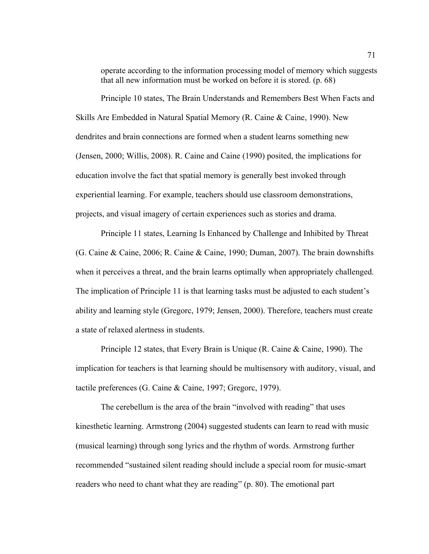operate according to the information processing model of memory which suggests that all new information must be worked on before it is stored. (p. 68)

Principle 10 states, The Brain Understands and Remembers Best When Facts and Skills Are Embedded in Natural Spatial Memory (R. Caine & Caine, 1990). New dendrites and brain connections are formed when a student learns something new (Jensen, 2000; Willis, 2008). R. Caine and Caine (1990) posited, the implications for education involve the fact that spatial memory is generally best invoked through experiential learning. For example, teachers should use classroom demonstrations, projects, and visual imagery of certain experiences such as stories and drama.

Principle 11 states, Learning Is Enhanced by Challenge and Inhibited by Threat (G. Caine & Caine, 2006; R. Caine & Caine, 1990; Duman, 2007). The brain downshifts when it perceives a threat, and the brain learns optimally when appropriately challenged. The implication of Principle 11 is that learning tasks must be adjusted to each student's ability and learning style (Gregorc, 1979; Jensen, 2000). Therefore, teachers must create a state of relaxed alertness in students.

Principle 12 states, that Every Brain is Unique (R. Caine & Caine, 1990). The implication for teachers is that learning should be multisensory with auditory, visual, and tactile preferences (G. Caine & Caine, 1997; Gregorc, 1979).

The cerebellum is the area of the brain "involved with reading" that uses kinesthetic learning. Armstrong (2004) suggested students can learn to read with music (musical learning) through song lyrics and the rhythm of words. Armstrong further recommended "sustained silent reading should include a special room for music-smart readers who need to chant what they are reading" (p. 80). The emotional part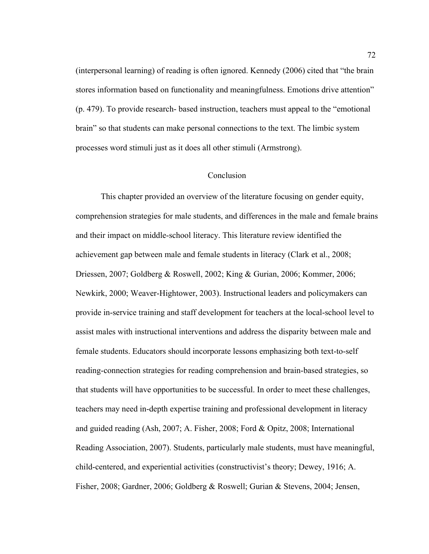(interpersonal learning) of reading is often ignored. Kennedy (2006) cited that "the brain stores information based on functionality and meaningfulness. Emotions drive attention" (p. 479). To provide research- based instruction, teachers must appeal to the "emotional brain" so that students can make personal connections to the text. The limbic system processes word stimuli just as it does all other stimuli (Armstrong).

#### Conclusion

This chapter provided an overview of the literature focusing on gender equity, comprehension strategies for male students, and differences in the male and female brains and their impact on middle-school literacy. This literature review identified the achievement gap between male and female students in literacy (Clark et al., 2008; Driessen, 2007; Goldberg & Roswell, 2002; King & Gurian, 2006; Kommer, 2006; Newkirk, 2000; Weaver-Hightower, 2003). Instructional leaders and policymakers can provide in-service training and staff development for teachers at the local-school level to assist males with instructional interventions and address the disparity between male and female students. Educators should incorporate lessons emphasizing both text-to-self reading-connection strategies for reading comprehension and brain-based strategies, so that students will have opportunities to be successful. In order to meet these challenges, teachers may need in-depth expertise training and professional development in literacy and guided reading (Ash, 2007; A. Fisher, 2008; Ford & Opitz, 2008; International Reading Association, 2007). Students, particularly male students, must have meaningful, child-centered, and experiential activities (constructivist's theory; Dewey, 1916; A. Fisher, 2008; Gardner, 2006; Goldberg & Roswell; Gurian & Stevens, 2004; Jensen,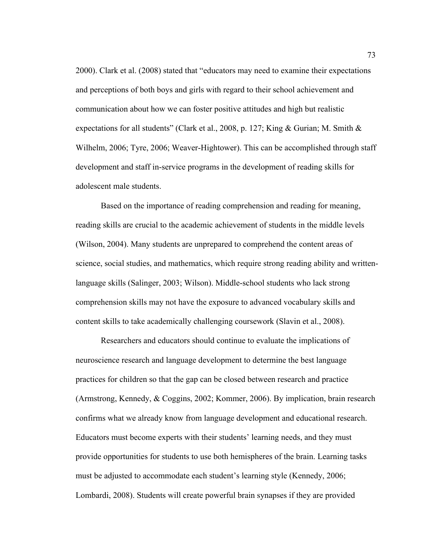2000). Clark et al. (2008) stated that "educators may need to examine their expectations and perceptions of both boys and girls with regard to their school achievement and communication about how we can foster positive attitudes and high but realistic expectations for all students" (Clark et al., 2008, p. 127; King & Gurian; M. Smith & Wilhelm, 2006; Tyre, 2006; Weaver-Hightower). This can be accomplished through staff development and staff in-service programs in the development of reading skills for adolescent male students.

Based on the importance of reading comprehension and reading for meaning, reading skills are crucial to the academic achievement of students in the middle levels (Wilson, 2004). Many students are unprepared to comprehend the content areas of science, social studies, and mathematics, which require strong reading ability and writtenlanguage skills (Salinger, 2003; Wilson). Middle-school students who lack strong comprehension skills may not have the exposure to advanced vocabulary skills and content skills to take academically challenging coursework (Slavin et al., 2008).

Researchers and educators should continue to evaluate the implications of neuroscience research and language development to determine the best language practices for children so that the gap can be closed between research and practice (Armstrong, Kennedy, & Coggins, 2002; Kommer, 2006). By implication, brain research confirms what we already know from language development and educational research. Educators must become experts with their students' learning needs, and they must provide opportunities for students to use both hemispheres of the brain. Learning tasks must be adjusted to accommodate each student's learning style (Kennedy, 2006; Lombardi, 2008). Students will create powerful brain synapses if they are provided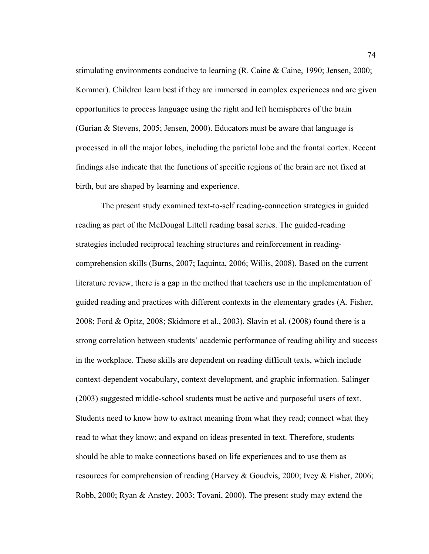stimulating environments conducive to learning (R. Caine & Caine, 1990; Jensen, 2000; Kommer). Children learn best if they are immersed in complex experiences and are given opportunities to process language using the right and left hemispheres of the brain (Gurian & Stevens, 2005; Jensen, 2000). Educators must be aware that language is processed in all the major lobes, including the parietal lobe and the frontal cortex. Recent findings also indicate that the functions of specific regions of the brain are not fixed at birth, but are shaped by learning and experience.

The present study examined text-to-self reading-connection strategies in guided reading as part of the McDougal Littell reading basal series. The guided-reading strategies included reciprocal teaching structures and reinforcement in readingcomprehension skills (Burns, 2007; Iaquinta, 2006; Willis, 2008). Based on the current literature review, there is a gap in the method that teachers use in the implementation of guided reading and practices with different contexts in the elementary grades (A. Fisher, 2008; Ford & Opitz, 2008; Skidmore et al., 2003). Slavin et al. (2008) found there is a strong correlation between students' academic performance of reading ability and success in the workplace. These skills are dependent on reading difficult texts, which include context-dependent vocabulary, context development, and graphic information. Salinger (2003) suggested middle-school students must be active and purposeful users of text. Students need to know how to extract meaning from what they read; connect what they read to what they know; and expand on ideas presented in text. Therefore, students should be able to make connections based on life experiences and to use them as resources for comprehension of reading (Harvey & Goudvis, 2000; Ivey & Fisher, 2006; Robb, 2000; Ryan & Anstey, 2003; Tovani, 2000). The present study may extend the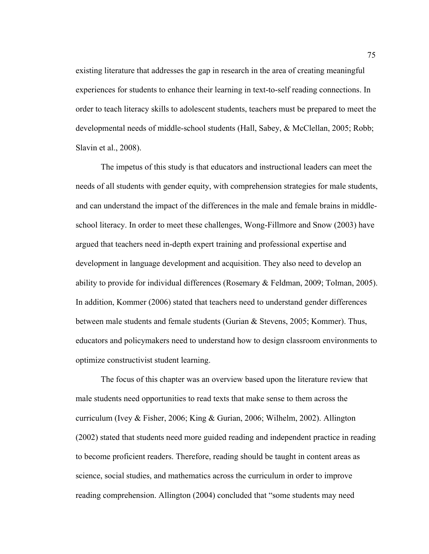existing literature that addresses the gap in research in the area of creating meaningful experiences for students to enhance their learning in text-to-self reading connections. In order to teach literacy skills to adolescent students, teachers must be prepared to meet the developmental needs of middle-school students (Hall, Sabey, & McClellan, 2005; Robb; Slavin et al., 2008).

The impetus of this study is that educators and instructional leaders can meet the needs of all students with gender equity, with comprehension strategies for male students, and can understand the impact of the differences in the male and female brains in middleschool literacy. In order to meet these challenges, Wong-Fillmore and Snow (2003) have argued that teachers need in-depth expert training and professional expertise and development in language development and acquisition. They also need to develop an ability to provide for individual differences (Rosemary & Feldman, 2009; Tolman, 2005). In addition, Kommer (2006) stated that teachers need to understand gender differences between male students and female students (Gurian & Stevens, 2005; Kommer). Thus, educators and policymakers need to understand how to design classroom environments to optimize constructivist student learning.

The focus of this chapter was an overview based upon the literature review that male students need opportunities to read texts that make sense to them across the curriculum (Ivey & Fisher, 2006; King & Gurian, 2006; Wilhelm, 2002). Allington (2002) stated that students need more guided reading and independent practice in reading to become proficient readers. Therefore, reading should be taught in content areas as science, social studies, and mathematics across the curriculum in order to improve reading comprehension. Allington (2004) concluded that "some students may need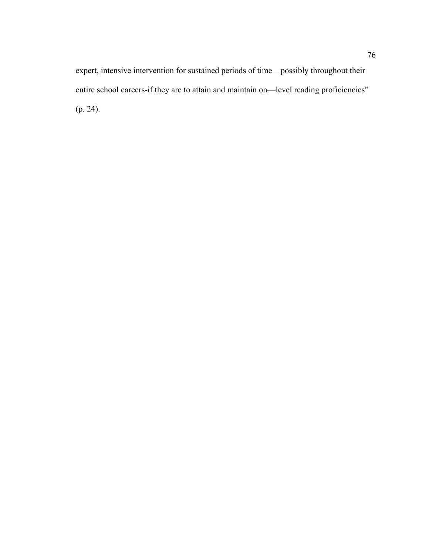expert, intensive intervention for sustained periods of time—possibly throughout their entire school careers-if they are to attain and maintain on—level reading proficiencies" (p. 24).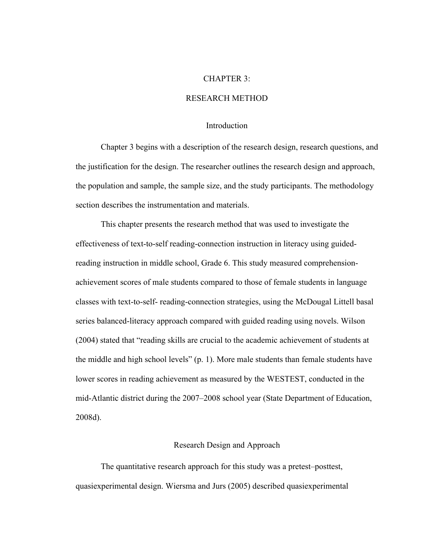# CHAPTER 3:

# RESEARCH METHOD

#### Introduction

Chapter 3 begins with a description of the research design, research questions, and the justification for the design. The researcher outlines the research design and approach, the population and sample, the sample size, and the study participants. The methodology section describes the instrumentation and materials.

This chapter presents the research method that was used to investigate the effectiveness of text-to-self reading-connection instruction in literacy using guidedreading instruction in middle school, Grade 6. This study measured comprehensionachievement scores of male students compared to those of female students in language classes with text-to-self- reading-connection strategies, using the McDougal Littell basal series balanced-literacy approach compared with guided reading using novels. Wilson (2004) stated that "reading skills are crucial to the academic achievement of students at the middle and high school levels" (p. 1). More male students than female students have lower scores in reading achievement as measured by the WESTEST, conducted in the mid-Atlantic district during the 2007–2008 school year (State Department of Education, 2008d).

#### Research Design and Approach

The quantitative research approach for this study was a pretest–posttest, quasiexperimental design. Wiersma and Jurs (2005) described quasiexperimental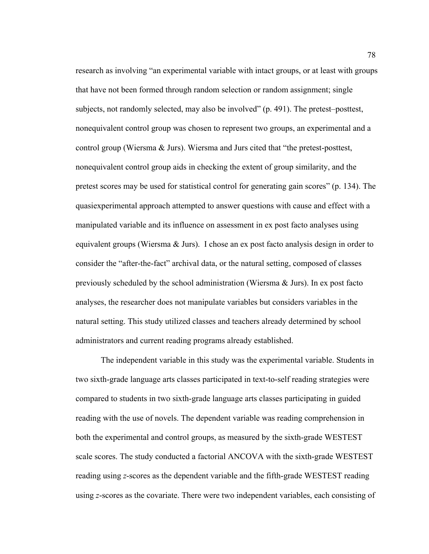research as involving "an experimental variable with intact groups, or at least with groups that have not been formed through random selection or random assignment; single subjects, not randomly selected, may also be involved" (p. 491). The pretest–posttest, nonequivalent control group was chosen to represent two groups, an experimental and a control group (Wiersma & Jurs). Wiersma and Jurs cited that "the pretest-posttest, nonequivalent control group aids in checking the extent of group similarity, and the pretest scores may be used for statistical control for generating gain scores" (p. 134). The quasiexperimental approach attempted to answer questions with cause and effect with a manipulated variable and its influence on assessment in ex post facto analyses using equivalent groups (Wiersma  $\&$  Jurs). I chose an ex post facto analysis design in order to consider the "after-the-fact" archival data, or the natural setting, composed of classes previously scheduled by the school administration (Wiersma  $\&$  Jurs). In ex post facto analyses, the researcher does not manipulate variables but considers variables in the natural setting. This study utilized classes and teachers already determined by school administrators and current reading programs already established.

The independent variable in this study was the experimental variable. Students in two sixth-grade language arts classes participated in text-to-self reading strategies were compared to students in two sixth-grade language arts classes participating in guided reading with the use of novels. The dependent variable was reading comprehension in both the experimental and control groups, as measured by the sixth-grade WESTEST scale scores. The study conducted a factorial ANCOVA with the sixth-grade WESTEST reading using *z*-scores as the dependent variable and the fifth-grade WESTEST reading using *z*-scores as the covariate. There were two independent variables, each consisting of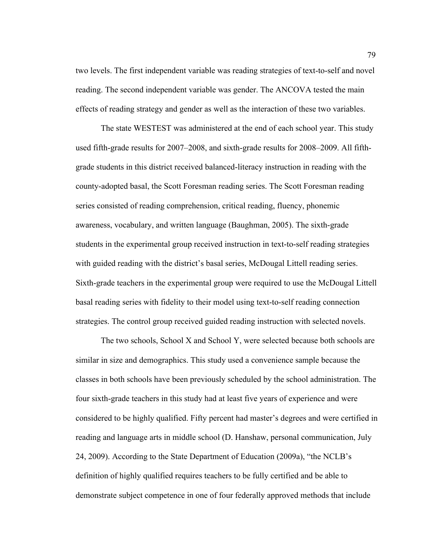two levels. The first independent variable was reading strategies of text-to-self and novel reading. The second independent variable was gender. The ANCOVA tested the main effects of reading strategy and gender as well as the interaction of these two variables.

The state WESTEST was administered at the end of each school year. This study used fifth-grade results for 2007–2008, and sixth-grade results for 2008–2009. All fifthgrade students in this district received balanced-literacy instruction in reading with the county-adopted basal, the Scott Foresman reading series. The Scott Foresman reading series consisted of reading comprehension, critical reading, fluency, phonemic awareness, vocabulary, and written language (Baughman, 2005). The sixth-grade students in the experimental group received instruction in text-to-self reading strategies with guided reading with the district's basal series, McDougal Littell reading series. Sixth-grade teachers in the experimental group were required to use the McDougal Littell basal reading series with fidelity to their model using text-to-self reading connection strategies. The control group received guided reading instruction with selected novels.

The two schools, School X and School Y, were selected because both schools are similar in size and demographics. This study used a convenience sample because the classes in both schools have been previously scheduled by the school administration. The four sixth-grade teachers in this study had at least five years of experience and were considered to be highly qualified. Fifty percent had master's degrees and were certified in reading and language arts in middle school (D. Hanshaw, personal communication, July 24, 2009). According to the State Department of Education (2009a), "the NCLB's definition of highly qualified requires teachers to be fully certified and be able to demonstrate subject competence in one of four federally approved methods that include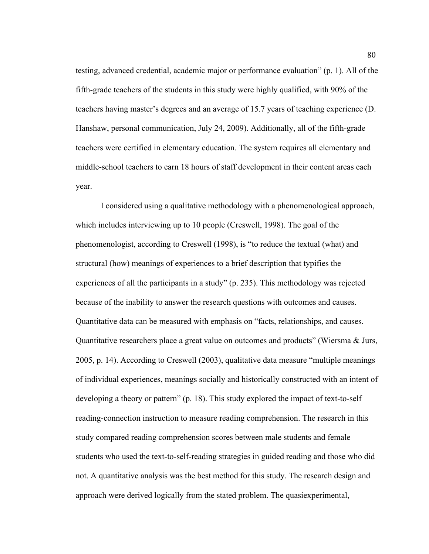testing, advanced credential, academic major or performance evaluation" (p. 1). All of the fifth-grade teachers of the students in this study were highly qualified, with 90% of the teachers having master's degrees and an average of 15.7 years of teaching experience (D. Hanshaw, personal communication, July 24, 2009). Additionally, all of the fifth-grade teachers were certified in elementary education. The system requires all elementary and middle-school teachers to earn 18 hours of staff development in their content areas each year.

I considered using a qualitative methodology with a phenomenological approach, which includes interviewing up to 10 people (Creswell, 1998). The goal of the phenomenologist, according to Creswell (1998), is "to reduce the textual (what) and structural (how) meanings of experiences to a brief description that typifies the experiences of all the participants in a study" (p. 235). This methodology was rejected because of the inability to answer the research questions with outcomes and causes. Quantitative data can be measured with emphasis on "facts, relationships, and causes. Quantitative researchers place a great value on outcomes and products" (Wiersma & Jurs, 2005, p. 14). According to Creswell (2003), qualitative data measure "multiple meanings of individual experiences, meanings socially and historically constructed with an intent of developing a theory or pattern" (p. 18). This study explored the impact of text-to-self reading-connection instruction to measure reading comprehension. The research in this study compared reading comprehension scores between male students and female students who used the text-to-self-reading strategies in guided reading and those who did not. A quantitative analysis was the best method for this study. The research design and approach were derived logically from the stated problem. The quasiexperimental,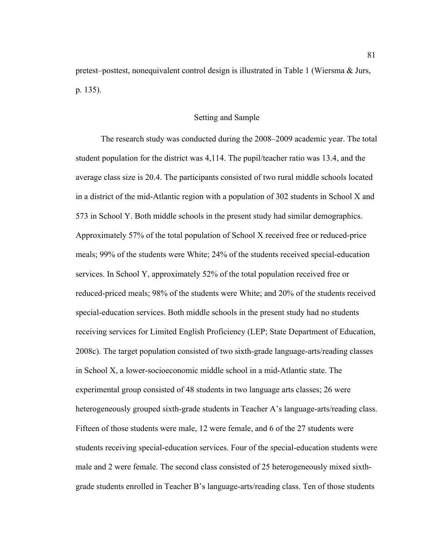pretest–posttest, nonequivalent control design is illustrated in Table 1 (Wiersma & Jurs, p. 135).

# Setting and Sample

The research study was conducted during the 2008–2009 academic year. The total student population for the district was 4,114. The pupil/teacher ratio was 13.4, and the average class size is 20.4. The participants consisted of two rural middle schools located in a district of the mid-Atlantic region with a population of 302 students in School X and 573 in School Y. Both middle schools in the present study had similar demographics. Approximately 57% of the total population of School X received free or reduced-price meals; 99% of the students were White; 24% of the students received special-education services. In School Y, approximately 52% of the total population received free or reduced-priced meals; 98% of the students were White; and 20% of the students received special-education services. Both middle schools in the present study had no students receiving services for Limited English Proficiency (LEP; State Department of Education, 2008c). The target population consisted of two sixth-grade language-arts/reading classes in School X, a lower-socioeconomic middle school in a mid-Atlantic state. The experimental group consisted of 48 students in two language arts classes; 26 were heterogeneously grouped sixth-grade students in Teacher A's language-arts/reading class. Fifteen of those students were male, 12 were female, and 6 of the 27 students were students receiving special-education services. Four of the special-education students were male and 2 were female. The second class consisted of 25 heterogeneously mixed sixthgrade students enrolled in Teacher B's language-arts/reading class. Ten of those students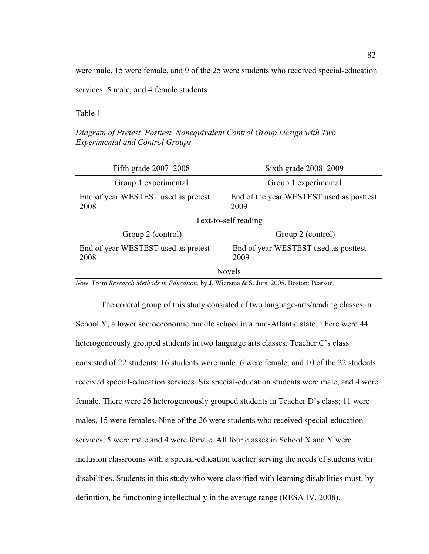were male, 15 were female, and 9 of the 25 were students who received special-education

services: 5 male, and 4 female students.

Table 1

*Diagram of Pretest–Posttest, Nonequivalent Control Group Design with Two Experimental and Control Groups*

| Fifth grade $2007-2008$                     | Sixth grade $2008 - 2009$                        |
|---------------------------------------------|--------------------------------------------------|
| Group 1 experimental                        | Group 1 experimental                             |
| End of year WESTEST used as pretest<br>2008 | End of the year WESTEST used as posttest<br>2009 |
| Text-to-self reading                        |                                                  |
| Group 2 (control)                           | Group 2 (control)                                |
| End of year WESTEST used as pretest<br>2008 | End of year WESTEST used as posttest<br>2009     |
| <b>Novels</b>                               |                                                  |

*Note.* From *Research Methods in Education,* by J. Wiersma & S. Jurs, 2005, Boston: Pearson.

The control group of this study consisted of two language-arts/reading classes in School Y, a lower socioeconomic middle school in a mid-Atlantic state. There were 44 heterogeneously grouped students in two language arts classes. Teacher C's class consisted of 22 students; 16 students were male, 6 were female, and 10 of the 22 students received special-education services. Six special-education students were male, and 4 were female. There were 26 heterogeneously grouped students in Teacher D's class; 11 were males, 15 were females. Nine of the 26 were students who received special-education services, 5 were male and 4 were female. All four classes in School X and Y were inclusion classrooms with a special-education teacher serving the needs of students with disabilities. Students in this study who were classified with learning disabilities must, by definition, be functioning intellectually in the average range (RESA IV, 2008).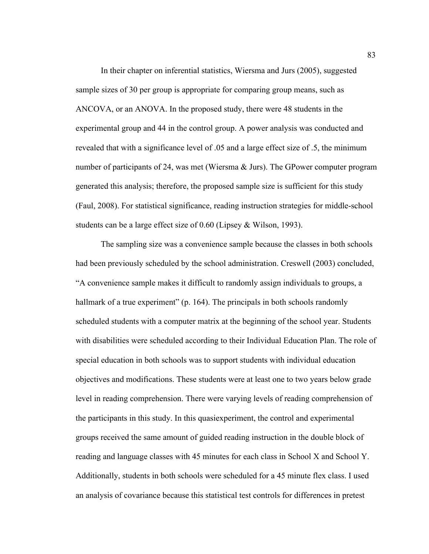In their chapter on inferential statistics, Wiersma and Jurs (2005), suggested sample sizes of 30 per group is appropriate for comparing group means, such as ANCOVA, or an ANOVA. In the proposed study, there were 48 students in the experimental group and 44 in the control group. A power analysis was conducted and revealed that with a significance level of .05 and a large effect size of .5, the minimum number of participants of 24, was met (Wiersma & Jurs). The GPower computer program generated this analysis; therefore, the proposed sample size is sufficient for this study (Faul, 2008). For statistical significance, reading instruction strategies for middle-school students can be a large effect size of 0.60 (Lipsey & Wilson, 1993).

The sampling size was a convenience sample because the classes in both schools had been previously scheduled by the school administration. Creswell (2003) concluded, "A convenience sample makes it difficult to randomly assign individuals to groups, a hallmark of a true experiment" (p. 164). The principals in both schools randomly scheduled students with a computer matrix at the beginning of the school year. Students with disabilities were scheduled according to their Individual Education Plan. The role of special education in both schools was to support students with individual education objectives and modifications. These students were at least one to two years below grade level in reading comprehension. There were varying levels of reading comprehension of the participants in this study. In this quasiexperiment, the control and experimental groups received the same amount of guided reading instruction in the double block of reading and language classes with 45 minutes for each class in School X and School Y. Additionally, students in both schools were scheduled for a 45 minute flex class. I used an analysis of covariance because this statistical test controls for differences in pretest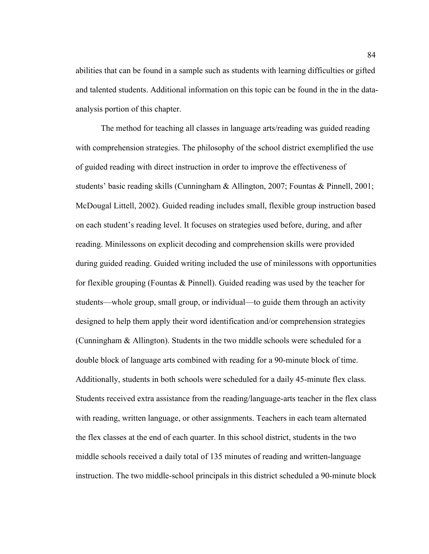abilities that can be found in a sample such as students with learning difficulties or gifted and talented students. Additional information on this topic can be found in the in the dataanalysis portion of this chapter.

The method for teaching all classes in language arts/reading was guided reading with comprehension strategies. The philosophy of the school district exemplified the use of guided reading with direct instruction in order to improve the effectiveness of students' basic reading skills (Cunningham & Allington, 2007; Fountas & Pinnell, 2001; McDougal Littell, 2002). Guided reading includes small, flexible group instruction based on each student's reading level. It focuses on strategies used before, during, and after reading. Minilessons on explicit decoding and comprehension skills were provided during guided reading. Guided writing included the use of minilessons with opportunities for flexible grouping (Fountas  $\&$  Pinnell). Guided reading was used by the teacher for students—whole group, small group, or individual—to guide them through an activity designed to help them apply their word identification and/or comprehension strategies (Cunningham & Allington). Students in the two middle schools were scheduled for a double block of language arts combined with reading for a 90-minute block of time. Additionally, students in both schools were scheduled for a daily 45-minute flex class. Students received extra assistance from the reading/language-arts teacher in the flex class with reading, written language, or other assignments. Teachers in each team alternated the flex classes at the end of each quarter. In this school district, students in the two middle schools received a daily total of 135 minutes of reading and written-language instruction. The two middle-school principals in this district scheduled a 90-minute block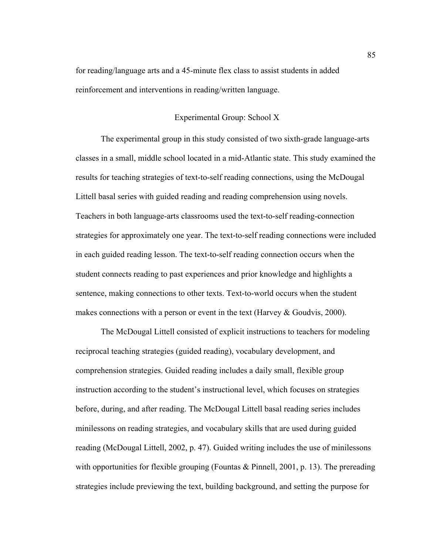for reading/language arts and a 45-minute flex class to assist students in added reinforcement and interventions in reading/written language.

# Experimental Group: School X

The experimental group in this study consisted of two sixth-grade language-arts classes in a small, middle school located in a mid-Atlantic state. This study examined the results for teaching strategies of text-to-self reading connections, using the McDougal Littell basal series with guided reading and reading comprehension using novels. Teachers in both language-arts classrooms used the text-to-self reading-connection strategies for approximately one year. The text-to-self reading connections were included in each guided reading lesson. The text-to-self reading connection occurs when the student connects reading to past experiences and prior knowledge and highlights a sentence, making connections to other texts. Text-to-world occurs when the student makes connections with a person or event in the text (Harvey & Goudvis, 2000).

The McDougal Littell consisted of explicit instructions to teachers for modeling reciprocal teaching strategies (guided reading), vocabulary development, and comprehension strategies. Guided reading includes a daily small, flexible group instruction according to the student's instructional level, which focuses on strategies before, during, and after reading. The McDougal Littell basal reading series includes minilessons on reading strategies, and vocabulary skills that are used during guided reading (McDougal Littell, 2002, p. 47). Guided writing includes the use of minilessons with opportunities for flexible grouping (Fountas  $\&$  Pinnell, 2001, p. 13). The prereading strategies include previewing the text, building background, and setting the purpose for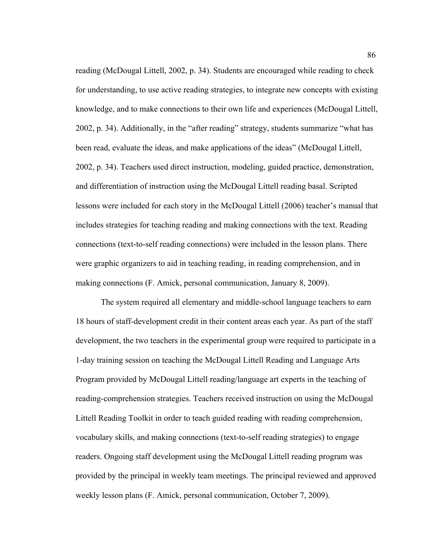reading (McDougal Littell, 2002, p. 34). Students are encouraged while reading to check for understanding, to use active reading strategies, to integrate new concepts with existing knowledge, and to make connections to their own life and experiences (McDougal Littell, 2002, p. 34). Additionally, in the "after reading" strategy, students summarize "what has been read, evaluate the ideas, and make applications of the ideas" (McDougal Littell, 2002, p. 34). Teachers used direct instruction, modeling, guided practice, demonstration, and differentiation of instruction using the McDougal Littell reading basal. Scripted lessons were included for each story in the McDougal Littell (2006) teacher's manual that includes strategies for teaching reading and making connections with the text. Reading connections (text-to-self reading connections) were included in the lesson plans. There were graphic organizers to aid in teaching reading, in reading comprehension, and in making connections (F. Amick, personal communication, January 8, 2009).

The system required all elementary and middle-school language teachers to earn 18 hours of staff-development credit in their content areas each year. As part of the staff development, the two teachers in the experimental group were required to participate in a 1-day training session on teaching the McDougal Littell Reading and Language Arts Program provided by McDougal Littell reading/language art experts in the teaching of reading-comprehension strategies. Teachers received instruction on using the McDougal Littell Reading Toolkit in order to teach guided reading with reading comprehension, vocabulary skills, and making connections (text-to-self reading strategies) to engage readers. Ongoing staff development using the McDougal Littell reading program was provided by the principal in weekly team meetings. The principal reviewed and approved weekly lesson plans (F. Amick, personal communication, October 7, 2009).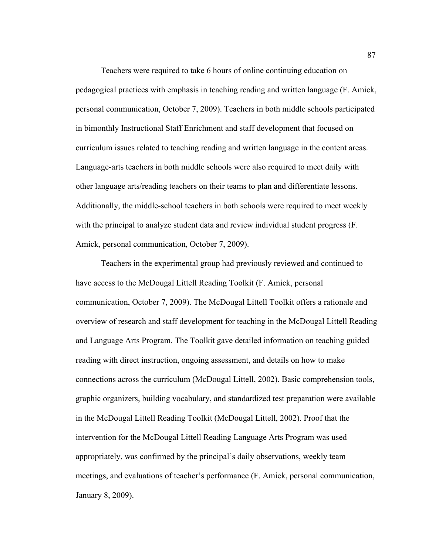Teachers were required to take 6 hours of online continuing education on pedagogical practices with emphasis in teaching reading and written language (F. Amick, personal communication, October 7, 2009). Teachers in both middle schools participated in bimonthly Instructional Staff Enrichment and staff development that focused on curriculum issues related to teaching reading and written language in the content areas. Language-arts teachers in both middle schools were also required to meet daily with other language arts/reading teachers on their teams to plan and differentiate lessons. Additionally, the middle-school teachers in both schools were required to meet weekly with the principal to analyze student data and review individual student progress (F. Amick, personal communication, October 7, 2009).

Teachers in the experimental group had previously reviewed and continued to have access to the McDougal Littell Reading Toolkit (F. Amick, personal communication, October 7, 2009). The McDougal Littell Toolkit offers a rationale and overview of research and staff development for teaching in the McDougal Littell Reading and Language Arts Program. The Toolkit gave detailed information on teaching guided reading with direct instruction, ongoing assessment, and details on how to make connections across the curriculum (McDougal Littell, 2002). Basic comprehension tools, graphic organizers, building vocabulary, and standardized test preparation were available in the McDougal Littell Reading Toolkit (McDougal Littell, 2002). Proof that the intervention for the McDougal Littell Reading Language Arts Program was used appropriately, was confirmed by the principal's daily observations, weekly team meetings, and evaluations of teacher's performance (F. Amick, personal communication, January 8, 2009).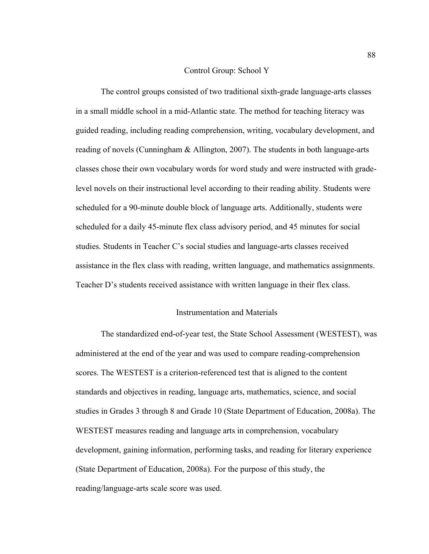## Control Group: School Y

The control groups consisted of two traditional sixth-grade language-arts classes in a small middle school in a mid-Atlantic state. The method for teaching literacy was guided reading, including reading comprehension, writing, vocabulary development, and reading of novels (Cunningham & Allington, 2007). The students in both language-arts classes chose their own vocabulary words for word study and were instructed with gradelevel novels on their instructional level according to their reading ability. Students were scheduled for a 90-minute double block of language arts. Additionally, students were scheduled for a daily 45-minute flex class advisory period, and 45 minutes for social studies. Students in Teacher C's social studies and language-arts classes received assistance in the flex class with reading, written language, and mathematics assignments. Teacher D's students received assistance with written language in their flex class.

## Instrumentation and Materials

The standardized end-of-year test, the State School Assessment (WESTEST), was administered at the end of the year and was used to compare reading-comprehension scores. The WESTEST is a criterion-referenced test that is aligned to the content standards and objectives in reading, language arts, mathematics, science, and social studies in Grades 3 through 8 and Grade 10 (State Department of Education, 2008a). The WESTEST measures reading and language arts in comprehension, vocabulary development, gaining information, performing tasks, and reading for literary experience (State Department of Education, 2008a). For the purpose of this study, the reading/language-arts scale score was used.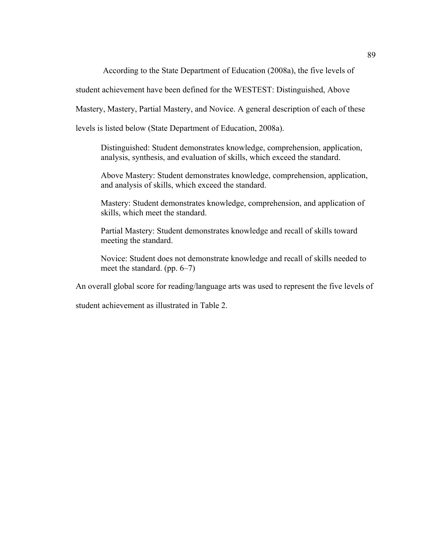According to the State Department of Education (2008a), the five levels of

student achievement have been defined for the WESTEST: Distinguished, Above

Mastery, Mastery, Partial Mastery, and Novice. A general description of each of these

levels is listed below (State Department of Education, 2008a).

Distinguished: Student demonstrates knowledge, comprehension, application, analysis, synthesis, and evaluation of skills, which exceed the standard.

Above Mastery: Student demonstrates knowledge, comprehension, application, and analysis of skills, which exceed the standard.

Mastery: Student demonstrates knowledge, comprehension, and application of skills, which meet the standard.

Partial Mastery: Student demonstrates knowledge and recall of skills toward meeting the standard.

Novice: Student does not demonstrate knowledge and recall of skills needed to meet the standard. (pp. 6–7)

An overall global score for reading/language arts was used to represent the five levels of

student achievement as illustrated in Table 2.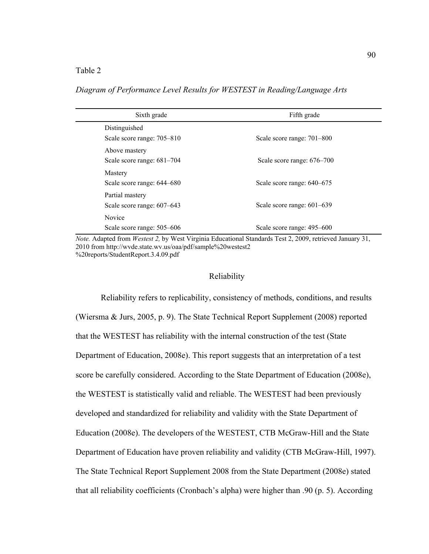## Table 2

Sixth grade Fifth grade Distinguished Scale score range: 705–810 Scale score range: 701–800 Above mastery Scale score range:  $681-704$  Scale score range:  $676-700$ Mastery Scale score range:  $644-680$  Scale score range:  $640-675$ Partial mastery Scale score range:  $607-643$  Scale score range:  $601-639$ Novice Scale score range: 505–606 Scale score range: 495–600

*Diagram of Performance Level Results for WESTEST in Reading/Language Arts*

*Note.* Adapted from *Westest 2,* by West Virginia Educational Standards Test 2, 2009, retrieved January 31, 2010 from http://wvde.state.wv.us/oaa/pdf/sample%20westest2 %20reports/StudentReport.3.4.09.pdf

#### Reliability

Reliability refers to replicability, consistency of methods, conditions, and results (Wiersma & Jurs, 2005, p. 9). The State Technical Report Supplement (2008) reported that the WESTEST has reliability with the internal construction of the test (State Department of Education, 2008e). This report suggests that an interpretation of a test score be carefully considered. According to the State Department of Education (2008e), the WESTEST is statistically valid and reliable. The WESTEST had been previously developed and standardized for reliability and validity with the State Department of Education (2008e). The developers of the WESTEST, CTB McGraw-Hill and the State Department of Education have proven reliability and validity (CTB McGraw-Hill, 1997). The State Technical Report Supplement 2008 from the State Department (2008e) stated that all reliability coefficients (Cronbach's alpha) were higher than .90 (p. 5). According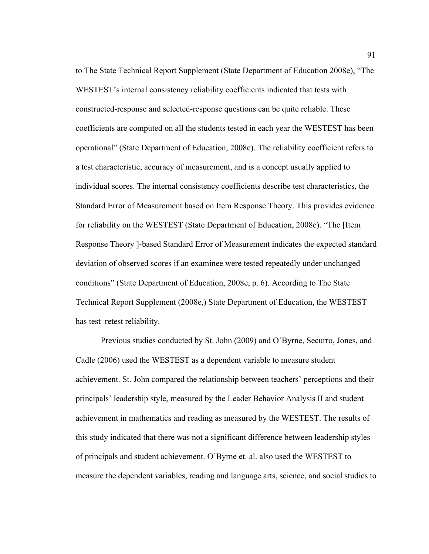to The State Technical Report Supplement (State Department of Education 2008e), "The WESTEST's internal consistency reliability coefficients indicated that tests with constructed-response and selected-response questions can be quite reliable. These coefficients are computed on all the students tested in each year the WESTEST has been operational" (State Department of Education, 2008e). The reliability coefficient refers to a test characteristic, accuracy of measurement, and is a concept usually applied to individual scores. The internal consistency coefficients describe test characteristics, the Standard Error of Measurement based on Item Response Theory. This provides evidence for reliability on the WESTEST (State Department of Education, 2008e). "The [Item Response Theory ]-based Standard Error of Measurement indicates the expected standard deviation of observed scores if an examinee were tested repeatedly under unchanged conditions" (State Department of Education, 2008e, p. 6). According to The State Technical Report Supplement (2008e,) State Department of Education, the WESTEST has test–retest reliability.

Previous studies conducted by St. John (2009) and O'Byrne, Securro, Jones, and Cadle (2006) used the WESTEST as a dependent variable to measure student achievement. St. John compared the relationship between teachers' perceptions and their principals' leadership style, measured by the Leader Behavior Analysis II and student achievement in mathematics and reading as measured by the WESTEST. The results of this study indicated that there was not a significant difference between leadership styles of principals and student achievement. O'Byrne et. al. also used the WESTEST to measure the dependent variables, reading and language arts, science, and social studies to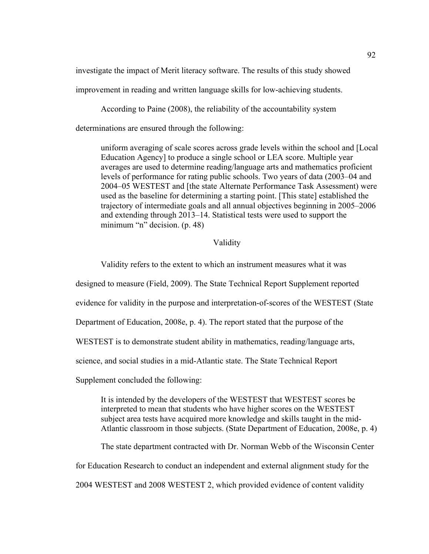investigate the impact of Merit literacy software. The results of this study showed

improvement in reading and written language skills for low-achieving students.

According to Paine (2008), the reliability of the accountability system

determinations are ensured through the following:

uniform averaging of scale scores across grade levels within the school and [Local Education Agency] to produce a single school or LEA score. Multiple year averages are used to determine reading/language arts and mathematics proficient levels of performance for rating public schools. Two years of data (2003–04 and 2004–05 WESTEST and [the state Alternate Performance Task Assessment) were used as the baseline for determining a starting point. [This state] established the trajectory of intermediate goals and all annual objectives beginning in 2005–2006 and extending through 2013–14. Statistical tests were used to support the minimum "n" decision. (p. 48)

# Validity

Validity refers to the extent to which an instrument measures what it was

designed to measure (Field, 2009). The State Technical Report Supplement reported

evidence for validity in the purpose and interpretation-of-scores of the WESTEST (State

Department of Education, 2008e, p. 4). The report stated that the purpose of the

WESTEST is to demonstrate student ability in mathematics, reading/language arts,

science, and social studies in a mid-Atlantic state. The State Technical Report

Supplement concluded the following:

It is intended by the developers of the WESTEST that WESTEST scores be interpreted to mean that students who have higher scores on the WESTEST subject area tests have acquired more knowledge and skills taught in the mid-Atlantic classroom in those subjects. (State Department of Education, 2008e, p. 4)

The state department contracted with Dr. Norman Webb of the Wisconsin Center for Education Research to conduct an independent and external alignment study for the 2004 WESTEST and 2008 WESTEST 2, which provided evidence of content validity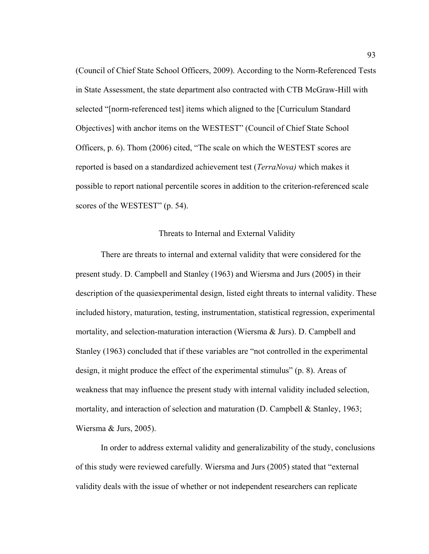(Council of Chief State School Officers, 2009). According to the Norm-Referenced Tests in State Assessment, the state department also contracted with CTB McGraw-Hill with selected "[norm-referenced test] items which aligned to the [Curriculum Standard Objectives] with anchor items on the WESTEST" (Council of Chief State School Officers, p. 6). Thom (2006) cited, "The scale on which the WESTEST scores are reported is based on a standardized achievement test (*TerraNova)* which makes it possible to report national percentile scores in addition to the criterion-referenced scale scores of the WESTEST" (p. 54).

#### Threats to Internal and External Validity

There are threats to internal and external validity that were considered for the present study. D. Campbell and Stanley (1963) and Wiersma and Jurs (2005) in their description of the quasiexperimental design, listed eight threats to internal validity. These included history, maturation, testing, instrumentation, statistical regression, experimental mortality, and selection-maturation interaction (Wiersma & Jurs). D. Campbell and Stanley (1963) concluded that if these variables are "not controlled in the experimental design, it might produce the effect of the experimental stimulus" (p. 8). Areas of weakness that may influence the present study with internal validity included selection, mortality, and interaction of selection and maturation (D. Campbell & Stanley, 1963; Wiersma & Jurs, 2005).

In order to address external validity and generalizability of the study, conclusions of this study were reviewed carefully. Wiersma and Jurs (2005) stated that "external validity deals with the issue of whether or not independent researchers can replicate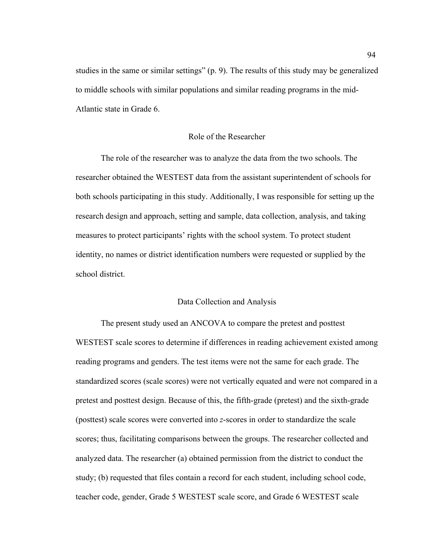studies in the same or similar settings" (p. 9). The results of this study may be generalized to middle schools with similar populations and similar reading programs in the mid-Atlantic state in Grade 6.

## Role of the Researcher

The role of the researcher was to analyze the data from the two schools. The researcher obtained the WESTEST data from the assistant superintendent of schools for both schools participating in this study. Additionally, I was responsible for setting up the research design and approach, setting and sample, data collection, analysis, and taking measures to protect participants' rights with the school system. To protect student identity, no names or district identification numbers were requested or supplied by the school district.

# Data Collection and Analysis

The present study used an ANCOVA to compare the pretest and posttest WESTEST scale scores to determine if differences in reading achievement existed among reading programs and genders. The test items were not the same for each grade. The standardized scores (scale scores) were not vertically equated and were not compared in a pretest and posttest design. Because of this, the fifth-grade (pretest) and the sixth-grade (posttest) scale scores were converted into *z*-scores in order to standardize the scale scores; thus, facilitating comparisons between the groups. The researcher collected and analyzed data. The researcher (a) obtained permission from the district to conduct the study; (b) requested that files contain a record for each student, including school code, teacher code, gender, Grade 5 WESTEST scale score, and Grade 6 WESTEST scale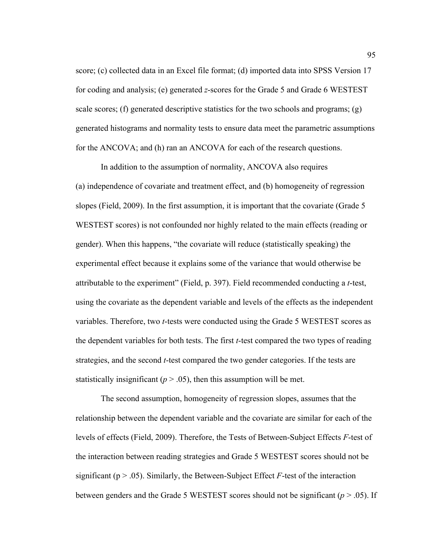score; (c) collected data in an Excel file format; (d) imported data into SPSS Version 17 for coding and analysis; (e) generated *z*-scores for the Grade 5 and Grade 6 WESTEST scale scores; (f) generated descriptive statistics for the two schools and programs; (g) generated histograms and normality tests to ensure data meet the parametric assumptions for the ANCOVA; and (h) ran an ANCOVA for each of the research questions.

In addition to the assumption of normality, ANCOVA also requires (a) independence of covariate and treatment effect, and (b) homogeneity of regression slopes (Field, 2009). In the first assumption, it is important that the covariate (Grade 5 WESTEST scores) is not confounded nor highly related to the main effects (reading or gender). When this happens, "the covariate will reduce (statistically speaking) the experimental effect because it explains some of the variance that would otherwise be attributable to the experiment" (Field, p. 397). Field recommended conducting a *t*-test, using the covariate as the dependent variable and levels of the effects as the independent variables. Therefore, two *t*-tests were conducted using the Grade 5 WESTEST scores as the dependent variables for both tests. The first *t*-test compared the two types of reading strategies, and the second *t*-test compared the two gender categories. If the tests are statistically insignificant ( $p > 0.05$ ), then this assumption will be met.

The second assumption, homogeneity of regression slopes, assumes that the relationship between the dependent variable and the covariate are similar for each of the levels of effects (Field, 2009). Therefore, the Tests of Between-Subject Effects *F*-test of the interaction between reading strategies and Grade 5 WESTEST scores should not be significant ( $p > .05$ ). Similarly, the Between-Subject Effect *F*-test of the interaction between genders and the Grade 5 WESTEST scores should not be significant (*p* > .05). If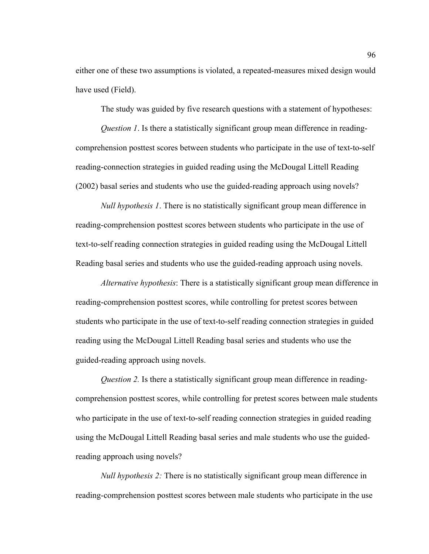either one of these two assumptions is violated, a repeated-measures mixed design would have used (Field).

The study was guided by five research questions with a statement of hypotheses:

*Question 1*. Is there a statistically significant group mean difference in readingcomprehension posttest scores between students who participate in the use of text-to-self reading-connection strategies in guided reading using the McDougal Littell Reading (2002) basal series and students who use the guided-reading approach using novels?

*Null hypothesis 1*. There is no statistically significant group mean difference in reading-comprehension posttest scores between students who participate in the use of text-to-self reading connection strategies in guided reading using the McDougal Littell Reading basal series and students who use the guided-reading approach using novels.

*Alternative hypothesis*: There is a statistically significant group mean difference in reading-comprehension posttest scores, while controlling for pretest scores between students who participate in the use of text-to-self reading connection strategies in guided reading using the McDougal Littell Reading basal series and students who use the guided-reading approach using novels.

*Question 2.* Is there a statistically significant group mean difference in readingcomprehension posttest scores, while controlling for pretest scores between male students who participate in the use of text-to-self reading connection strategies in guided reading using the McDougal Littell Reading basal series and male students who use the guidedreading approach using novels?

*Null hypothesis 2:* There is no statistically significant group mean difference in reading-comprehension posttest scores between male students who participate in the use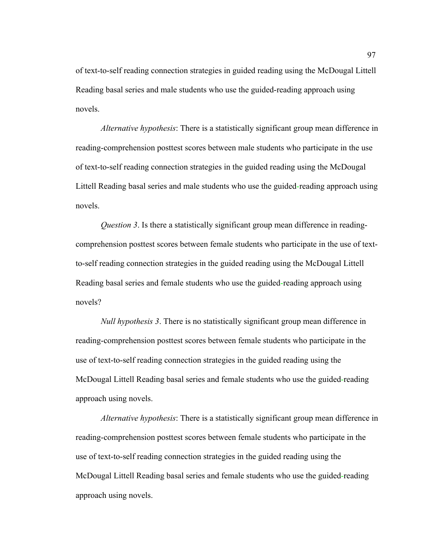of text-to-self reading connection strategies in guided reading using the McDougal Littell Reading basal series and male students who use the guided-reading approach using novels.

*Alternative hypothesis*: There is a statistically significant group mean difference in reading-comprehension posttest scores between male students who participate in the use of text-to-self reading connection strategies in the guided reading using the McDougal Littell Reading basal series and male students who use the guided-reading approach using novels.

*Question 3*. Is there a statistically significant group mean difference in readingcomprehension posttest scores between female students who participate in the use of textto-self reading connection strategies in the guided reading using the McDougal Littell Reading basal series and female students who use the guided-reading approach using novels?

*Null hypothesis 3*. There is no statistically significant group mean difference in reading-comprehension posttest scores between female students who participate in the use of text-to-self reading connection strategies in the guided reading using the McDougal Littell Reading basal series and female students who use the guided-reading approach using novels.

*Alternative hypothesis*: There is a statistically significant group mean difference in reading-comprehension posttest scores between female students who participate in the use of text-to-self reading connection strategies in the guided reading using the McDougal Littell Reading basal series and female students who use the guided-reading approach using novels.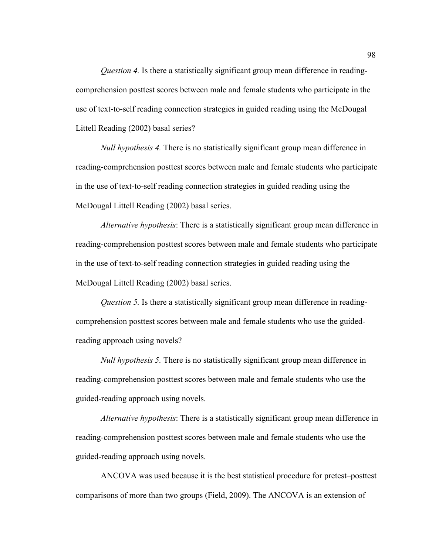*Question 4.* Is there a statistically significant group mean difference in readingcomprehension posttest scores between male and female students who participate in the use of text-to-self reading connection strategies in guided reading using the McDougal Littell Reading (2002) basal series?

*Null hypothesis 4.* There is no statistically significant group mean difference in reading-comprehension posttest scores between male and female students who participate in the use of text-to-self reading connection strategies in guided reading using the McDougal Littell Reading (2002) basal series.

*Alternative hypothesis*: There is a statistically significant group mean difference in reading-comprehension posttest scores between male and female students who participate in the use of text-to-self reading connection strategies in guided reading using the McDougal Littell Reading (2002) basal series.

*Question 5.* Is there a statistically significant group mean difference in readingcomprehension posttest scores between male and female students who use the guidedreading approach using novels?

*Null hypothesis 5.* There is no statistically significant group mean difference in reading-comprehension posttest scores between male and female students who use the guided-reading approach using novels.

*Alternative hypothesis*: There is a statistically significant group mean difference in reading-comprehension posttest scores between male and female students who use the guided-reading approach using novels.

ANCOVA was used because it is the best statistical procedure for pretest–posttest comparisons of more than two groups (Field, 2009). The ANCOVA is an extension of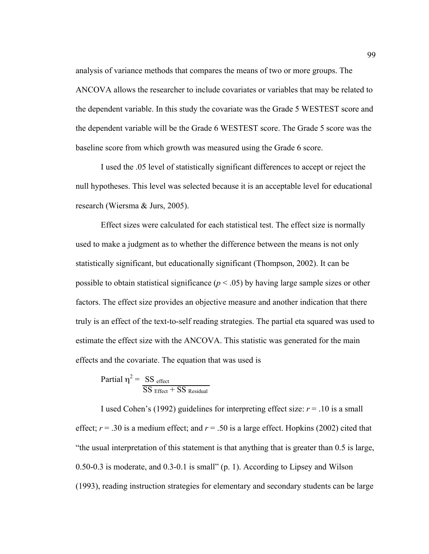analysis of variance methods that compares the means of two or more groups. The ANCOVA allows the researcher to include covariates or variables that may be related to the dependent variable. In this study the covariate was the Grade 5 WESTEST score and the dependent variable will be the Grade 6 WESTEST score. The Grade 5 score was the baseline score from which growth was measured using the Grade 6 score.

I used the .05 level of statistically significant differences to accept or reject the null hypotheses. This level was selected because it is an acceptable level for educational research (Wiersma & Jurs, 2005).

Effect sizes were calculated for each statistical test. The effect size is normally used to make a judgment as to whether the difference between the means is not only statistically significant, but educationally significant (Thompson, 2002). It can be possible to obtain statistical significance  $(p < .05)$  by having large sample sizes or other factors. The effect size provides an objective measure and another indication that there truly is an effect of the text-to-self reading strategies. The partial eta squared was used to estimate the effect size with the ANCOVA. This statistic was generated for the main effects and the covariate. The equation that was used is

Partial 
$$
\eta^2 = \frac{SS \text{ effect}}{SS \text{ Effect} + SS \text{ Residual}}
$$

I used Cohen's (1992) guidelines for interpreting effect size:  $r = .10$  is a small effect;  $r = .30$  is a medium effect; and  $r = .50$  is a large effect. Hopkins (2002) cited that "the usual interpretation of this statement is that anything that is greater than 0.5 is large, 0.50-0.3 is moderate, and 0.3-0.1 is small" (p. 1). According to Lipsey and Wilson (1993), reading instruction strategies for elementary and secondary students can be large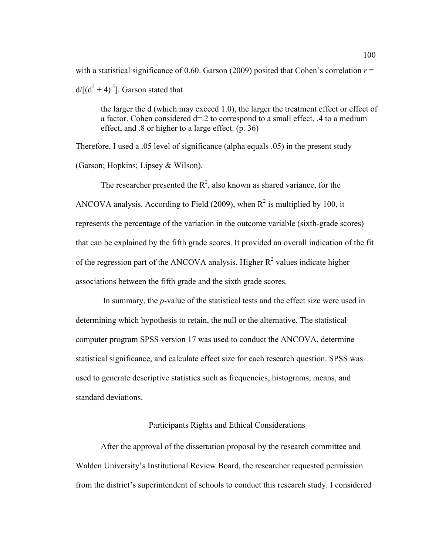with a statistical significance of 0.60. Garson (2009) posited that Cohen's correlation  $r =$  $d/[(d^2+4)^{.5}]$ . Garson stated that

the larger the d (which may exceed 1.0), the larger the treatment effect or effect of a factor. Cohen considered d=.2 to correspond to a small effect, .4 to a medium effect, and .8 or higher to a large effect. (p. 36)

Therefore, I used a .05 level of significance (alpha equals .05) in the present study (Garson; Hopkins; Lipsey & Wilson).

The researcher presented the  $R^2$ , also known as shared variance, for the ANCOVA analysis. According to Field (2009), when  $R^2$  is multiplied by 100, it represents the percentage of the variation in the outcome variable (sixth-grade scores) that can be explained by the fifth grade scores. It provided an overall indication of the fit of the regression part of the ANCOVA analysis. Higher  $R^2$  values indicate higher associations between the fifth grade and the sixth grade scores.

 In summary, the *p*-value of the statistical tests and the effect size were used in determining which hypothesis to retain, the null or the alternative. The statistical computer program SPSS version 17 was used to conduct the ANCOVA, determine statistical significance, and calculate effect size for each research question. SPSS was used to generate descriptive statistics such as frequencies, histograms, means, and standard deviations.

## Participants Rights and Ethical Considerations

After the approval of the dissertation proposal by the research committee and Walden University's Institutional Review Board, the researcher requested permission from the district's superintendent of schools to conduct this research study. I considered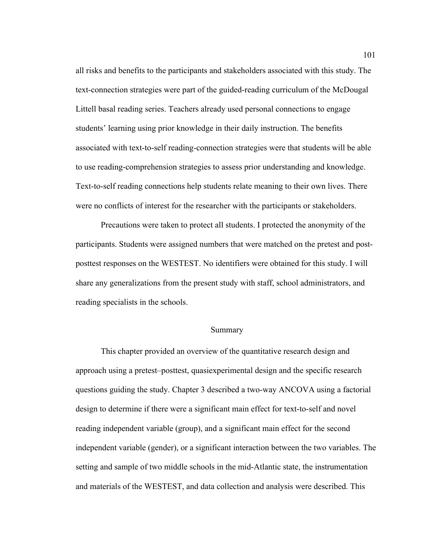all risks and benefits to the participants and stakeholders associated with this study. The text-connection strategies were part of the guided-reading curriculum of the McDougal Littell basal reading series. Teachers already used personal connections to engage students' learning using prior knowledge in their daily instruction. The benefits associated with text-to-self reading-connection strategies were that students will be able to use reading-comprehension strategies to assess prior understanding and knowledge. Text-to-self reading connections help students relate meaning to their own lives. There were no conflicts of interest for the researcher with the participants or stakeholders.

Precautions were taken to protect all students. I protected the anonymity of the participants. Students were assigned numbers that were matched on the pretest and postposttest responses on the WESTEST. No identifiers were obtained for this study. I will share any generalizations from the present study with staff, school administrators, and reading specialists in the schools.

#### Summary

This chapter provided an overview of the quantitative research design and approach using a pretest–posttest, quasiexperimental design and the specific research questions guiding the study. Chapter 3 described a two-way ANCOVA using a factorial design to determine if there were a significant main effect for text-to-self and novel reading independent variable (group), and a significant main effect for the second independent variable (gender), or a significant interaction between the two variables. The setting and sample of two middle schools in the mid-Atlantic state, the instrumentation and materials of the WESTEST, and data collection and analysis were described. This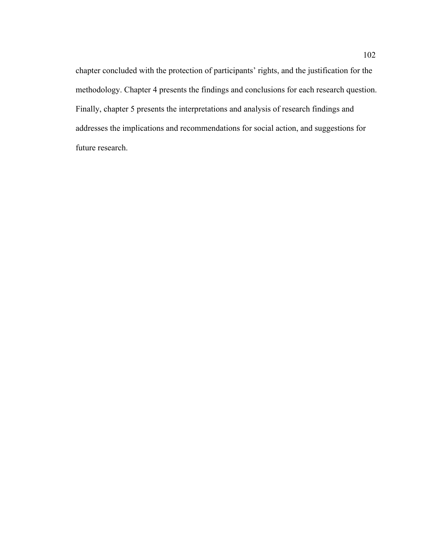chapter concluded with the protection of participants' rights, and the justification for the methodology. Chapter 4 presents the findings and conclusions for each research question. Finally, chapter 5 presents the interpretations and analysis of research findings and addresses the implications and recommendations for social action, and suggestions for future research.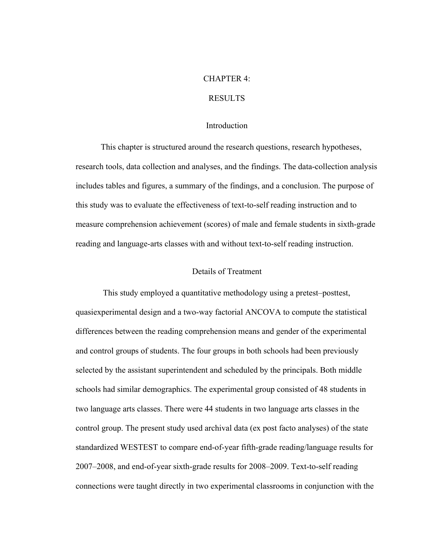### CHAPTER 4:

### RESULTS

### **Introduction**

This chapter is structured around the research questions, research hypotheses, research tools, data collection and analyses, and the findings. The data-collection analysis includes tables and figures, a summary of the findings, and a conclusion. The purpose of this study was to evaluate the effectiveness of text-to-self reading instruction and to measure comprehension achievement (scores) of male and female students in sixth-grade reading and language-arts classes with and without text-to-self reading instruction.

### Details of Treatment

 This study employed a quantitative methodology using a pretest–posttest, quasiexperimental design and a two-way factorial ANCOVA to compute the statistical differences between the reading comprehension means and gender of the experimental and control groups of students. The four groups in both schools had been previously selected by the assistant superintendent and scheduled by the principals. Both middle schools had similar demographics. The experimental group consisted of 48 students in two language arts classes. There were 44 students in two language arts classes in the control group. The present study used archival data (ex post facto analyses) of the state standardized WESTEST to compare end-of-year fifth-grade reading/language results for 2007–2008, and end-of-year sixth-grade results for 2008–2009. Text-to-self reading connections were taught directly in two experimental classrooms in conjunction with the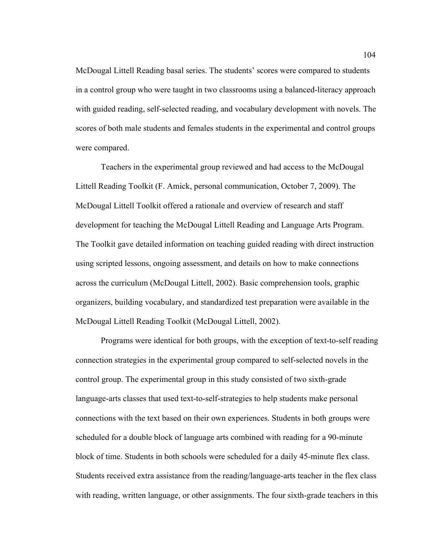McDougal Littell Reading basal series. The students' scores were compared to students in a control group who were taught in two classrooms using a balanced-literacy approach with guided reading, self-selected reading, and vocabulary development with novels. The scores of both male students and females students in the experimental and control groups were compared.

Teachers in the experimental group reviewed and had access to the McDougal Littell Reading Toolkit (F. Amick, personal communication, October 7, 2009). The McDougal Littell Toolkit offered a rationale and overview of research and staff development for teaching the McDougal Littell Reading and Language Arts Program. The Toolkit gave detailed information on teaching guided reading with direct instruction using scripted lessons, ongoing assessment, and details on how to make connections across the curriculum (McDougal Littell, 2002). Basic comprehension tools, graphic organizers, building vocabulary, and standardized test preparation were available in the McDougal Littell Reading Toolkit (McDougal Littell, 2002).

Programs were identical for both groups, with the exception of text-to-self reading connection strategies in the experimental group compared to self-selected novels in the control group. The experimental group in this study consisted of two sixth-grade language-arts classes that used text-to-self-strategies to help students make personal connections with the text based on their own experiences. Students in both groups were scheduled for a double block of language arts combined with reading for a 90-minute block of time. Students in both schools were scheduled for a daily 45-minute flex class. Students received extra assistance from the reading/language-arts teacher in the flex class with reading, written language, or other assignments. The four sixth-grade teachers in this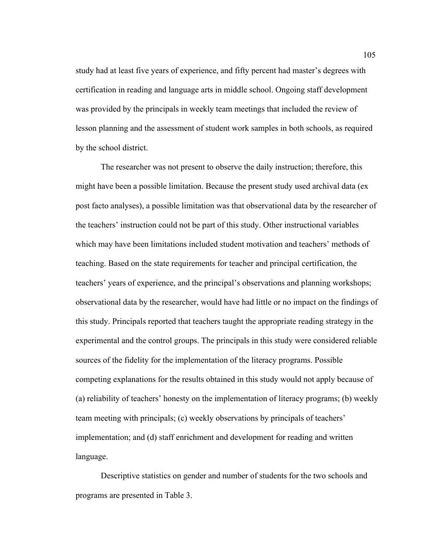study had at least five years of experience, and fifty percent had master's degrees with certification in reading and language arts in middle school. Ongoing staff development was provided by the principals in weekly team meetings that included the review of lesson planning and the assessment of student work samples in both schools, as required by the school district.

The researcher was not present to observe the daily instruction; therefore, this might have been a possible limitation. Because the present study used archival data (ex post facto analyses), a possible limitation was that observational data by the researcher of the teachers' instruction could not be part of this study. Other instructional variables which may have been limitations included student motivation and teachers' methods of teaching. Based on the state requirements for teacher and principal certification, the teachers' years of experience, and the principal's observations and planning workshops; observational data by the researcher, would have had little or no impact on the findings of this study. Principals reported that teachers taught the appropriate reading strategy in the experimental and the control groups. The principals in this study were considered reliable sources of the fidelity for the implementation of the literacy programs. Possible competing explanations for the results obtained in this study would not apply because of (a) reliability of teachers' honesty on the implementation of literacy programs; (b) weekly team meeting with principals; (c) weekly observations by principals of teachers' implementation; and (d) staff enrichment and development for reading and written language.

Descriptive statistics on gender and number of students for the two schools and programs are presented in Table 3.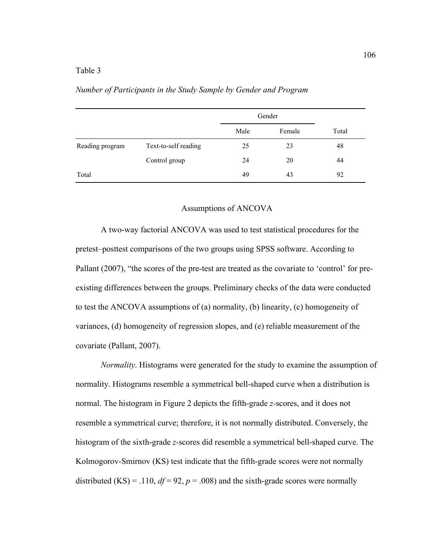## Table 3

|                 |                      | Gender |        |       |
|-----------------|----------------------|--------|--------|-------|
|                 |                      | Male   | Female | Total |
| Reading program | Text-to-self reading | 25     | 23     | 48    |
|                 | Control group        | 24     | 20     | 44    |
| Total           |                      | 49     | 43     | 92    |

#### *Number of Participants in the Study Sample by Gender and Program*

#### Assumptions of ANCOVA

A two-way factorial ANCOVA was used to test statistical procedures for the pretest–posttest comparisons of the two groups using SPSS software. According to Pallant (2007), "the scores of the pre-test are treated as the covariate to 'control' for preexisting differences between the groups. Preliminary checks of the data were conducted to test the ANCOVA assumptions of (a) normality, (b) linearity, (c) homogeneity of variances, (d) homogeneity of regression slopes, and (e) reliable measurement of the covariate (Pallant, 2007).

*Normality*. Histograms were generated for the study to examine the assumption of normality. Histograms resemble a symmetrical bell-shaped curve when a distribution is normal. The histogram in Figure 2 depicts the fifth-grade *z-*scores, and it does not resemble a symmetrical curve; therefore, it is not normally distributed. Conversely, the histogram of the sixth-grade *z-*scores did resemble a symmetrical bell-shaped curve. The Kolmogorov-Smirnov (KS) test indicate that the fifth-grade scores were not normally distributed (KS) = .110,  $df = 92$ ,  $p = .008$ ) and the sixth-grade scores were normally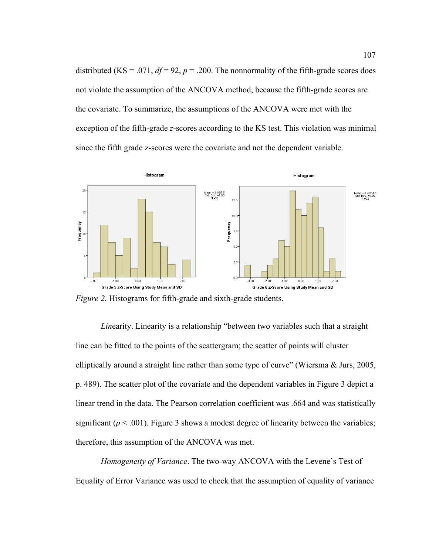distributed (KS = .071,  $df = 92$ ,  $p = .200$ . The nonnormality of the fifth-grade scores does not violate the assumption of the ANCOVA method, because the fifth-grade scores are the covariate. To summarize, the assumptions of the ANCOVA were met with the exception of the fifth-grade *z*-scores according to the KS test. This violation was minimal since the fifth grade z-scores were the covariate and not the dependent variable.



*Figure 2.* Histograms for fifth-grade and sixth-grade students.

*Lin*earity. Linearity is a relationship "between two variables such that a straight line can be fitted to the points of the scattergram; the scatter of points will cluster elliptically around a straight line rather than some type of curve" (Wiersma & Jurs, 2005, p. 489). The scatter plot of the covariate and the dependent variables in Figure 3 depict a linear trend in the data. The Pearson correlation coefficient was .664 and was statistically significant ( $p < .001$ ). Figure 3 shows a modest degree of linearity between the variables; therefore, this assumption of the ANCOVA was met.

*Homogeneity of Variance*. The two-way ANCOVA with the Levene's Test of Equality of Error Variance was used to check that the assumption of equality of variance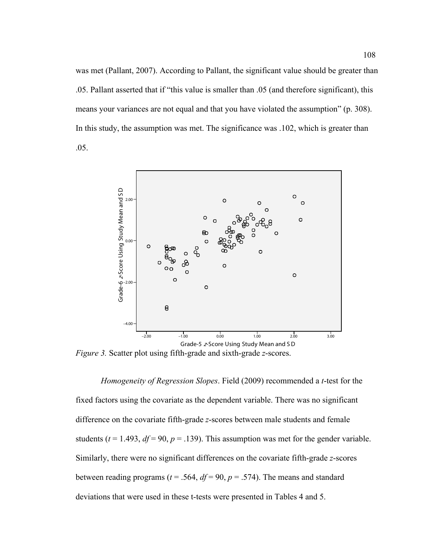was met (Pallant, 2007). According to Pallant, the significant value should be greater than .05. Pallant asserted that if "this value is smaller than .05 (and therefore significant), this means your variances are not equal and that you have violated the assumption" (p. 308). In this study, the assumption was met. The significance was .102, which is greater than .05.



*Figure 3.* Scatter plot using fifth-grade and sixth-grade *z*-scores.

*Homogeneity of Regression Slopes*. Field (2009) recommended a *t*-test for the fixed factors using the covariate as the dependent variable. There was no significant difference on the covariate fifth-grade *z*-scores between male students and female students ( $t = 1.493$ ,  $df = 90$ ,  $p = .139$ ). This assumption was met for the gender variable. Similarly, there were no significant differences on the covariate fifth-grade *z*-scores between reading programs ( $t = .564$ ,  $df = 90$ ,  $p = .574$ ). The means and standard deviations that were used in these t-tests were presented in Tables 4 and 5.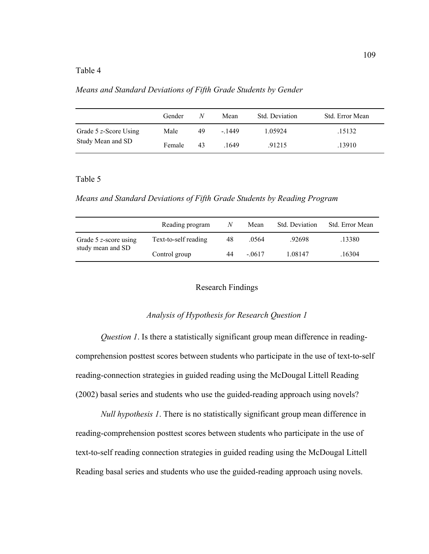## Table 4

*Means and Standard Deviations of Fifth Grade Students by Gender*

|                       | Gender | N  | Mean   | Std. Deviation | Std. Error Mean |
|-----------------------|--------|----|--------|----------------|-----------------|
| Grade 5 z-Score Using | Male   | 49 | - 1449 | 1.05924        | .15132          |
| Study Mean and SD     | Female | 43 | .1649  | .91215         | .13910          |

## Table 5

*Means and Standard Deviations of Fifth Grade Students by Reading Program*

|                                            | Reading program      | N  | Mean     | Std. Deviation | Std. Error Mean |
|--------------------------------------------|----------------------|----|----------|----------------|-----------------|
| Grade 5 z-score using<br>study mean and SD | Text-to-self reading | 48 | .0564    | .92698         | .13380          |
|                                            | Control group        | 44 | $-.0617$ | 1.08147        | .16304          |

#### Research Findings

## *Analysis of Hypothesis for Research Question 1*

*Question 1*. Is there a statistically significant group mean difference in readingcomprehension posttest scores between students who participate in the use of text-to-self reading-connection strategies in guided reading using the McDougal Littell Reading (2002) basal series and students who use the guided-reading approach using novels?

*Null hypothesis 1*. There is no statistically significant group mean difference in reading-comprehension posttest scores between students who participate in the use of text-to-self reading connection strategies in guided reading using the McDougal Littell Reading basal series and students who use the guided-reading approach using novels.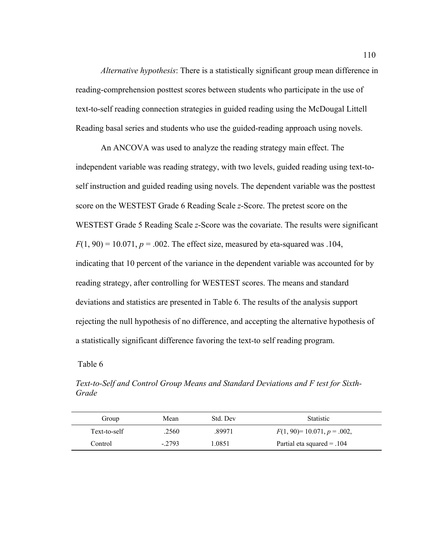*Alternative hypothesis*: There is a statistically significant group mean difference in reading-comprehension posttest scores between students who participate in the use of text-to-self reading connection strategies in guided reading using the McDougal Littell Reading basal series and students who use the guided-reading approach using novels.

An ANCOVA was used to analyze the reading strategy main effect. The independent variable was reading strategy, with two levels, guided reading using text-toself instruction and guided reading using novels. The dependent variable was the posttest score on the WESTEST Grade 6 Reading Scale *z*-Score. The pretest score on the WESTEST Grade 5 Reading Scale *z*-Score was the covariate. The results were significant  $F(1, 90) = 10.071$ ,  $p = .002$ . The effect size, measured by eta-squared was .104, indicating that 10 percent of the variance in the dependent variable was accounted for by reading strategy, after controlling for WESTEST scores. The means and standard deviations and statistics are presented in Table 6. The results of the analysis support rejecting the null hypothesis of no difference, and accepting the alternative hypothesis of a statistically significant difference favoring the text-to self reading program.

### Table 6

*Text-to-Self and Control Group Means and Standard Deviations and F test for Sixth-Grade*

| Group        | Mean    | Std. Dev | <b>Statistic</b>               |
|--------------|---------|----------|--------------------------------|
| Text-to-self | 2560    | .89971   | $F(1, 90) = 10.071, p = .002,$ |
| Control      | $-2793$ | 1.0851   | Partial eta squared $= .104$   |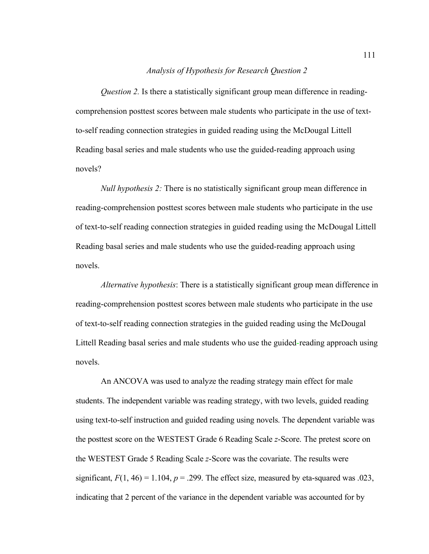### *Analysis of Hypothesis for Research Question 2*

*Question 2.* Is there a statistically significant group mean difference in readingcomprehension posttest scores between male students who participate in the use of textto-self reading connection strategies in guided reading using the McDougal Littell Reading basal series and male students who use the guided-reading approach using novels?

*Null hypothesis 2:* There is no statistically significant group mean difference in reading-comprehension posttest scores between male students who participate in the use of text-to-self reading connection strategies in guided reading using the McDougal Littell Reading basal series and male students who use the guided-reading approach using novels.

*Alternative hypothesis*: There is a statistically significant group mean difference in reading-comprehension posttest scores between male students who participate in the use of text-to-self reading connection strategies in the guided reading using the McDougal Littell Reading basal series and male students who use the guided-reading approach using novels.

An ANCOVA was used to analyze the reading strategy main effect for male students. The independent variable was reading strategy, with two levels, guided reading using text-to-self instruction and guided reading using novels. The dependent variable was the posttest score on the WESTEST Grade 6 Reading Scale *z*-Score. The pretest score on the WESTEST Grade 5 Reading Scale *z*-Score was the covariate. The results were significant,  $F(1, 46) = 1.104$ ,  $p = .299$ . The effect size, measured by eta-squared was .023, indicating that 2 percent of the variance in the dependent variable was accounted for by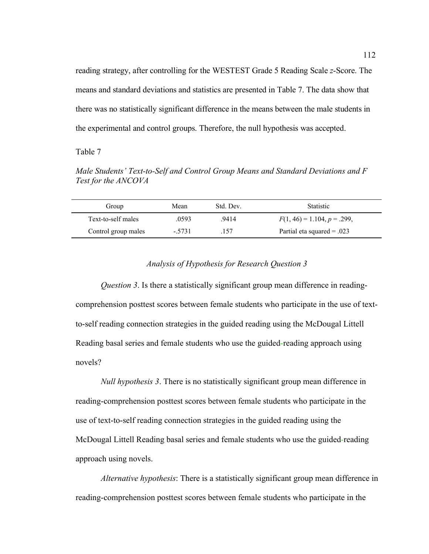reading strategy, after controlling for the WESTEST Grade 5 Reading Scale *z*-Score. The means and standard deviations and statistics are presented in Table 7. The data show that there was no statistically significant difference in the means between the male students in the experimental and control groups. Therefore, the null hypothesis was accepted.

Table 7

*Male Students' Text-to-Self and Control Group Means and Standard Deviations and F Test for the ANCOVA*

| Group               | Mean    | Std. Dev. | <b>Statistic</b>              |
|---------------------|---------|-----------|-------------------------------|
| Text-to-self males  | .0593   | .9414     | $F(1, 46) = 1.104, p = .299,$ |
| Control group males | $-5731$ | 157       | Partial eta squared $= .023$  |

# *Analysis of Hypothesis for Research Question 3*

*Question 3*. Is there a statistically significant group mean difference in readingcomprehension posttest scores between female students who participate in the use of textto-self reading connection strategies in the guided reading using the McDougal Littell Reading basal series and female students who use the guided-reading approach using novels?

*Null hypothesis 3*. There is no statistically significant group mean difference in reading-comprehension posttest scores between female students who participate in the use of text-to-self reading connection strategies in the guided reading using the McDougal Littell Reading basal series and female students who use the guided-reading approach using novels.

*Alternative hypothesis*: There is a statistically significant group mean difference in reading-comprehension posttest scores between female students who participate in the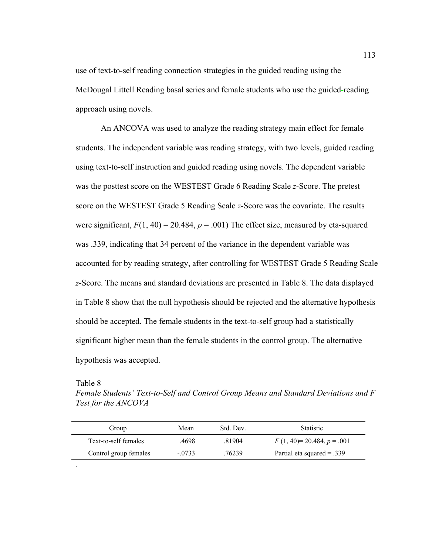use of text-to-self reading connection strategies in the guided reading using the McDougal Littell Reading basal series and female students who use the guided-reading approach using novels.

An ANCOVA was used to analyze the reading strategy main effect for female students. The independent variable was reading strategy, with two levels, guided reading using text-to-self instruction and guided reading using novels. The dependent variable was the posttest score on the WESTEST Grade 6 Reading Scale *z*-Score. The pretest score on the WESTEST Grade 5 Reading Scale *z*-Score was the covariate. The results were significant,  $F(1, 40) = 20.484$ ,  $p = .001$ ) The effect size, measured by eta-squared was .339, indicating that 34 percent of the variance in the dependent variable was accounted for by reading strategy, after controlling for WESTEST Grade 5 Reading Scale *z*-Score. The means and standard deviations are presented in Table 8. The data displayed in Table 8 show that the null hypothesis should be rejected and the alternative hypothesis should be accepted. The female students in the text-to-self group had a statistically significant higher mean than the female students in the control group. The alternative hypothesis was accepted.

Table 8

.

*Female Students' Text-to-Self and Control Group Means and Standard Deviations and F Test for the ANCOVA*

| Group                 | Mean     | Std. Dev. | <b>Statistic</b>             |
|-----------------------|----------|-----------|------------------------------|
| Text-to-self females  | .4698    | 81904     | $F(1, 40)=20.484, p=.001$    |
| Control group females | $-.0733$ | .76239    | Partial eta squared $= .339$ |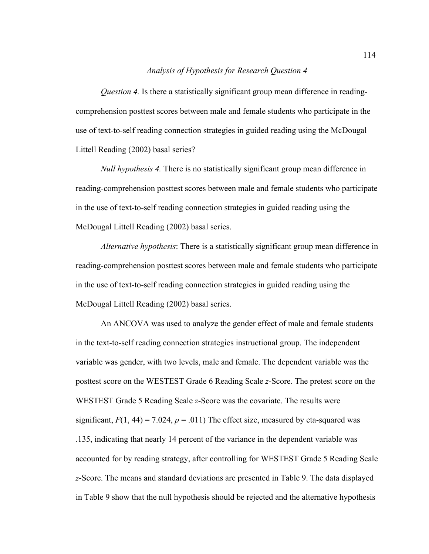### *Analysis of Hypothesis for Research Question 4*

*Question 4.* Is there a statistically significant group mean difference in readingcomprehension posttest scores between male and female students who participate in the use of text-to-self reading connection strategies in guided reading using the McDougal Littell Reading (2002) basal series?

*Null hypothesis 4.* There is no statistically significant group mean difference in reading-comprehension posttest scores between male and female students who participate in the use of text-to-self reading connection strategies in guided reading using the McDougal Littell Reading (2002) basal series.

*Alternative hypothesis*: There is a statistically significant group mean difference in reading-comprehension posttest scores between male and female students who participate in the use of text-to-self reading connection strategies in guided reading using the McDougal Littell Reading (2002) basal series.

An ANCOVA was used to analyze the gender effect of male and female students in the text-to-self reading connection strategies instructional group. The independent variable was gender, with two levels, male and female. The dependent variable was the posttest score on the WESTEST Grade 6 Reading Scale *z*-Score. The pretest score on the WESTEST Grade 5 Reading Scale *z*-Score was the covariate. The results were significant,  $F(1, 44) = 7.024$ ,  $p = .011$ ) The effect size, measured by eta-squared was .135, indicating that nearly 14 percent of the variance in the dependent variable was accounted for by reading strategy, after controlling for WESTEST Grade 5 Reading Scale *z*-Score. The means and standard deviations are presented in Table 9. The data displayed in Table 9 show that the null hypothesis should be rejected and the alternative hypothesis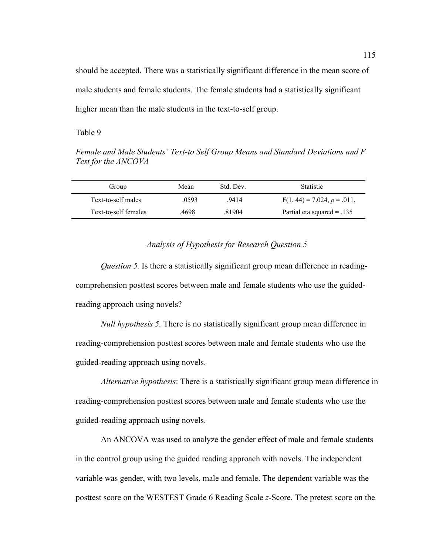should be accepted. There was a statistically significant difference in the mean score of male students and female students. The female students had a statistically significant higher mean than the male students in the text-to-self group.

Table 9

*Female and Male Students' Text-to Self Group Means and Standard Deviations and F Test for the ANCOVA*

| Group                | Mean  | Std Dev | <b>Statistic</b>              |
|----------------------|-------|---------|-------------------------------|
| Text-to-self males   | 0593  | 9414    | $F(1, 44) = 7.024, p = .011,$ |
| Text-to-self females | .4698 | 81904   | Partial eta squared $= .135$  |

### *Analysis of Hypothesis for Research Question 5*

*Question 5.* Is there a statistically significant group mean difference in readingcomprehension posttest scores between male and female students who use the guidedreading approach using novels?

*Null hypothesis 5.* There is no statistically significant group mean difference in reading-comprehension posttest scores between male and female students who use the guided-reading approach using novels.

*Alternative hypothesis*: There is a statistically significant group mean difference in reading-comprehension posttest scores between male and female students who use the guided-reading approach using novels.

An ANCOVA was used to analyze the gender effect of male and female students in the control group using the guided reading approach with novels. The independent variable was gender, with two levels, male and female. The dependent variable was the posttest score on the WESTEST Grade 6 Reading Scale *z*-Score. The pretest score on the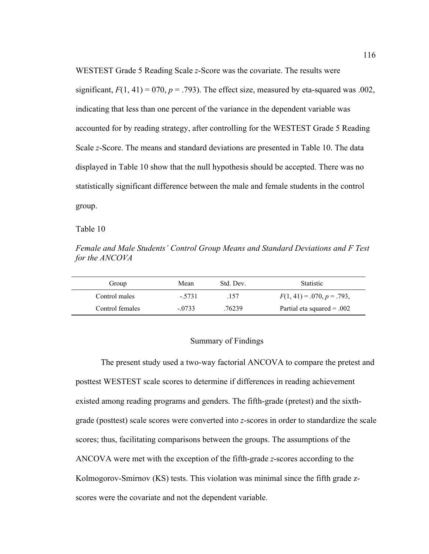WESTEST Grade 5 Reading Scale *z*-Score was the covariate. The results were significant,  $F(1, 41) = 070$ ,  $p = .793$ ). The effect size, measured by eta-squared was .002, indicating that less than one percent of the variance in the dependent variable was accounted for by reading strategy, after controlling for the WESTEST Grade 5 Reading Scale *z*-Score. The means and standard deviations are presented in Table 10. The data displayed in Table 10 show that the null hypothesis should be accepted. There was no statistically significant difference between the male and female students in the control group.

Table 10

*Female and Male Students' Control Group Means and Standard Deviations and F Test for the ANCOVA*

| Group           | Mean     | Std. Dev. | <b>Statistic</b>             |
|-----------------|----------|-----------|------------------------------|
| Control males   | $-5731$  | .157      | $F(1, 41) = .070, p = .793,$ |
| Control females | $-.0733$ | .76239    | Partial eta squared $= .002$ |

#### Summary of Findings

The present study used a two-way factorial ANCOVA to compare the pretest and posttest WESTEST scale scores to determine if differences in reading achievement existed among reading programs and genders. The fifth-grade (pretest) and the sixthgrade (posttest) scale scores were converted into *z*-scores in order to standardize the scale scores; thus, facilitating comparisons between the groups. The assumptions of the ANCOVA were met with the exception of the fifth-grade *z*-scores according to the Kolmogorov-Smirnov (KS) tests. This violation was minimal since the fifth grade zscores were the covariate and not the dependent variable.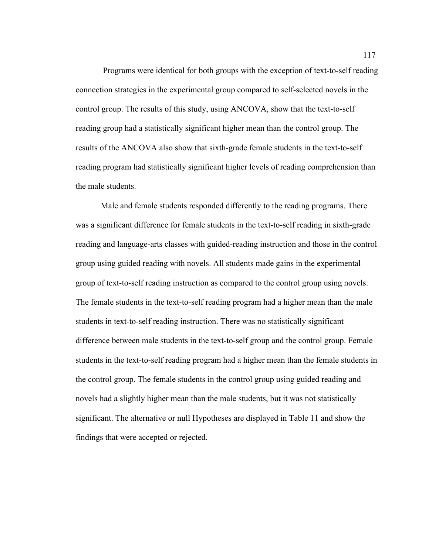Programs were identical for both groups with the exception of text-to-self reading connection strategies in the experimental group compared to self-selected novels in the control group. The results of this study, using ANCOVA, show that the text-to-self reading group had a statistically significant higher mean than the control group. The results of the ANCOVA also show that sixth-grade female students in the text-to-self reading program had statistically significant higher levels of reading comprehension than the male students.

Male and female students responded differently to the reading programs. There was a significant difference for female students in the text-to-self reading in sixth-grade reading and language-arts classes with guided-reading instruction and those in the control group using guided reading with novels. All students made gains in the experimental group of text-to-self reading instruction as compared to the control group using novels. The female students in the text-to-self reading program had a higher mean than the male students in text-to-self reading instruction. There was no statistically significant difference between male students in the text-to-self group and the control group. Female students in the text-to-self reading program had a higher mean than the female students in the control group. The female students in the control group using guided reading and novels had a slightly higher mean than the male students, but it was not statistically significant. The alternative or null Hypotheses are displayed in Table 11 and show the findings that were accepted or rejected.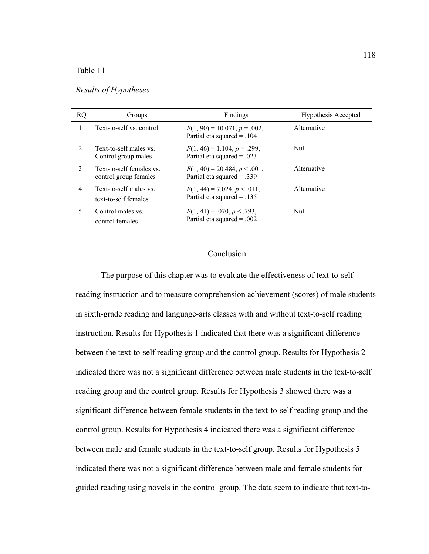## Table 11

| <b>RQ</b>      | Groups                                            | Findings                                                        | <b>Hypothesis Accepted</b> |
|----------------|---------------------------------------------------|-----------------------------------------------------------------|----------------------------|
|                | Text-to-self vs. control                          | $F(1, 90) = 10.071, p = .002,$<br>Partial eta squared $= .104$  | Alternative                |
| $\mathfrak{D}$ | Text-to-self males vs.<br>Control group males     | $F(1, 46) = 1.104, p = .299,$<br>Partial eta squared = .023     | Null                       |
| 3              | Text-to-self females vs.<br>control group females | $F(1, 40) = 20.484, p < .001$ ,<br>Partial eta squared $= .339$ | Alternative                |
| 4              | Text-to-self males vs.<br>text-to-self females    | $F(1, 44) = 7.024, p < .011,$<br>Partial eta squared $= .135$   | Alternative                |
| 5              | Control males vs.<br>control females              | $F(1, 41) = .070, p < .793,$<br>Partial eta squared = .002      | Null                       |

*Results of Hypotheses*

# Conclusion

The purpose of this chapter was to evaluate the effectiveness of text-to-self reading instruction and to measure comprehension achievement (scores) of male students in sixth-grade reading and language-arts classes with and without text-to-self reading instruction. Results for Hypothesis 1 indicated that there was a significant difference between the text-to-self reading group and the control group. Results for Hypothesis 2 indicated there was not a significant difference between male students in the text-to-self reading group and the control group. Results for Hypothesis 3 showed there was a significant difference between female students in the text-to-self reading group and the control group. Results for Hypothesis 4 indicated there was a significant difference between male and female students in the text-to-self group. Results for Hypothesis 5 indicated there was not a significant difference between male and female students for guided reading using novels in the control group. The data seem to indicate that text-to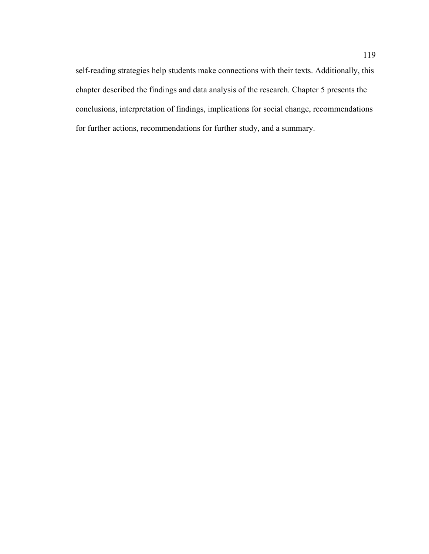self-reading strategies help students make connections with their texts. Additionally, this chapter described the findings and data analysis of the research. Chapter 5 presents the conclusions, interpretation of findings, implications for social change, recommendations for further actions, recommendations for further study, and a summary.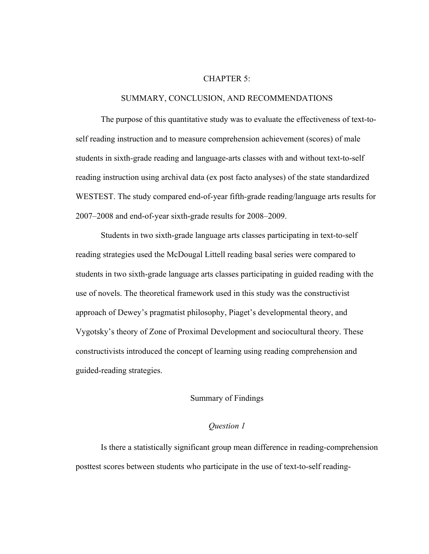### CHAPTER 5:

### SUMMARY, CONCLUSION, AND RECOMMENDATIONS

The purpose of this quantitative study was to evaluate the effectiveness of text-toself reading instruction and to measure comprehension achievement (scores) of male students in sixth-grade reading and language-arts classes with and without text-to-self reading instruction using archival data (ex post facto analyses) of the state standardized WESTEST. The study compared end-of-year fifth-grade reading/language arts results for 2007–2008 and end-of-year sixth-grade results for 2008–2009.

Students in two sixth-grade language arts classes participating in text-to-self reading strategies used the McDougal Littell reading basal series were compared to students in two sixth-grade language arts classes participating in guided reading with the use of novels. The theoretical framework used in this study was the constructivist approach of Dewey's pragmatist philosophy, Piaget's developmental theory, and Vygotsky's theory of Zone of Proximal Development and sociocultural theory. These constructivists introduced the concept of learning using reading comprehension and guided-reading strategies.

## Summary of Findings

## *Question 1*

Is there a statistically significant group mean difference in reading-comprehension posttest scores between students who participate in the use of text-to-self reading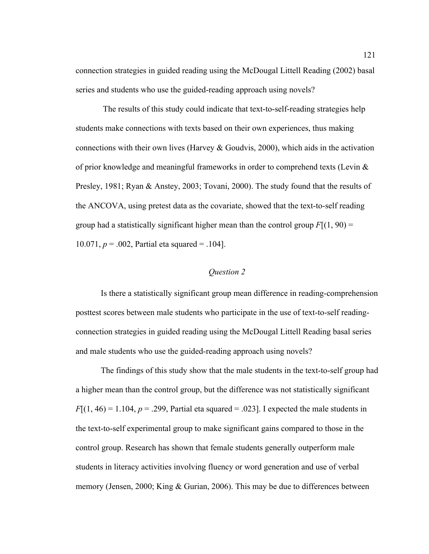connection strategies in guided reading using the McDougal Littell Reading (2002) basal series and students who use the guided-reading approach using novels?

 The results of this study could indicate that text-to-self-reading strategies help students make connections with texts based on their own experiences, thus making connections with their own lives (Harvey  $\&$  Goudvis, 2000), which aids in the activation of prior knowledge and meaningful frameworks in order to comprehend texts (Levin & Presley, 1981; Ryan & Anstey, 2003; Tovani, 2000). The study found that the results of the ANCOVA, using pretest data as the covariate, showed that the text-to-self reading group had a statistically significant higher mean than the control group  $F[(1, 90) =$ 10.071,  $p = 0.002$ , Partial eta squared = .104].

# *Question 2*

Is there a statistically significant group mean difference in reading-comprehension posttest scores between male students who participate in the use of text-to-self readingconnection strategies in guided reading using the McDougal Littell Reading basal series and male students who use the guided-reading approach using novels?

The findings of this study show that the male students in the text-to-self group had a higher mean than the control group, but the difference was not statistically significant  $F[(1, 46) = 1.104, p = .299,$  Partial eta squared = .023. I expected the male students in the text-to-self experimental group to make significant gains compared to those in the control group. Research has shown that female students generally outperform male students in literacy activities involving fluency or word generation and use of verbal memory (Jensen, 2000; King & Gurian, 2006). This may be due to differences between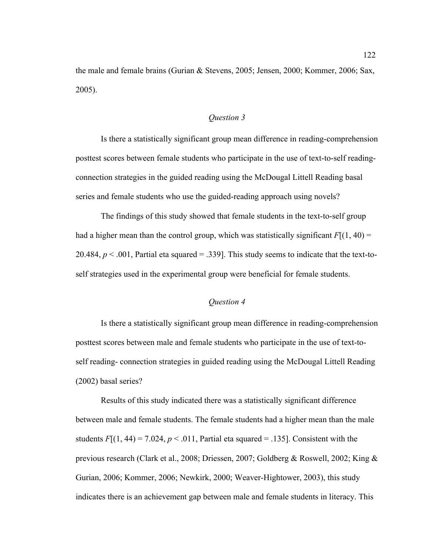the male and female brains (Gurian & Stevens, 2005; Jensen, 2000; Kommer, 2006; Sax, 2005).

# *Question 3*

Is there a statistically significant group mean difference in reading-comprehension posttest scores between female students who participate in the use of text-to-self readingconnection strategies in the guided reading using the McDougal Littell Reading basal series and female students who use the guided-reading approach using novels?

The findings of this study showed that female students in the text-to-self group had a higher mean than the control group, which was statistically significant  $F[(1, 40) =$ 20.484,  $p < .001$ , Partial eta squared = .339]. This study seems to indicate that the text-toself strategies used in the experimental group were beneficial for female students.

# *Question 4*

Is there a statistically significant group mean difference in reading-comprehension posttest scores between male and female students who participate in the use of text-toself reading- connection strategies in guided reading using the McDougal Littell Reading (2002) basal series?

Results of this study indicated there was a statistically significant difference between male and female students. The female students had a higher mean than the male students  $F[(1, 44) = 7.024, p < .011,$  Partial eta squared = .135]. Consistent with the previous research (Clark et al., 2008; Driessen, 2007; Goldberg & Roswell, 2002; King & Gurian, 2006; Kommer, 2006; Newkirk, 2000; Weaver-Hightower, 2003), this study indicates there is an achievement gap between male and female students in literacy. This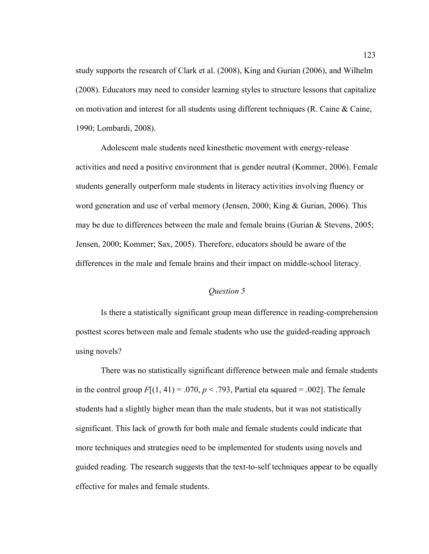study supports the research of Clark et al. (2008), King and Gurian (2006), and Wilhelm (2008). Educators may need to consider learning styles to structure lessons that capitalize on motivation and interest for all students using different techniques (R. Caine  $\&$  Caine, 1990; Lombardi, 2008).

Adolescent male students need kinesthetic movement with energy-release activities and need a positive environment that is gender neutral (Kommer, 2006). Female students generally outperform male students in literacy activities involving fluency or word generation and use of verbal memory (Jensen, 2000; King & Gurian, 2006). This may be due to differences between the male and female brains (Gurian  $\&$  Stevens, 2005; Jensen, 2000; Kommer; Sax, 2005). Therefore, educators should be aware of the differences in the male and female brains and their impact on middle-school literacy.

### *Question 5*

Is there a statistically significant group mean difference in reading-comprehension posttest scores between male and female students who use the guided-reading approach using novels?

There was no statistically significant difference between male and female students in the control group  $F[(1, 41) = .070, p < .793$ , Partial eta squared = .002]. The female students had a slightly higher mean than the male students, but it was not statistically significant. This lack of growth for both male and female students could indicate that more techniques and strategies need to be implemented for students using novels and guided reading. The research suggests that the text-to-self techniques appear to be equally effective for males and female students.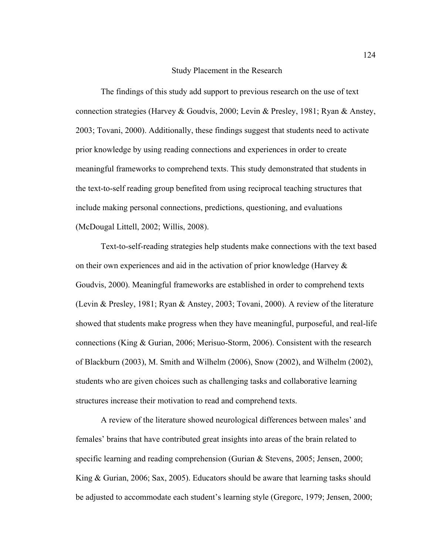#### Study Placement in the Research

The findings of this study add support to previous research on the use of text connection strategies (Harvey & Goudvis, 2000; Levin & Presley, 1981; Ryan & Anstey, 2003; Tovani, 2000). Additionally, these findings suggest that students need to activate prior knowledge by using reading connections and experiences in order to create meaningful frameworks to comprehend texts. This study demonstrated that students in the text-to-self reading group benefited from using reciprocal teaching structures that include making personal connections, predictions, questioning, and evaluations (McDougal Littell, 2002; Willis, 2008).

Text-to-self-reading strategies help students make connections with the text based on their own experiences and aid in the activation of prior knowledge (Harvey  $\&$ Goudvis, 2000). Meaningful frameworks are established in order to comprehend texts (Levin & Presley, 1981; Ryan & Anstey, 2003; Tovani, 2000). A review of the literature showed that students make progress when they have meaningful, purposeful, and real-life connections (King & Gurian, 2006; Merisuo-Storm, 2006). Consistent with the research of Blackburn (2003), M. Smith and Wilhelm (2006), Snow (2002), and Wilhelm (2002), students who are given choices such as challenging tasks and collaborative learning structures increase their motivation to read and comprehend texts.

A review of the literature showed neurological differences between males' and females' brains that have contributed great insights into areas of the brain related to specific learning and reading comprehension (Gurian & Stevens, 2005; Jensen, 2000; King & Gurian, 2006; Sax, 2005). Educators should be aware that learning tasks should be adjusted to accommodate each student's learning style (Gregorc, 1979; Jensen, 2000;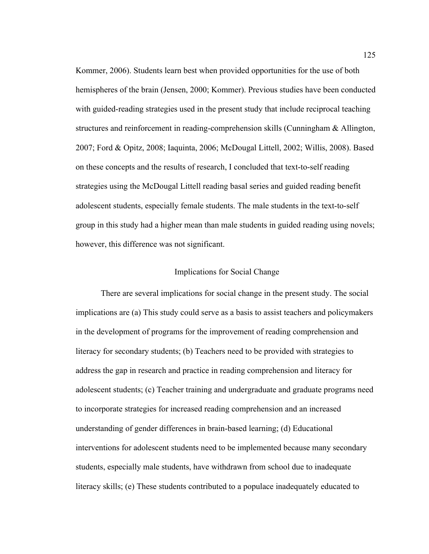Kommer, 2006). Students learn best when provided opportunities for the use of both hemispheres of the brain (Jensen, 2000; Kommer). Previous studies have been conducted with guided-reading strategies used in the present study that include reciprocal teaching structures and reinforcement in reading-comprehension skills (Cunningham & Allington, 2007; Ford & Opitz, 2008; Iaquinta, 2006; McDougal Littell, 2002; Willis, 2008). Based on these concepts and the results of research, I concluded that text-to-self reading strategies using the McDougal Littell reading basal series and guided reading benefit adolescent students, especially female students. The male students in the text-to-self group in this study had a higher mean than male students in guided reading using novels; however, this difference was not significant.

### Implications for Social Change

There are several implications for social change in the present study. The social implications are (a) This study could serve as a basis to assist teachers and policymakers in the development of programs for the improvement of reading comprehension and literacy for secondary students; (b) Teachers need to be provided with strategies to address the gap in research and practice in reading comprehension and literacy for adolescent students; (c) Teacher training and undergraduate and graduate programs need to incorporate strategies for increased reading comprehension and an increased understanding of gender differences in brain-based learning; (d) Educational interventions for adolescent students need to be implemented because many secondary students, especially male students, have withdrawn from school due to inadequate literacy skills; (e) These students contributed to a populace inadequately educated to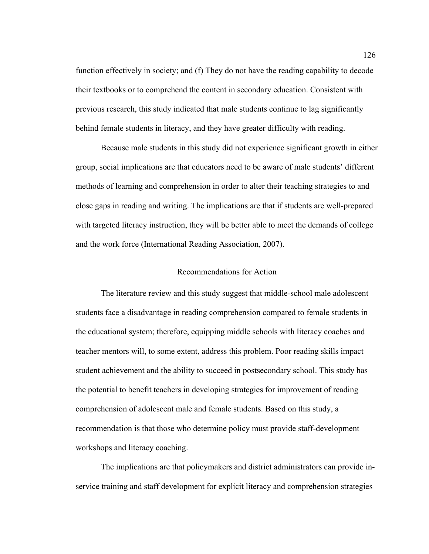function effectively in society; and (f) They do not have the reading capability to decode their textbooks or to comprehend the content in secondary education. Consistent with previous research, this study indicated that male students continue to lag significantly behind female students in literacy, and they have greater difficulty with reading.

Because male students in this study did not experience significant growth in either group, social implications are that educators need to be aware of male students' different methods of learning and comprehension in order to alter their teaching strategies to and close gaps in reading and writing. The implications are that if students are well-prepared with targeted literacy instruction, they will be better able to meet the demands of college and the work force (International Reading Association, 2007).

#### Recommendations for Action

The literature review and this study suggest that middle-school male adolescent students face a disadvantage in reading comprehension compared to female students in the educational system; therefore, equipping middle schools with literacy coaches and teacher mentors will, to some extent, address this problem. Poor reading skills impact student achievement and the ability to succeed in postsecondary school. This study has the potential to benefit teachers in developing strategies for improvement of reading comprehension of adolescent male and female students. Based on this study, a recommendation is that those who determine policy must provide staff-development workshops and literacy coaching.

The implications are that policymakers and district administrators can provide inservice training and staff development for explicit literacy and comprehension strategies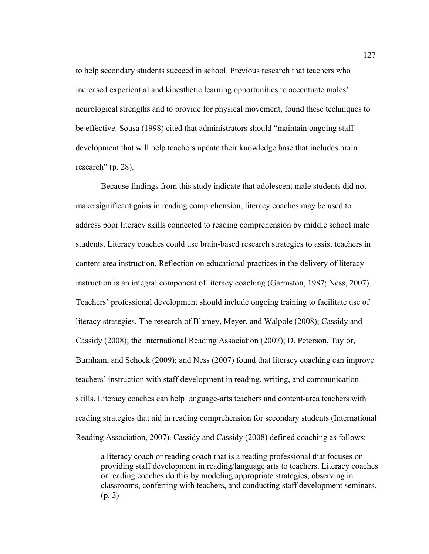to help secondary students succeed in school. Previous research that teachers who increased experiential and kinesthetic learning opportunities to accentuate males' neurological strengths and to provide for physical movement, found these techniques to be effective. Sousa (1998) cited that administrators should "maintain ongoing staff development that will help teachers update their knowledge base that includes brain research" (p. 28).

Because findings from this study indicate that adolescent male students did not make significant gains in reading comprehension, literacy coaches may be used to address poor literacy skills connected to reading comprehension by middle school male students. Literacy coaches could use brain-based research strategies to assist teachers in content area instruction. Reflection on educational practices in the delivery of literacy instruction is an integral component of literacy coaching (Garmston, 1987; Ness, 2007). Teachers' professional development should include ongoing training to facilitate use of literacy strategies. The research of Blamey, Meyer, and Walpole (2008); Cassidy and Cassidy (2008); the International Reading Association (2007); D. Peterson, Taylor, Burnham, and Schock (2009); and Ness (2007) found that literacy coaching can improve teachers' instruction with staff development in reading, writing, and communication skills. Literacy coaches can help language-arts teachers and content-area teachers with reading strategies that aid in reading comprehension for secondary students (International Reading Association, 2007). Cassidy and Cassidy (2008) defined coaching as follows:

a literacy coach or reading coach that is a reading professional that focuses on providing staff development in reading/language arts to teachers. Literacy coaches or reading coaches do this by modeling appropriate strategies, observing in classrooms, conferring with teachers, and conducting staff development seminars. (p. 3)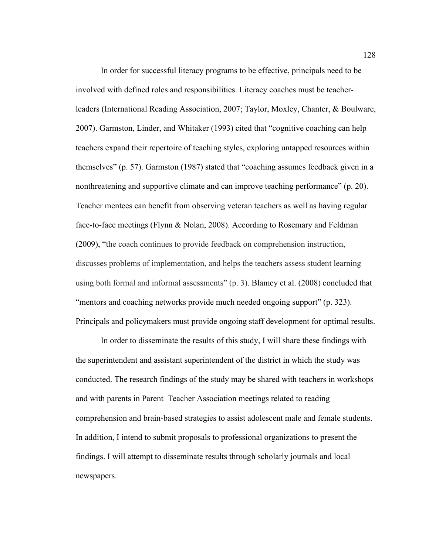In order for successful literacy programs to be effective, principals need to be involved with defined roles and responsibilities. Literacy coaches must be teacherleaders (International Reading Association, 2007; Taylor, Moxley, Chanter, & Boulware, 2007). Garmston, Linder, and Whitaker (1993) cited that "cognitive coaching can help teachers expand their repertoire of teaching styles, exploring untapped resources within themselves" (p. 57). Garmston (1987) stated that "coaching assumes feedback given in a nonthreatening and supportive climate and can improve teaching performance" (p. 20). Teacher mentees can benefit from observing veteran teachers as well as having regular face-to-face meetings (Flynn & Nolan, 2008). According to Rosemary and Feldman (2009), "the coach continues to provide feedback on comprehension instruction, discusses problems of implementation, and helps the teachers assess student learning using both formal and informal assessments" (p. 3). Blamey et al. (2008) concluded that "mentors and coaching networks provide much needed ongoing support" (p. 323). Principals and policymakers must provide ongoing staff development for optimal results.

In order to disseminate the results of this study, I will share these findings with the superintendent and assistant superintendent of the district in which the study was conducted. The research findings of the study may be shared with teachers in workshops and with parents in Parent–Teacher Association meetings related to reading comprehension and brain-based strategies to assist adolescent male and female students. In addition, I intend to submit proposals to professional organizations to present the findings. I will attempt to disseminate results through scholarly journals and local newspapers.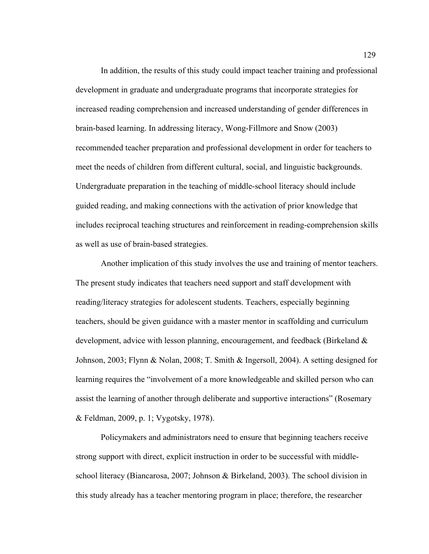In addition, the results of this study could impact teacher training and professional development in graduate and undergraduate programs that incorporate strategies for increased reading comprehension and increased understanding of gender differences in brain-based learning. In addressing literacy, Wong-Fillmore and Snow (2003) recommended teacher preparation and professional development in order for teachers to meet the needs of children from different cultural, social, and linguistic backgrounds. Undergraduate preparation in the teaching of middle-school literacy should include guided reading, and making connections with the activation of prior knowledge that includes reciprocal teaching structures and reinforcement in reading-comprehension skills as well as use of brain-based strategies.

Another implication of this study involves the use and training of mentor teachers. The present study indicates that teachers need support and staff development with reading/literacy strategies for adolescent students. Teachers, especially beginning teachers, should be given guidance with a master mentor in scaffolding and curriculum development, advice with lesson planning, encouragement, and feedback (Birkeland & Johnson, 2003; Flynn & Nolan, 2008; T. Smith & Ingersoll, 2004). A setting designed for learning requires the "involvement of a more knowledgeable and skilled person who can assist the learning of another through deliberate and supportive interactions" (Rosemary & Feldman, 2009, p. 1; Vygotsky, 1978).

Policymakers and administrators need to ensure that beginning teachers receive strong support with direct, explicit instruction in order to be successful with middleschool literacy (Biancarosa, 2007; Johnson & Birkeland, 2003). The school division in this study already has a teacher mentoring program in place; therefore, the researcher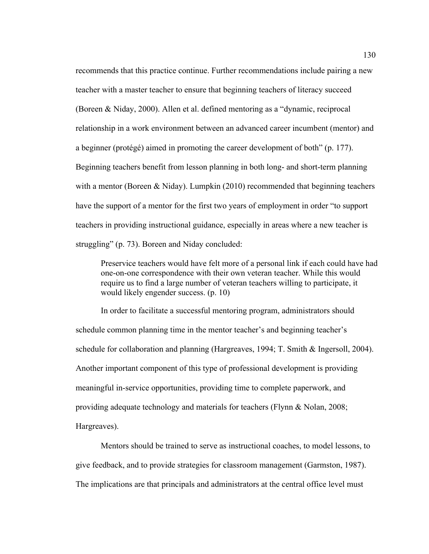recommends that this practice continue. Further recommendations include pairing a new teacher with a master teacher to ensure that beginning teachers of literacy succeed (Boreen & Niday, 2000). Allen et al. defined mentoring as a "dynamic, reciprocal relationship in a work environment between an advanced career incumbent (mentor) and a beginner (protégé) aimed in promoting the career development of both" (p. 177). Beginning teachers benefit from lesson planning in both long- and short-term planning with a mentor (Boreen & Niday). Lumpkin (2010) recommended that beginning teachers have the support of a mentor for the first two years of employment in order "to support teachers in providing instructional guidance, especially in areas where a new teacher is struggling" (p. 73). Boreen and Niday concluded:

Preservice teachers would have felt more of a personal link if each could have had one-on-one correspondence with their own veteran teacher. While this would require us to find a large number of veteran teachers willing to participate, it would likely engender success. (p. 10)

In order to facilitate a successful mentoring program, administrators should schedule common planning time in the mentor teacher's and beginning teacher's schedule for collaboration and planning (Hargreaves, 1994; T. Smith & Ingersoll, 2004). Another important component of this type of professional development is providing meaningful in-service opportunities, providing time to complete paperwork, and providing adequate technology and materials for teachers (Flynn & Nolan, 2008; Hargreaves).

Mentors should be trained to serve as instructional coaches, to model lessons, to give feedback, and to provide strategies for classroom management (Garmston, 1987). The implications are that principals and administrators at the central office level must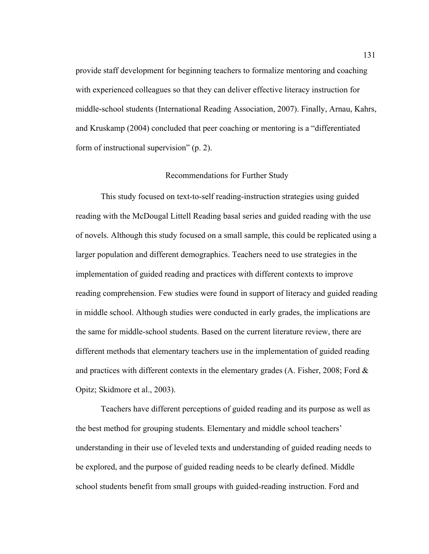provide staff development for beginning teachers to formalize mentoring and coaching with experienced colleagues so that they can deliver effective literacy instruction for middle-school students (International Reading Association, 2007). Finally, Arnau, Kahrs, and Kruskamp (2004) concluded that peer coaching or mentoring is a "differentiated form of instructional supervision" (p. 2).

#### Recommendations for Further Study

This study focused on text-to-self reading-instruction strategies using guided reading with the McDougal Littell Reading basal series and guided reading with the use of novels. Although this study focused on a small sample, this could be replicated using a larger population and different demographics. Teachers need to use strategies in the implementation of guided reading and practices with different contexts to improve reading comprehension. Few studies were found in support of literacy and guided reading in middle school. Although studies were conducted in early grades, the implications are the same for middle-school students. Based on the current literature review, there are different methods that elementary teachers use in the implementation of guided reading and practices with different contexts in the elementary grades  $(A, Fisher, 2008; Ford &$ Opitz; Skidmore et al., 2003).

Teachers have different perceptions of guided reading and its purpose as well as the best method for grouping students. Elementary and middle school teachers' understanding in their use of leveled texts and understanding of guided reading needs to be explored, and the purpose of guided reading needs to be clearly defined. Middle school students benefit from small groups with guided-reading instruction. Ford and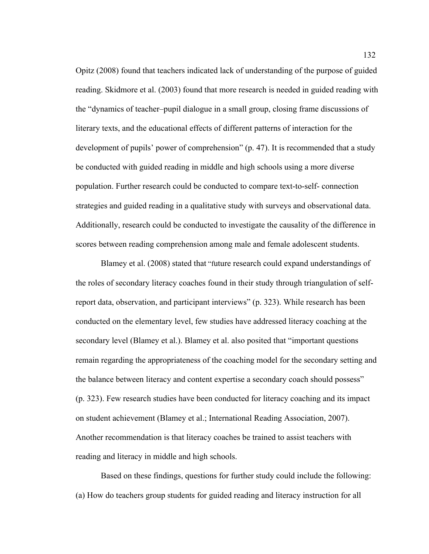Opitz (2008) found that teachers indicated lack of understanding of the purpose of guided reading. Skidmore et al. (2003) found that more research is needed in guided reading with the "dynamics of teacher–pupil dialogue in a small group, closing frame discussions of literary texts, and the educational effects of different patterns of interaction for the development of pupils' power of comprehension" (p. 47). It is recommended that a study be conducted with guided reading in middle and high schools using a more diverse population. Further research could be conducted to compare text-to-self- connection strategies and guided reading in a qualitative study with surveys and observational data. Additionally, research could be conducted to investigate the causality of the difference in scores between reading comprehension among male and female adolescent students.

Blamey et al. (2008) stated that "future research could expand understandings of the roles of secondary literacy coaches found in their study through triangulation of selfreport data, observation, and participant interviews" (p. 323). While research has been conducted on the elementary level, few studies have addressed literacy coaching at the secondary level (Blamey et al.). Blamey et al. also posited that "important questions remain regarding the appropriateness of the coaching model for the secondary setting and the balance between literacy and content expertise a secondary coach should possess" (p. 323). Few research studies have been conducted for literacy coaching and its impact on student achievement (Blamey et al.; International Reading Association, 2007). Another recommendation is that literacy coaches be trained to assist teachers with reading and literacy in middle and high schools.

Based on these findings, questions for further study could include the following: (a) How do teachers group students for guided reading and literacy instruction for all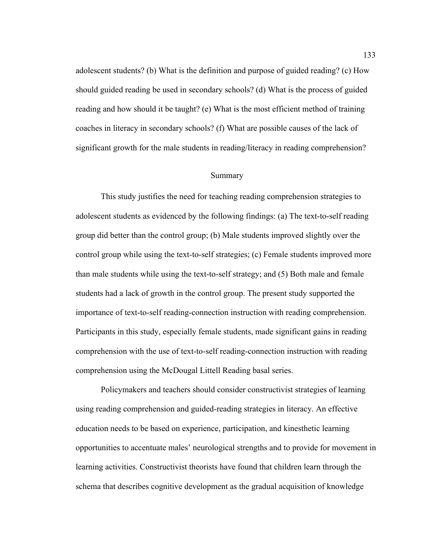adolescent students? (b) What is the definition and purpose of guided reading? (c) How should guided reading be used in secondary schools? (d) What is the process of guided reading and how should it be taught? (e) What is the most efficient method of training coaches in literacy in secondary schools? (f) What are possible causes of the lack of significant growth for the male students in reading/literacy in reading comprehension?

#### Summary

This study justifies the need for teaching reading comprehension strategies to adolescent students as evidenced by the following findings: (a) The text-to-self reading group did better than the control group; (b) Male students improved slightly over the control group while using the text-to-self strategies; (c) Female students improved more than male students while using the text-to-self strategy; and (5) Both male and female students had a lack of growth in the control group. The present study supported the importance of text-to-self reading-connection instruction with reading comprehension. Participants in this study, especially female students, made significant gains in reading comprehension with the use of text-to-self reading-connection instruction with reading comprehension using the McDougal Littell Reading basal series.

Policymakers and teachers should consider constructivist strategies of learning using reading comprehension and guided-reading strategies in literacy. An effective education needs to be based on experience, participation, and kinesthetic learning opportunities to accentuate males' neurological strengths and to provide for movement in learning activities. Constructivist theorists have found that children learn through the schema that describes cognitive development as the gradual acquisition of knowledge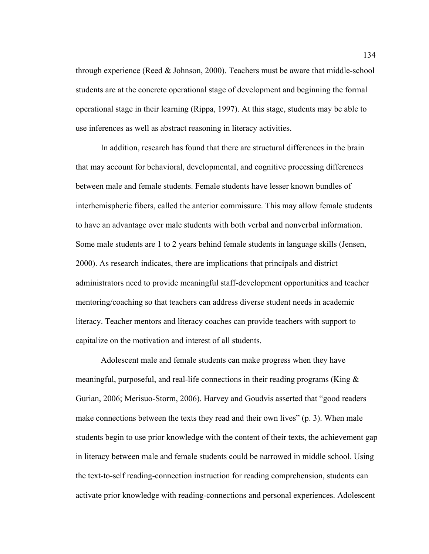through experience (Reed  $&$  Johnson, 2000). Teachers must be aware that middle-school students are at the concrete operational stage of development and beginning the formal operational stage in their learning (Rippa, 1997). At this stage, students may be able to use inferences as well as abstract reasoning in literacy activities.

In addition, research has found that there are structural differences in the brain that may account for behavioral, developmental, and cognitive processing differences between male and female students. Female students have lesser known bundles of interhemispheric fibers, called the anterior commissure. This may allow female students to have an advantage over male students with both verbal and nonverbal information. Some male students are 1 to 2 years behind female students in language skills (Jensen, 2000). As research indicates, there are implications that principals and district administrators need to provide meaningful staff-development opportunities and teacher mentoring/coaching so that teachers can address diverse student needs in academic literacy. Teacher mentors and literacy coaches can provide teachers with support to capitalize on the motivation and interest of all students.

Adolescent male and female students can make progress when they have meaningful, purposeful, and real-life connections in their reading programs (King  $\&$ Gurian, 2006; Merisuo-Storm, 2006). Harvey and Goudvis asserted that "good readers make connections between the texts they read and their own lives" (p. 3). When male students begin to use prior knowledge with the content of their texts, the achievement gap in literacy between male and female students could be narrowed in middle school. Using the text-to-self reading-connection instruction for reading comprehension, students can activate prior knowledge with reading-connections and personal experiences. Adolescent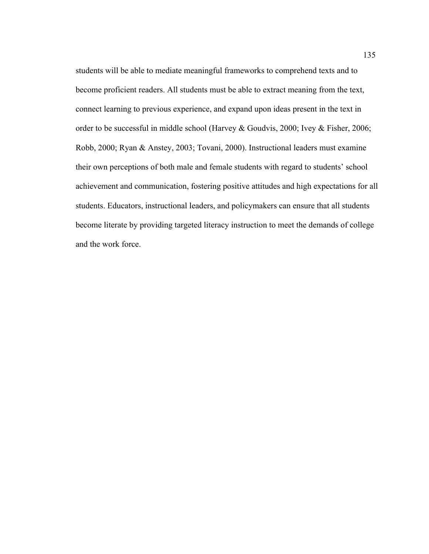students will be able to mediate meaningful frameworks to comprehend texts and to become proficient readers. All students must be able to extract meaning from the text, connect learning to previous experience, and expand upon ideas present in the text in order to be successful in middle school (Harvey & Goudvis, 2000; Ivey & Fisher, 2006; Robb, 2000; Ryan & Anstey, 2003; Tovani, 2000). Instructional leaders must examine their own perceptions of both male and female students with regard to students' school achievement and communication, fostering positive attitudes and high expectations for all students. Educators, instructional leaders, and policymakers can ensure that all students become literate by providing targeted literacy instruction to meet the demands of college and the work force.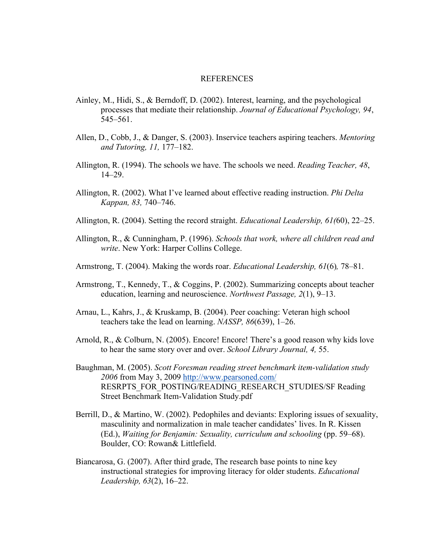#### REFERENCES

- Ainley, M., Hidi, S., & Berndoff, D. (2002). Interest, learning, and the psychological processes that mediate their relationship. *Journal of Educational Psychology, 94*, 545–561.
- Allen, D., Cobb, J., & Danger, S. (2003). Inservice teachers aspiring teachers. *Mentoring and Tutoring, 11,* 177–182.
- Allington, R. (1994). The schools we have. The schools we need. *Reading Teacher, 48*, 14–29.
- Allington, R. (2002). What I've learned about effective reading instruction. *Phi Delta Kappan, 83,* 740–746.
- Allington, R. (2004). Setting the record straight. *Educational Leadership, 61(*60), 22–25.
- Allington, R., & Cunningham, P. (1996). *Schools that work, where all children read and write*. New York: Harper Collins College.
- Armstrong, T. (2004). Making the words roar. *Educational Leadership, 61*(6)*,* 78–81.
- Armstrong, T., Kennedy, T., & Coggins, P. (2002). Summarizing concepts about teacher education, learning and neuroscience. *Northwest Passage, 2*(1), 9–13.
- Arnau, L., Kahrs, J., & Kruskamp, B. (2004). Peer coaching: Veteran high school teachers take the lead on learning. *NASSP, 86*(639), 1–26.
- Arnold, R., & Colburn, N. (2005). Encore! Encore! There's a good reason why kids love to hear the same story over and over. *School Library Journal, 4,* 55.
- Baughman, M. (2005). *Scott Foresman reading street benchmark item-validation study 2006* from May 3, 2009 http://www.pearsoned.com/ RESRPTS\_FOR\_POSTING/READING\_RESEARCH\_STUDIES/SF Reading Street Benchmark Item-Validation Study.pdf
- Berrill, D., & Martino, W. (2002). Pedophiles and deviants: Exploring issues of sexuality, masculinity and normalization in male teacher candidates' lives. In R. Kissen (Ed.), *Waiting for Benjamin: Sexuality, curriculum and schooling* (pp. 59–68). Boulder, CO: Rowan& Littlefield.
- Biancarosa, G. (2007). After third grade, The research base points to nine key instructional strategies for improving literacy for older students. *Educational Leadership, 63*(2), 16–22.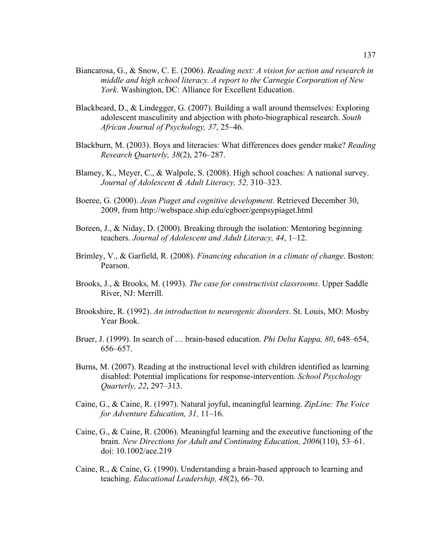- Biancarosa, G., & Snow, C. E. (2006). *Reading next: A vision for action and research in middle and high school literacy. A report to the Carnegie Corporation of New York*. Washington, DC: Alliance for Excellent Education.
- Blackbeard, D., & Lindegger, G. (2007). Building a wall around themselves: Exploring adolescent masculinity and abjection with photo-biographical research. *South African Journal of Psychology, 37*, 25–46.
- Blackburn, M. (2003). Boys and literacies: What differences does gender make? *Reading Research Quarterly, 38*(2), 276–287.
- Blamey, K., Meyer, C., & Walpole, S. (2008). High school coaches: A national survey. *Journal of Adolescent & Adult Literacy, 52,* 310–323.
- Boeree, G. (2000). *Jean Piaget and cognitive development*. Retrieved December 30, 2009, from http://webspace.ship.edu/cgboer/genpsypiaget.html
- Boreen, J., & Niday, D. (2000). Breaking through the isolation: Mentoring beginning teachers. *Journal of Adolescent and Adult Literacy, 44*, 1–12.
- Brimley, V., & Garfield, R. (2008). *Financing education in a climate of change*. Boston: Pearson.
- Brooks, J., & Brooks, M. (1993). *The case for constructivist classrooms*. Upper Saddle River, NJ: Merrill.
- Brookshire, R. (1992). *An introduction to neurogenic disorders*. St. Louis, MO: Mosby Year Book.
- Bruer, J. (1999). In search of … brain-based education. *Phi Delta Kappa, 80*, 648–654, 656–657.
- Burns, M. (2007). Reading at the instructional level with children identified as learning disabled: Potential implications for response-intervention. *School Psychology Quarterly, 22*, 297–313.
- Caine, G., & Caine, R. (1997). Natural joyful, meaningful learning. *ZipLine: The Voice for Adventure Education, 31,* 11–16.
- Caine, G., & Caine, R. (2006). Meaningful learning and the executive functioning of the brain. *New Directions for Adult and Continuing Education, 2006*(110), 53–61. doi: 10.1002/ace.219
- Caine, R., & Caine, G. (1990). Understanding a brain-based approach to learning and teaching. *Educational Leadership, 48*(2), 66–70.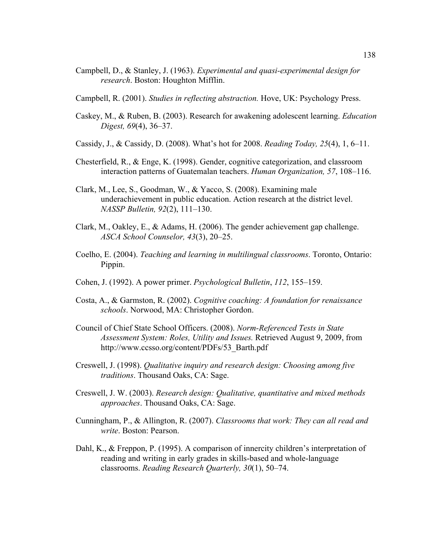- Campbell, D., & Stanley, J. (1963). *Experimental and quasi-experimental design for research*. Boston: Houghton Mifflin.
- Campbell, R. (2001). *Studies in reflecting abstraction.* Hove, UK: Psychology Press.
- Caskey, M., & Ruben, B. (2003). Research for awakening adolescent learning. *Education Digest, 69*(4), 36–37.
- Cassidy, J., & Cassidy, D. (2008). What's hot for 2008. *Reading Today, 25*(4), 1, 6–11.
- Chesterfield, R., & Enge, K. (1998). Gender, cognitive categorization, and classroom interaction patterns of Guatemalan teachers. *Human Organization, 57*, 108–116.
- Clark, M., Lee, S., Goodman, W., & Yacco, S. (2008). Examining male underachievement in public education. Action research at the district level. *NASSP Bulletin, 92*(2), 111–130.
- Clark, M., Oakley, E., & Adams, H. (2006). The gender achievement gap challenge. *ASCA School Counselor, 43*(3), 20–25.
- Coelho, E. (2004). *Teaching and learning in multilingual classrooms*. Toronto, Ontario: Pippin.
- Cohen, J. (1992). A power primer. *Psychological Bulletin*, *112*, 155–159.
- Costa, A., & Garmston, R. (2002). *Cognitive coaching: A foundation for renaissance schools*. Norwood, MA: Christopher Gordon.
- Council of Chief State School Officers. (2008). *Norm-Referenced Tests in State Assessment System: Roles, Utility and Issues.* Retrieved August 9, 2009, from http://www.ccsso.org/content/PDFs/53\_Barth.pdf
- Creswell, J. (1998). *Qualitative inquiry and research design: Choosing among five traditions*. Thousand Oaks, CA: Sage.
- Creswell, J. W. (2003). *Research design: Qualitative, quantitative and mixed methods approaches*. Thousand Oaks, CA: Sage.
- Cunningham, P., & Allington, R. (2007). *Classrooms that work: They can all read and write*. Boston: Pearson.
- Dahl, K., & Freppon, P. (1995). A comparison of innercity children's interpretation of reading and writing in early grades in skills-based and whole-language classrooms. *Reading Research Quarterly, 30*(1), 50–74.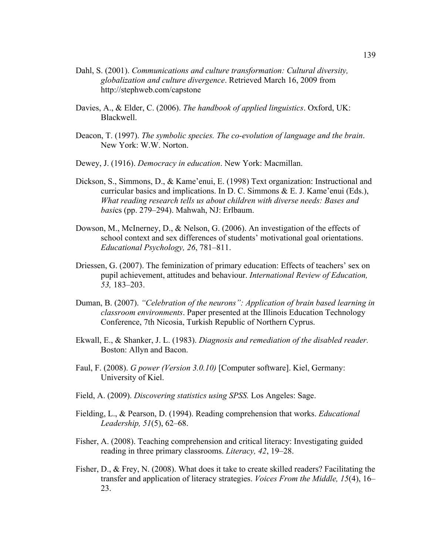- Dahl, S. (2001). *Communications and culture transformation: Cultural diversity, globalization and culture divergence*. Retrieved March 16, 2009 from http://stephweb.com/capstone
- Davies, A., & Elder, C. (2006). *The handbook of applied linguistics*. Oxford, UK: Blackwell.
- Deacon, T. (1997). *The symbolic species. The co-evolution of language and the brain*. New York: W.W. Norton.
- Dewey, J. (1916). *Democracy in education*. New York: Macmillan.
- Dickson, S., Simmons, D., & Kame'enui, E. (1998) Text organization: Instructional and curricular basics and implications. In D. C. Simmons & E. J. Kame'enui (Eds.), *What reading research tells us about children with diverse needs: Bases and basi*cs (pp. 279–294). Mahwah, NJ: Erlbaum.
- Dowson, M., McInerney, D., & Nelson, G. (2006). An investigation of the effects of school context and sex differences of students' motivational goal orientations. *Educational Psychology, 26*, 781–811.
- Driessen, G. (2007). The feminization of primary education: Effects of teachers' sex on pupil achievement, attitudes and behaviour. *International Review of Education, 53,* 183–203.
- Duman, B. (2007). *"Celebration of the neurons": Application of brain based learning in classroom environments*. Paper presented at the Illinois Education Technology Conference, 7th Nicosia, Turkish Republic of Northern Cyprus.
- Ekwall, E., & Shanker, J. L. (1983). *Diagnosis and remediation of the disabled reader.* Boston: Allyn and Bacon.
- Faul, F. (2008). *G power (Version 3.0.10)* [Computer software]. Kiel, Germany: University of Kiel.
- Field, A. (2009). *Discovering statistics using SPSS.* Los Angeles: Sage.
- Fielding, L., & Pearson, D. (1994). Reading comprehension that works. *Educational Leadership, 51*(5), 62–68.
- Fisher, A. (2008). Teaching comprehension and critical literacy: Investigating guided reading in three primary classrooms. *Literacy, 42*, 19–28.
- Fisher, D., & Frey, N. (2008). What does it take to create skilled readers? Facilitating the transfer and application of literacy strategies. *Voices From the Middle, 15*(4), 16– 23.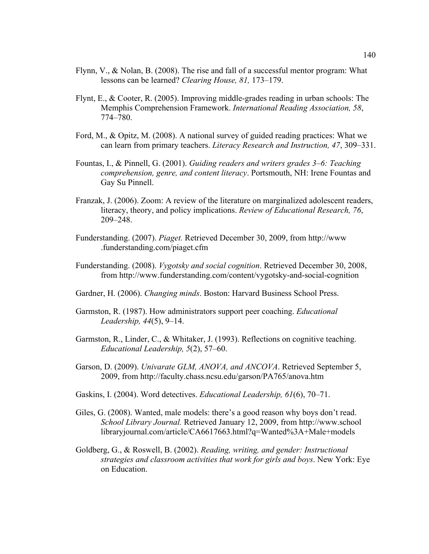- Flynn, V., & Nolan, B. (2008). The rise and fall of a successful mentor program: What lessons can be learned? *Clearing House, 81,* 173–179.
- Flynt, E., & Cooter, R. (2005). Improving middle-grades reading in urban schools: The Memphis Comprehension Framework. *International Reading Association, 58*, 774–780.
- Ford, M., & Opitz, M. (2008). A national survey of guided reading practices: What we can learn from primary teachers. *Literacy Research and Instruction, 47*, 309–331.
- Fountas, I., & Pinnell, G. (2001). *Guiding readers and writers grades 3–6: Teaching comprehension, genre, and content literacy*. Portsmouth, NH: Irene Fountas and Gay Su Pinnell.
- Franzak, J. (2006). Zoom: A review of the literature on marginalized adolescent readers, literacy, theory, and policy implications. *Review of Educational Research, 76*, 209–248.
- Funderstanding. (2007). *Piaget.* Retrieved December 30, 2009, from http://www .funderstanding.com/piaget.cfm
- Funderstanding. (2008). *Vygotsky and social cognition*. Retrieved December 30, 2008, from http://www.funderstanding.com/content/vygotsky-and-social-cognition
- Gardner, H. (2006). *Changing minds*. Boston: Harvard Business School Press.
- Garmston, R. (1987). How administrators support peer coaching. *Educational Leadership, 44*(5), 9–14.
- Garmston, R., Linder, C., & Whitaker, J. (1993). Reflections on cognitive teaching. *Educational Leadership, 5*(2), 57–60.
- Garson, D. (2009). *Univarate GLM, ANOVA, and ANCOVA*. Retrieved September 5, 2009, from http://faculty.chass.ncsu.edu/garson/PA765/anova.htm
- Gaskins, I. (2004). Word detectives. *Educational Leadership, 61*(6), 70–71.
- Giles, G. (2008). Wanted, male models: there's a good reason why boys don't read. *School Library Journal.* Retrieved January 12, 2009, from http://www.school libraryjournal.com/article/CA6617663.html?q=Wanted%3A+Male+models
- Goldberg, G., & Roswell, B. (2002). *Reading, writing, and gender: Instructional strategies and classroom activities that work for girls and boys*. New York: Eye on Education.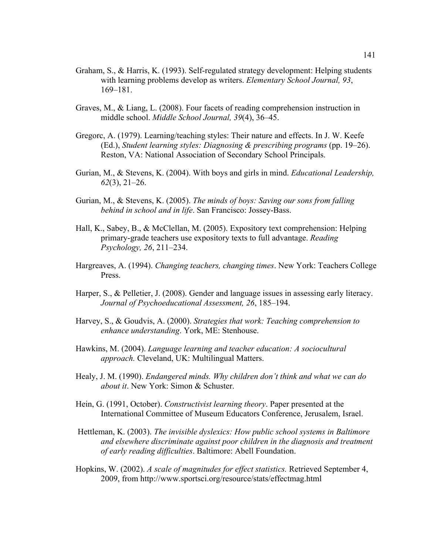- Graham, S., & Harris, K. (1993). Self-regulated strategy development: Helping students with learning problems develop as writers. *Elementary School Journal, 93*, 169–181.
- Graves, M., & Liang, L. (2008). Four facets of reading comprehension instruction in middle school. *Middle School Journal, 39*(4), 36–45.
- Gregorc, A. (1979). Learning/teaching styles: Their nature and effects. In J. W. Keefe (Ed.), *Student learning styles: Diagnosing & prescribing programs* (pp. 19–26). Reston, VA: National Association of Secondary School Principals.
- Gurian, M., & Stevens, K. (2004). With boys and girls in mind. *Educational Leadership, 62*(3), 21–26.
- Gurian, M., & Stevens, K. (2005). *The minds of boys: Saving our sons from falling behind in school and in life*. San Francisco: Jossey-Bass.
- Hall, K., Sabey, B., & McClellan, M. (2005). Expository text comprehension: Helping primary-grade teachers use expository texts to full advantage. *Reading Psychology, 26*, 211–234.
- Hargreaves, A. (1994). *Changing teachers, changing times*. New York: Teachers College Press.
- Harper, S., & Pelletier, J. (2008). Gender and language issues in assessing early literacy. *Journal of Psychoeducational Assessment, 26*, 185–194.
- Harvey, S., & Goudvis, A. (2000). *Strategies that work: Teaching comprehension to enhance understanding*. York, ME: Stenhouse.
- Hawkins, M. (2004). *Language learning and teacher education: A sociocultural approach.* Cleveland, UK: Multilingual Matters.
- Healy, J. M. (1990). *Endangered minds. Why children don't think and what we can do about it*. New York: Simon & Schuster.
- Hein, G. (1991, October). *Constructivist learning theory*. Paper presented at the International Committee of Museum Educators Conference, Jerusalem, Israel.
- Hettleman, K. (2003). *The invisible dyslexics: How public school systems in Baltimore and elsewhere discriminate against poor children in the diagnosis and treatment of early reading difficulties*. Baltimore: Abell Foundation.
- Hopkins, W. (2002). *A scale of magnitudes for effect statistics.* Retrieved September 4, 2009, from http://www.sportsci.org/resource/stats/effectmag.html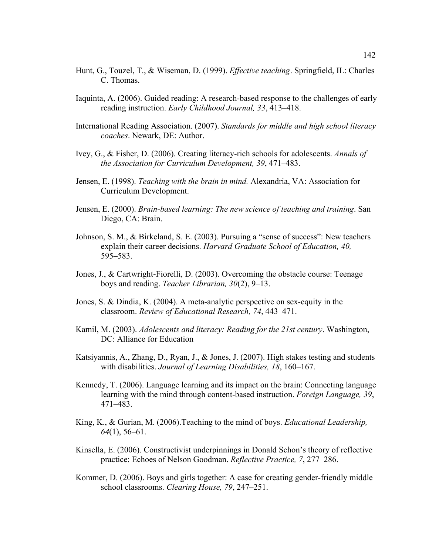- Hunt, G., Touzel, T., & Wiseman, D. (1999). *Effective teaching*. Springfield, IL: Charles C. Thomas.
- Iaquinta, A. (2006). Guided reading: A research-based response to the challenges of early reading instruction. *Early Childhood Journal, 33*, 413–418.
- International Reading Association. (2007). *Standards for middle and high school literacy coaches*. Newark, DE: Author.
- Ivey, G., & Fisher, D. (2006). Creating literacy-rich schools for adolescents. *Annals of the Association for Curriculum Development, 39*, 471–483.
- Jensen, E. (1998). *Teaching with the brain in mind.* Alexandria, VA: Association for Curriculum Development.
- Jensen, E. (2000). *Brain-based learning: The new science of teaching and training*. San Diego, CA: Brain.
- Johnson, S. M., & Birkeland, S. E. (2003). Pursuing a "sense of success": New teachers explain their career decisions. *Harvard Graduate School of Education, 40,* 595–583.
- Jones, J., & Cartwright-Fiorelli, D. (2003). Overcoming the obstacle course: Teenage boys and reading. *Teacher Librarian, 30*(2), 9–13.
- Jones, S. & Dindia, K. (2004). A meta-analytic perspective on sex-equity in the classroom. *Review of Educational Research, 74*, 443–471.
- Kamil, M. (2003). *Adolescents and literacy: Reading for the 21st century*. Washington, DC: Alliance for Education
- Katsiyannis, A., Zhang, D., Ryan, J., & Jones, J. (2007). High stakes testing and students with disabilities. *Journal of Learning Disabilities, 18*, 160–167.
- Kennedy, T. (2006). Language learning and its impact on the brain: Connecting language learning with the mind through content-based instruction. *Foreign Language, 39*, 471–483.
- King, K., & Gurian, M. (2006).Teaching to the mind of boys. *Educational Leadership, 64*(1), 56–61.
- Kinsella, E. (2006). Constructivist underpinnings in Donald Schon's theory of reflective practice: Echoes of Nelson Goodman. *Reflective Practice, 7*, 277–286.
- Kommer, D. (2006). Boys and girls together: A case for creating gender-friendly middle school classrooms. *Clearing House, 79*, 247–251.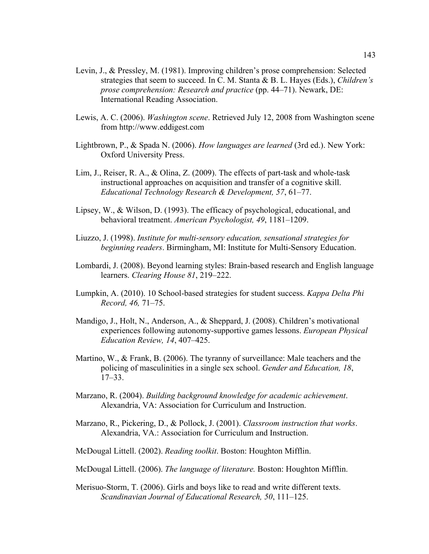- Levin, J., & Pressley, M. (1981). Improving children's prose comprehension: Selected strategies that seem to succeed. In C. M. Stanta & B. L. Hayes (Eds.), *Children's prose comprehension: Research and practice* (pp. 44–71). Newark, DE: International Reading Association.
- Lewis, A. C. (2006). *Washington scene*. Retrieved July 12, 2008 from Washington scene from http://www.eddigest.com
- Lightbrown, P., & Spada N. (2006). *How languages are learned* (3rd ed.). New York: Oxford University Press.
- Lim, J., Reiser, R. A., & Olina, Z. (2009). The effects of part-task and whole-task instructional approaches on acquisition and transfer of a cognitive skill. *Educational Technology Research & Development, 57*, 61–77.
- Lipsey, W., & Wilson, D. (1993). The efficacy of psychological, educational, and behavioral treatment. *American Psychologist, 49*, 1181–1209.
- Liuzzo, J. (1998). *Institute for multi-sensory education, sensational strategies for beginning readers*. Birmingham, MI: Institute for Multi-Sensory Education.
- Lombardi, J. (2008). Beyond learning styles: Brain-based research and English language learners. *Clearing House 81*, 219–222.
- Lumpkin, A. (2010). 10 School-based strategies for student success. *Kappa Delta Phi Record, 46,* 71–75.
- Mandigo, J., Holt, N., Anderson, A., & Sheppard, J. (2008). Children's motivational experiences following autonomy-supportive games lessons. *European Physical Education Review, 14*, 407–425.
- Martino, W., & Frank, B. (2006). The tyranny of surveillance: Male teachers and the policing of masculinities in a single sex school. *Gender and Education, 18*, 17–33.
- Marzano, R. (2004). *Building background knowledge for academic achievement*. Alexandria, VA: Association for Curriculum and Instruction.
- Marzano, R., Pickering, D., & Pollock, J. (2001). *Classroom instruction that works*. Alexandria, VA.: Association for Curriculum and Instruction.
- McDougal Littell. (2002). *Reading toolkit*. Boston: Houghton Mifflin.
- McDougal Littell. (2006). *The language of literature.* Boston: Houghton Mifflin.
- Merisuo-Storm, T. (2006). Girls and boys like to read and write different texts. *Scandinavian Journal of Educational Research, 50*, 111–125.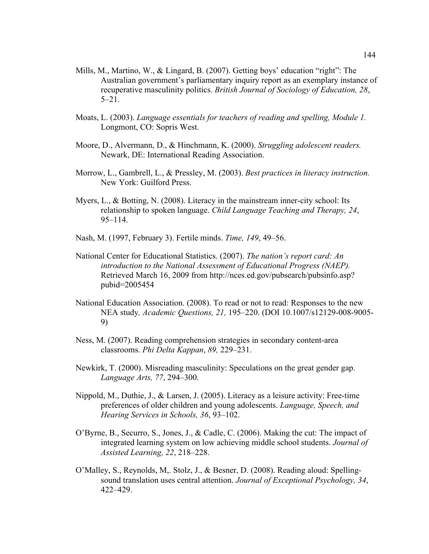- Mills, M., Martino, W., & Lingard, B. (2007). Getting boys' education "right": The Australian government's parliamentary inquiry report as an exemplary instance of recuperative masculinity politics. *British Journal of Sociology of Education, 28*, 5–21.
- Moats, L. (2003). *Language essentials for teachers of reading and spelling, Module 1.* Longmont, CO: Sopris West.
- Moore, D., Alvermann, D., & Hinchmann, K. (2000). *Struggling adolescent readers.* Newark, DE: International Reading Association.
- Morrow, L., Gambrell, L., & Pressley, M. (2003). *Best practices in literacy instruction.* New York: Guilford Press.
- Myers, L., & Botting, N. (2008). Literacy in the mainstream inner-city school: Its relationship to spoken language. *Child Language Teaching and Therapy, 24*, 95–114.
- Nash, M. (1997, February 3). Fertile minds. *Time, 149*, 49–56.
- National Center for Educational Statistics. (2007). *The nation's report card: An introduction to the National Assessment of Educational Progress (NAEP).* Retrieved March 16, 2009 from http://nces.ed.gov/pubsearch/pubsinfo.asp? pubid=2005454
- National Education Association. (2008). To read or not to read: Responses to the new NEA study*, Academic Questions, 21,* 195–220. (DOI 10.1007/s12129-008-9005- 9)
- Ness, M. (2007). Reading comprehension strategies in secondary content-area classrooms. *Phi Delta Kappan*, *89,* 229–231.
- Newkirk, T. (2000). Misreading masculinity: Speculations on the great gender gap. *Language Arts, 77*, 294–300.
- Nippold, M., Duthie, J., & Larsen, J. (2005). Literacy as a leisure activity: Free-time preferences of older children and young adolescents. *Language, Speech, and Hearing Services in Schools, 36*, 93–102.
- O'Byrne, B., Securro, S., Jones, J., & Cadle, C. (2006). Making the cut: The impact of integrated learning system on low achieving middle school students. *Journal of Assisted Learning, 22*, 218–228.
- O'Malley, S., Reynolds, M,. Stolz, J., & Besner, D. (2008). Reading aloud: Spellingsound translation uses central attention. *Journal of Exceptional Psychology, 34*, 422–429.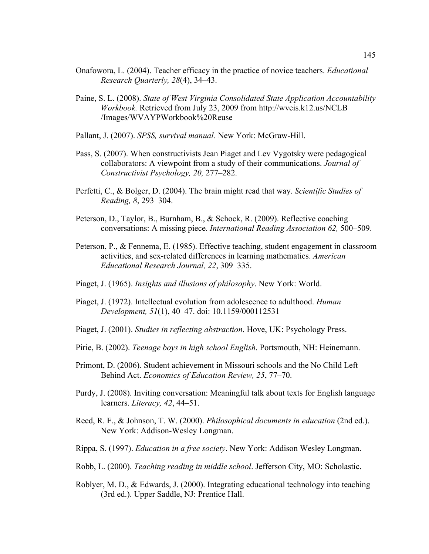- Onafowora, L. (2004). Teacher efficacy in the practice of novice teachers. *Educational Research Quarterly, 28*(4), 34–43.
- Paine, S. L. (2008). *State of West Virginia Consolidated State Application Accountability Workbook.* Retrieved from July 23, 2009 from http://wveis.k12.us/NCLB /Images/WVAYPWorkbook%20Reuse
- Pallant, J. (2007). *SPSS, survival manual.* New York: McGraw-Hill.
- Pass, S. (2007). When constructivists Jean Piaget and Lev Vygotsky were pedagogical collaborators: A viewpoint from a study of their communications. *Journal of Constructivist Psychology, 20,* 277–282.
- Perfetti, C., & Bolger, D. (2004). The brain might read that way. *Scientific Studies of Reading, 8*, 293–304.
- Peterson, D., Taylor, B., Burnham, B., & Schock, R. (2009). Reflective coaching conversations: A missing piece. *International Reading Association 62,* 500–509.
- Peterson, P., & Fennema, E. (1985). Effective teaching, student engagement in classroom activities, and sex-related differences in learning mathematics. *American Educational Research Journal, 22*, 309–335.
- Piaget, J. (1965). *Insights and illusions of philosophy*. New York: World.
- Piaget, J. (1972). Intellectual evolution from adolescence to adulthood. *Human Development, 51*(1), 40–47. doi: 10.1159/000112531
- Piaget, J. (2001). *Studies in reflecting abstraction*. Hove, UK: Psychology Press.
- Pirie, B. (2002). *Teenage boys in high school English*. Portsmouth, NH: Heinemann.
- Primont, D. (2006). Student achievement in Missouri schools and the No Child Left Behind Act. *Economics of Education Review, 25*, 77–70.
- Purdy, J. (2008). Inviting conversation: Meaningful talk about texts for English language learners. *Literacy, 42*, 44–51.
- Reed, R. F., & Johnson, T. W. (2000). *Philosophical documents in education* (2nd ed.). New York: Addison-Wesley Longman.
- Rippa, S. (1997). *Education in a free society*. New York: Addison Wesley Longman.
- Robb, L. (2000). *Teaching reading in middle school*. Jefferson City, MO: Scholastic.
- Roblyer, M. D., & Edwards, J. (2000). Integrating educational technology into teaching (3rd ed.). Upper Saddle, NJ: Prentice Hall.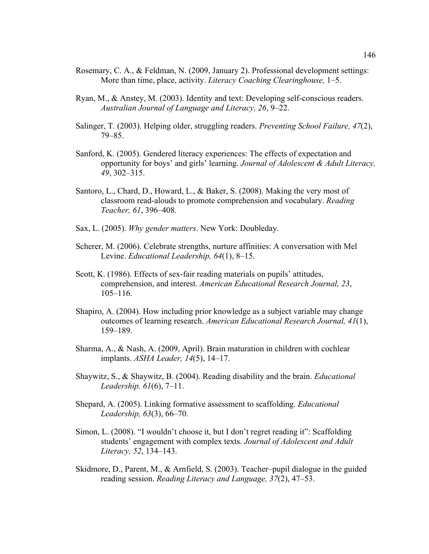- Rosemary, C. A., & Feldman, N. (2009, January 2). Professional development settings: More than time, place, activity. *Literacy Coaching Clearinghouse,* 1–5.
- Ryan, M., & Anstey, M. (2003). Identity and text: Developing self-conscious readers. *Australian Journal of Language and Literacy, 26*, 9–22.
- Salinger, T. (2003). Helping older, struggling readers. *Preventing School Failure, 47*(2), 79–85.
- Sanford, K. (2005). Gendered literacy experiences: The effects of expectation and opportunity for boys' and girls' learning. *Journal of Adolescent & Adult Literacy, 49*, 302–315.
- Santoro, L., Chard, D., Howard, L., & Baker, S. (2008). Making the very most of classroom read-alouds to promote comprehension and vocabulary. *Reading Teacher, 61*, 396–408.
- Sax, L. (2005). *Why gender matters*. New York: Doubleday.
- Scherer, M. (2006). Celebrate strengths, nurture affinities: A conversation with Mel Levine. *Educational Leadership, 64*(1), 8–15.
- Scott, K. (1986). Effects of sex-fair reading materials on pupils' attitudes, comprehension, and interest. *American Educational Research Journal, 23*, 105–116.
- Shapiro, A. (2004). How including prior knowledge as a subject variable may change outcomes of learning research. *American Educational Research Journal, 41*(1), 159–189.
- Sharma, A., & Nash, A. (2009, April). Brain maturation in children with cochlear implants. *ASHA Leader, 14*(5), 14–17.
- Shaywitz, S., & Shaywitz, B. (2004). Reading disability and the brain. *Educational Leadership. 61*(6), 7–11.
- Shepard, A. (2005). Linking formative assessment to scaffolding. *Educational Leadership, 63*(3), 66–70.
- Simon, L. (2008). "I wouldn't choose it, but I don't regret reading it": Scaffolding students' engagement with complex texts. *Journal of Adolescent and Adult Literacy, 52*, 134–143.
- Skidmore, D., Parent, M., & Arnfield, S. (2003). Teacher–pupil dialogue in the guided reading session. *Reading Literacy and Language, 37*(2), 47–53.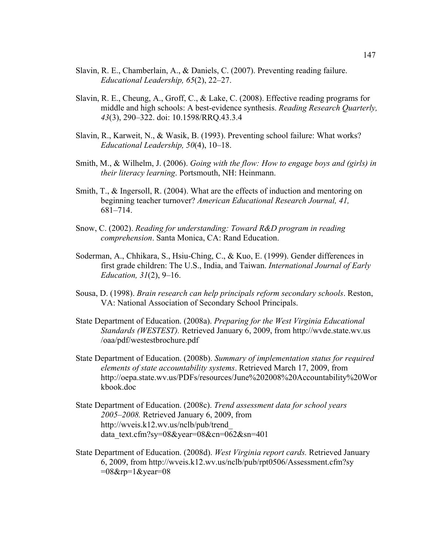- Slavin, R. E., Chamberlain, A., & Daniels, C. (2007). Preventing reading failure. *Educational Leadership, 65*(2), 22–27.
- Slavin, R. E., Cheung, A., Groff, C., & Lake, C. (2008). Effective reading programs for middle and high schools: A best-evidence synthesis. *Reading Research Quarterly, 43*(3), 290–322. doi: 10.1598/RRQ.43.3.4
- Slavin, R., Karweit, N., & Wasik, B. (1993). Preventing school failure: What works? *Educational Leadership, 50*(4), 10–18.
- Smith, M., & Wilhelm, J. (2006). *Going with the flow: How to engage boys and (girls) in their literacy learning*. Portsmouth, NH: Heinmann.
- Smith, T., & Ingersoll, R. (2004). What are the effects of induction and mentoring on beginning teacher turnover? *American Educational Research Journal, 41,* 681–714.
- Snow, C. (2002). *Reading for understanding: Toward R&D program in reading comprehension*. Santa Monica, CA: Rand Education.
- Soderman, A., Chhikara, S., Hsiu-Ching, C., & Kuo, E. (1999). Gender differences in first grade children: The U.S., India, and Taiwan. *International Journal of Early Education, 31*(2), 9–16.
- Sousa, D. (1998). *Brain research can help principals reform secondary schools*. Reston, VA: National Association of Secondary School Principals.
- State Department of Education. (2008a). *Preparing for the West Virginia Educational Standards (WESTEST).* Retrieved January 6, 2009, from http://wvde.state.wv.us /oaa/pdf/westestbrochure.pdf
- State Department of Education. (2008b). *Summary of implementation status for required elements of state accountability systems*. Retrieved March 17, 2009, from http://oepa.state.wv.us/PDFs/resources/June%202008%20Accountability%20Wor kbook.doc
- State Department of Education. (2008c). *Trend assessment data for school years 2005–2008.* Retrieved January 6, 2009, from http://wveis.k12.wv.us/nclb/pub/trend\_ data\_text.cfm?sy=08&year=08&cn=062&sn=401
- State Department of Education. (2008d). *West Virginia report cards.* Retrieved January 6, 2009, from http://wveis.k12.wv.us/nclb/pub/rpt0506/Assessment.cfm?sy  $=08$ &rp=1&year=08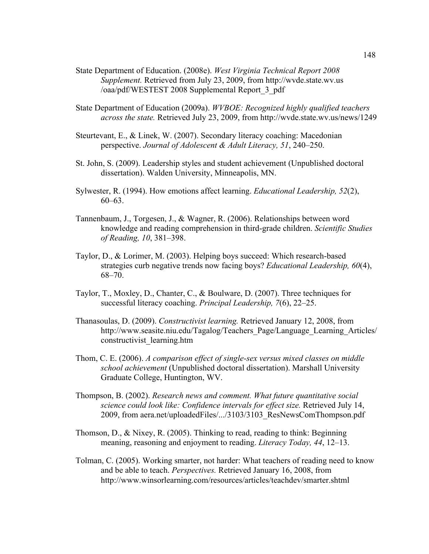- State Department of Education. (2008e). *West Virginia Technical Report 2008 Supplement.* Retrieved from July 23, 2009, from http://wvde.state.wv.us /oaa/pdf/WESTEST 2008 Supplemental Report\_3\_pdf
- State Department of Education (2009a). *WVBOE: Recognized highly qualified teachers across the state.* Retrieved July 23, 2009, from http://wvde.state.wv.us/news/1249
- Steurtevant, E., & Linek, W. (2007). Secondary literacy coaching: Macedonian perspective. *Journal of Adolescent & Adult Literacy, 51*, 240–250.
- St. John, S. (2009). Leadership styles and student achievement (Unpublished doctoral dissertation). Walden University, Minneapolis, MN.
- Sylwester, R. (1994). How emotions affect learning. *Educational Leadership, 52*(2), 60–63.
- Tannenbaum, J., Torgesen, J., & Wagner, R. (2006). Relationships between word knowledge and reading comprehension in third-grade children. *Scientific Studies of Reading, 10*, 381–398.
- Taylor, D., & Lorimer, M. (2003). Helping boys succeed: Which research-based strategies curb negative trends now facing boys? *Educational Leadership, 60*(4), 68–70.
- Taylor, T., Moxley, D., Chanter, C., & Boulware, D. (2007). Three techniques for successful literacy coaching. *Principal Leadership, 7*(6), 22–25.
- Thanasoulas, D. (2009). *Constructivist learning.* Retrieved January 12, 2008, from http://www.seasite.niu.edu/Tagalog/Teachers\_Page/Language\_Learning\_Articles/ constructivist\_learning.htm
- Thom, C. E. (2006). *A comparison effect of single-sex versus mixed classes on middle school achievement* (Unpublished doctoral dissertation). Marshall University Graduate College, Huntington, WV.
- Thompson, B. (2002). *Research news and comment. What future quantitative social science could look like: Confidence intervals for effect size.* Retrieved July 14, 2009, from aera.net/uploadedFiles/.../3103/3103\_ResNewsComThompson.pdf
- Thomson, D., & Nixey, R. (2005). Thinking to read, reading to think: Beginning meaning, reasoning and enjoyment to reading. *Literacy Today, 44*, 12–13.
- Tolman, C. (2005). Working smarter, not harder: What teachers of reading need to know and be able to teach. *Perspectives.* Retrieved January 16, 2008, from http://www.winsorlearning.com/resources/articles/teachdev/smarter.shtml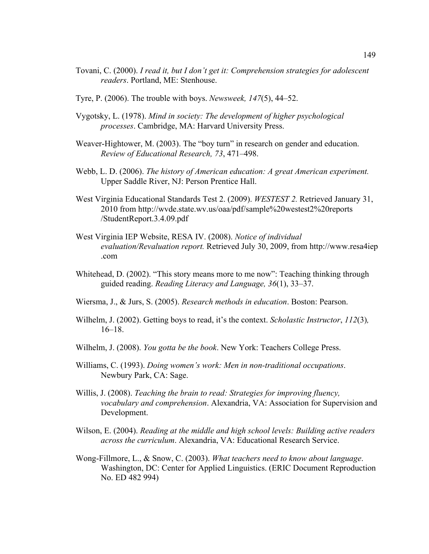- Tovani, C. (2000). *I read it, but I don't get it: Comprehension strategies for adolescent readers*. Portland, ME: Stenhouse.
- Tyre, P. (2006). The trouble with boys. *Newsweek, 147*(5), 44–52.
- Vygotsky, L. (1978). *Mind in society: The development of higher psychological processes*. Cambridge, MA: Harvard University Press.
- Weaver-Hightower, M. (2003). The "boy turn" in research on gender and education. *Review of Educational Research, 73*, 471–498.
- Webb, L. D. (2006). *The history of American education: A great American experiment.* Upper Saddle River, NJ: Person Prentice Hall.
- West Virginia Educational Standards Test 2. (2009). *WESTEST 2.* Retrieved January 31, 2010 from http://wvde.state.wv.us/oaa/pdf/sample%20westest2%20reports /StudentReport.3.4.09.pdf
- West Virginia IEP Website, RESA IV. (2008). *Notice of individual evaluation/Revaluation report.* Retrieved July 30, 2009, from http://www.resa4iep .com
- Whitehead, D. (2002). "This story means more to me now": Teaching thinking through guided reading. *Reading Literacy and Language, 36*(1), 33–37.
- Wiersma, J., & Jurs, S. (2005). *Research methods in education*. Boston: Pearson.
- Wilhelm, J. (2002). Getting boys to read, it's the context. *Scholastic Instructor*, *112*(3)*,* 16–18.
- Wilhelm, J. (2008). *You gotta be the book*. New York: Teachers College Press.
- Williams, C. (1993). *Doing women's work: Men in non-traditional occupations*. Newbury Park, CA: Sage.
- Willis, J. (2008). *Teaching the brain to read: Strategies for improving fluency, vocabulary and comprehension*. Alexandria, VA: Association for Supervision and Development.
- Wilson, E. (2004). *Reading at the middle and high school levels: Building active readers across the curriculum*. Alexandria, VA: Educational Research Service.
- Wong-Fillmore, L., & Snow, C. (2003). *What teachers need to know about language*. Washington, DC: Center for Applied Linguistics. (ERIC Document Reproduction No. ED 482 994)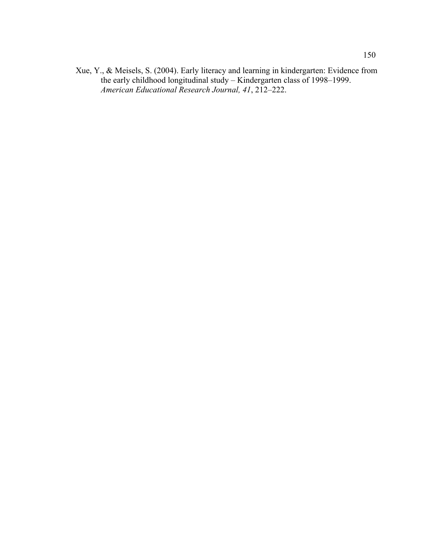Xue, Y., & Meisels, S. (2004). Early literacy and learning in kindergarten: Evidence from the early childhood longitudinal study – Kindergarten class of 1998–1999. *American Educational Research Journal, 41*, 212–222.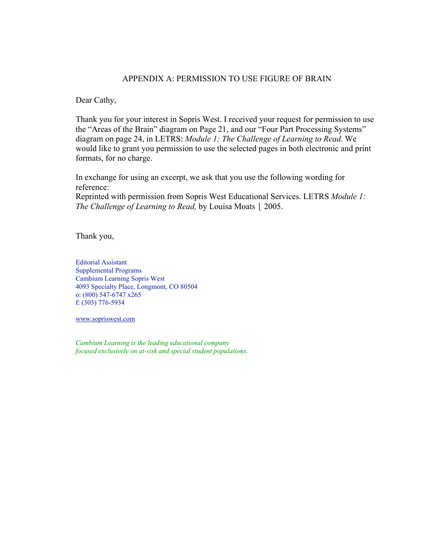## APPENDIX A: PERMISSION TO USE FIGURE OF BRAIN

Dear Cathy,

Thank you for your interest in Sopris West. I received your request for permission to use the "Areas of the Brain" diagram on Page 21, and our "Four Part Processing Systems" diagram on page 24, in LETRS: *Module 1: The Challenge of Learning to Read.* We would like to grant you permission to use the selected pages in both electronic and print formats, for no charge.

In exchange for using an excerpt, we ask that you use the following wording for reference:

Reprinted with permission from Sopris West Educational Services. LETRS *Module 1: The Challenge of Learning to Read, by Louisa Moats* | 2005.

Thank you,

Editorial Assistant Supplemental Programs Cambium Learning Sopris West 4093 Specialty Place, Longmont, CO 80504 o: (800) 547-6747 x265 f: (303) 776-5934

www.sopriswest.com

*Cambium Learning is the leading educational company focused exclusively on at-risk and special student populations.*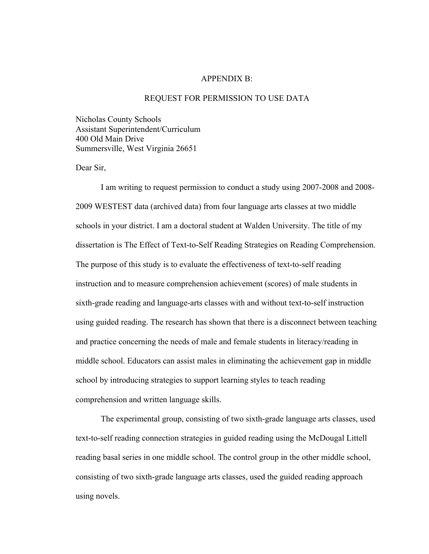#### APPENDIX B:

### REQUEST FOR PERMISSION TO USE DATA

Nicholas County Schools Assistant Superintendent/Curriculum 400 Old Main Drive Summersville, West Virginia 26651

Dear Sir,

I am writing to request permission to conduct a study using 2007-2008 and 2008- 2009 WESTEST data (archived data) from four language arts classes at two middle schools in your district. I am a doctoral student at Walden University. The title of my dissertation is The Effect of Text-to-Self Reading Strategies on Reading Comprehension. The purpose of this study is to evaluate the effectiveness of text-to-self reading instruction and to measure comprehension achievement (scores) of male students in sixth-grade reading and language-arts classes with and without text-to-self instruction using guided reading. The research has shown that there is a disconnect between teaching and practice concerning the needs of male and female students in literacy/reading in middle school. Educators can assist males in eliminating the achievement gap in middle school by introducing strategies to support learning styles to teach reading comprehension and written language skills.

The experimental group, consisting of two sixth-grade language arts classes, used text-to-self reading connection strategies in guided reading using the McDougal Littell reading basal series in one middle school. The control group in the other middle school, consisting of two sixth-grade language arts classes, used the guided reading approach using novels.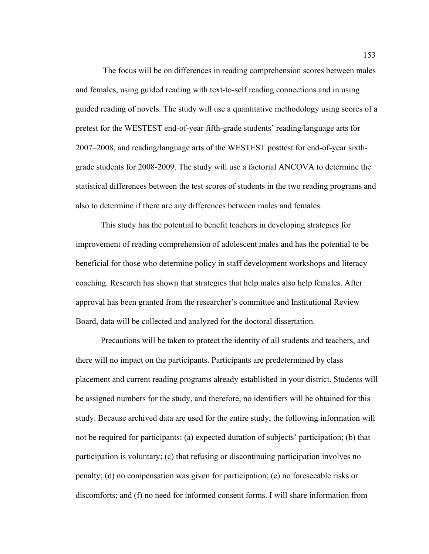The focus will be on differences in reading comprehension scores between males and females, using guided reading with text-to-self reading connections and in using guided reading of novels. The study will use a quantitative methodology using scores of a pretest for the WESTEST end-of-year fifth-grade students' reading/language arts for 2007–2008, and reading/language arts of the WESTEST posttest for end-of-year sixthgrade students for 2008-2009. The study will use a factorial ANCOVA to determine the statistical differences between the test scores of students in the two reading programs and also to determine if there are any differences between males and females.

This study has the potential to benefit teachers in developing strategies for improvement of reading comprehension of adolescent males and has the potential to be beneficial for those who determine policy in staff development workshops and literacy coaching. Research has shown that strategies that help males also help females. After approval has been granted from the researcher's committee and Institutional Review Board, data will be collected and analyzed for the doctoral dissertation.

Precautions will be taken to protect the identity of all students and teachers, and there will no impact on the participants. Participants are predetermined by class placement and current reading programs already established in your district. Students will be assigned numbers for the study, and therefore, no identifiers will be obtained for this study. Because archived data are used for the entire study, the following information will not be required for participants: (a) expected duration of subjects' participation; (b) that participation is voluntary; (c) that refusing or discontinuing participation involves no penalty; (d) no compensation was given for participation; (e) no foreseeable risks or discomforts; and (f) no need for informed consent forms. I will share information from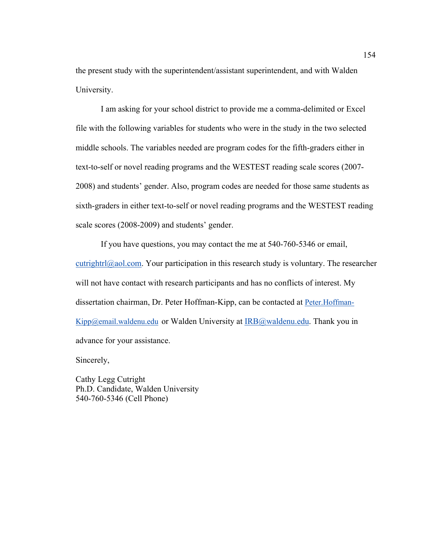the present study with the superintendent/assistant superintendent, and with Walden University.

I am asking for your school district to provide me a comma-delimited or Excel file with the following variables for students who were in the study in the two selected middle schools. The variables needed are program codes for the fifth-graders either in text-to-self or novel reading programs and the WESTEST reading scale scores (2007- 2008) and students' gender. Also, program codes are needed for those same students as sixth-graders in either text-to-self or novel reading programs and the WESTEST reading scale scores (2008-2009) and students' gender.

If you have questions, you may contact the me at 540-760-5346 or email, cutrightrl $@a$ ol.com. Your participation in this research study is voluntary. The researcher will not have contact with research participants and has no conflicts of interest. My dissertation chairman, Dr. Peter Hoffman-Kipp, can be contacted at Peter.Hoffman- $King@email.waldenu.edu$  or Walden University at  $IRB@waldenu.edu$ . Thank you in advance for your assistance.

Sincerely,

Cathy Legg Cutright Ph.D. Candidate, Walden University 540-760-5346 (Cell Phone)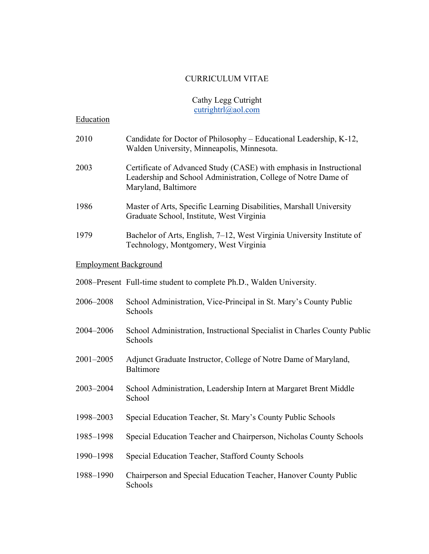# CURRICULUM VITAE

# Cathy Legg Cutright cutrightrl@aol.com

| Education                    |                                                                                                                                                              |
|------------------------------|--------------------------------------------------------------------------------------------------------------------------------------------------------------|
| 2010                         | Candidate for Doctor of Philosophy – Educational Leadership, K-12,<br>Walden University, Minneapolis, Minnesota.                                             |
| 2003                         | Certificate of Advanced Study (CASE) with emphasis in Instructional<br>Leadership and School Administration, College of Notre Dame of<br>Maryland, Baltimore |
| 1986                         | Master of Arts, Specific Learning Disabilities, Marshall University<br>Graduate School, Institute, West Virginia                                             |
| 1979                         | Bachelor of Arts, English, 7–12, West Virginia University Institute of<br>Technology, Montgomery, West Virginia                                              |
| <b>Employment Background</b> |                                                                                                                                                              |
|                              | 2008–Present Full-time student to complete Ph.D., Walden University.                                                                                         |
| 2006-2008                    | School Administration, Vice-Principal in St. Mary's County Public<br>Schools                                                                                 |
| 2004-2006                    | School Administration, Instructional Specialist in Charles County Public<br>Schools                                                                          |
| 2001-2005                    | Adjunct Graduate Instructor, College of Notre Dame of Maryland,<br><b>Baltimore</b>                                                                          |
| 2003-2004                    | School Administration, Leadership Intern at Margaret Brent Middle<br>School                                                                                  |
| 1998-2003                    | Special Education Teacher, St. Mary's County Public Schools                                                                                                  |
| 1985-1998                    | Special Education Teacher and Chairperson, Nicholas County Schools                                                                                           |
| 1990-1998                    | Special Education Teacher, Stafford County Schools                                                                                                           |
| 1988-1990                    | Chairperson and Special Education Teacher, Hanover County Public<br>Schools                                                                                  |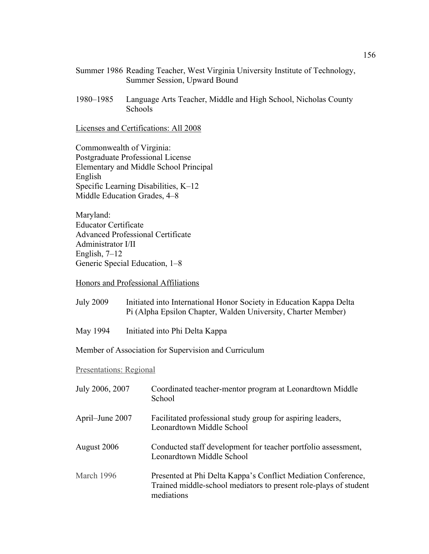- Summer 1986 Reading Teacher, West Virginia University Institute of Technology, Summer Session, Upward Bound
- 1980–1985 Language Arts Teacher, Middle and High School, Nicholas County Schools

Licenses and Certifications: All 2008

Commonwealth of Virginia: Postgraduate Professional License Elementary and Middle School Principal English Specific Learning Disabilities, K–12 Middle Education Grades, 4–8

Maryland: Educator Certificate Advanced Professional Certificate Administrator I/II English,  $7-12$ Generic Special Education, 1–8

Honors and Professional Affiliations

| <b>July 2009</b> | Initiated into International Honor Society in Education Kappa Delta |
|------------------|---------------------------------------------------------------------|
|                  | Pi (Alpha Epsilon Chapter, Walden University, Charter Member)       |

May 1994 Initiated into Phi Delta Kappa

Member of Association for Supervision and Curriculum

Presentations: Regional

| July 2006, 2007 | Coordinated teacher-mentor program at Leonardtown Middle<br>School                                                                              |
|-----------------|-------------------------------------------------------------------------------------------------------------------------------------------------|
| April–June 2007 | Facilitated professional study group for aspiring leaders,<br>Leonardtown Middle School                                                         |
| August 2006     | Conducted staff development for teacher portfolio assessment,<br>Leonardtown Middle School                                                      |
| March 1996      | Presented at Phi Delta Kappa's Conflict Mediation Conference,<br>Trained middle-school mediators to present role-plays of student<br>mediations |